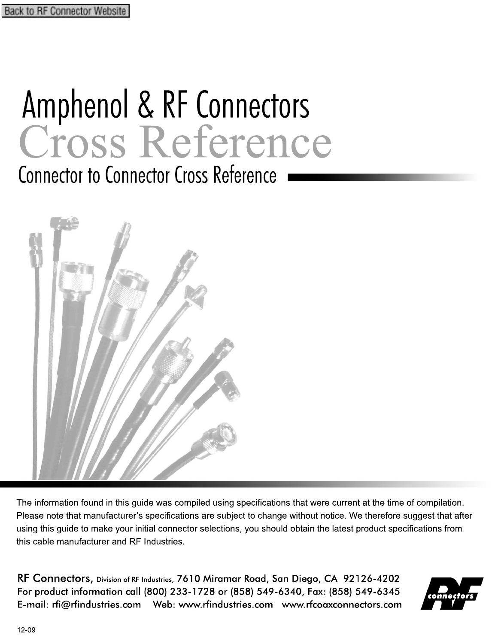## Amphenol & RF Connectors Cross Reference

Connector to Connector Cross Reference



The information found in this guide was compiled using specifications that were current at the time of compilation. Please note that manufacturer's specifications are subject to change without notice. We therefore suggest that after using this guide to make your initial connector selections, you should obtain the latest product specifications from this cable manufacturer and RF Industries.

RF Connectors, Division of RF Industries, 7610 Miramar Road, San Diego, CA 92126-4202 For product information call (800) 233-1728 or (858) 549-6340, Fax: (858) 549-6345 [E-mail: rfi@rfindustries.com](mailto:rfi@rfindustries.com) [Web: www.rfindustries.com](http://www.rfindustries.com/) [www.rfcoaxconnectors.com](http://www.rfcoaxconnectors.com/index.html)

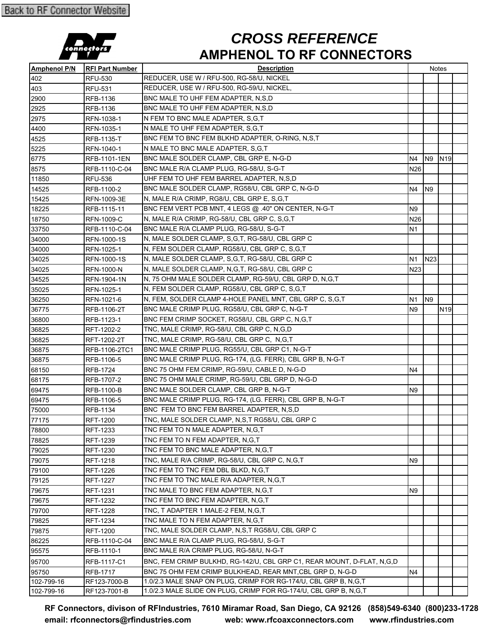

## **AMPHENOL TO RF CONNECTORS** *CROSS REFERENCE*

| <b>Amphenol P/N</b> | <b>RFI Part Number</b> | <b>Description</b>                                                     |                  |                  | Notes           |  |
|---------------------|------------------------|------------------------------------------------------------------------|------------------|------------------|-----------------|--|
| 402                 | <b>RFU-530</b>         | REDUCER, USE W / RFU-500, RG-58/U, NICKEL                              |                  |                  |                 |  |
| 403                 | RFU-531                | REDUCER, USE W / RFU-500, RG-59/U, NICKEL,                             |                  |                  |                 |  |
| 2900                | RFB-1136               | BNC MALE TO UHF FEM ADAPTER, N,S,D                                     |                  |                  |                 |  |
| 2925                | RFB-1136               | BNC MALE TO UHF FEM ADAPTER, N,S,D                                     |                  |                  |                 |  |
| 2975                | RFN-1038-1             | N FEM TO BNC MALE ADAPTER, S,G,T                                       |                  |                  |                 |  |
| 4400                | RFN-1035-1             | N MALE TO UHF FEM ADAPTER, S, G, T                                     |                  |                  |                 |  |
| 4525                | RFB-1135-T             | BNC FEM TO BNC FEM BLKHD ADAPTER, O-RING, N,S,T                        |                  |                  |                 |  |
| 5225                | RFN-1040-1             | N MALE TO BNC MALE ADAPTER, S, G, T                                    |                  |                  |                 |  |
| 6775                | RFB-1101-1EN           | BNC MALE SOLDER CLAMP, CBL GRP E, N-G-D                                | N4               | N9               | N <sub>19</sub> |  |
| 8575                | RFB-1110-C-04          | BNC MALE R/A CLAMP PLUG, RG-58/U, S-G-T                                | N26              |                  |                 |  |
| 11850               | RFU-536                | UHF FEM TO UHF FEM BARREL ADAPTER, N,S,D                               |                  |                  |                 |  |
| 14525               | RFB-1100-2             | BNC MALE SOLDER CLAMP, RG58/U, CBL GRP C, N-G-D                        | N4               | N <sub>9</sub>   |                 |  |
| 15425               | RFN-1009-3E            | N, MALE R/A CRIMP, RG8/U, CBL GRP E, S,G,T                             |                  |                  |                 |  |
| 18225               | RFB-1115-11            | BNC FEM VERT PCB MNT, 4 LEGS @ .40" ON CENTER, N-G-T                   | N9               |                  |                 |  |
| 18750               | <b>RFN-1009-C</b>      | N, MALE R/A CRIMP, RG-58/U, CBL GRP C, S,G,T                           | N26              |                  |                 |  |
| 33750               | RFB-1110-C-04          | BNC MALE R/A CLAMP PLUG, RG-58/U, S-G-T                                | Ν1               |                  |                 |  |
| 34000               | RFN-1000-1S            | N, MALE SOLDER CLAMP, S, G, T, RG-58/U, CBL GRP C                      |                  |                  |                 |  |
| 34000               | RFN-1025-1             | N, FEM SOLDER CLAMP, RG58/U, CBL GRP C, S,G,T                          |                  |                  |                 |  |
| 34025               | RFN-1000-1S            | N, MALE SOLDER CLAMP, S,G,T, RG-58/U, CBL GRP C                        | N1               | N <sub>2</sub> 3 |                 |  |
| 34025               | <b>RFN-1000-N</b>      | N, MALE SOLDER CLAMP, N,G,T, RG-58/U, CBL GRP C                        | N <sub>2</sub> 3 |                  |                 |  |
| 34525               | RFN-1904-1N            | N, 75 OHM MALE SOLDER CLAMP, RG-59/U, CBL GRP D, N, G, T               |                  |                  |                 |  |
| 35025               | RFN-1025-1             | N, FEM SOLDER CLAMP, RG58/U, CBL GRP C, S,G,T                          |                  |                  |                 |  |
| 36250               | RFN-1021-6             | N, FEM, SOLDER CLAMP 4-HOLE PANEL MNT, CBL GRP C, S, G, T              | N1               | N <sub>9</sub>   |                 |  |
| 36775               | RFB-1106-2T            | BNC MALE CRIMP PLUG, RG58/U, CBL GRP C, N-G-T                          | N9               |                  | N <sub>19</sub> |  |
| 36800               | RFB-1123-1             | BNC FEM CRIMP SOCKET, RG58/U, CBL GRP C, N, G, T                       |                  |                  |                 |  |
| 36825               | RFT-1202-2             | TNC, MALE CRIMP, RG-58/U, CBL GRP C, N, G, D                           |                  |                  |                 |  |
| 36825               | RFT-1202-2T            | TNC, MALE CRIMP, RG-58/U, CBL GRP C, N,G,T                             |                  |                  |                 |  |
| 36875               | RFB-1106-2TC1          | BNC MALE CRIMP PLUG, RG55/U, CBL GRP C1, N-G-T                         |                  |                  |                 |  |
| 36875               | RFB-1106-5             | BNC MALE CRIMP PLUG, RG-174, (LG. FERR), CBL GRP B, N-G-T              |                  |                  |                 |  |
| 68150               | RFB-1724               | BNC 75 OHM FEM CRIMP, RG-59/U, CABLE D, N-G-D                          | N4               |                  |                 |  |
| 68175               | RFB-1707-2             | BNC 75 OHM MALE CRIMP, RG-59/U, CBL GRP D, N-G-D                       |                  |                  |                 |  |
| 69475               | RFB-1100-B             | BNC MALE SOLDER CLAMP, CBL GRP B, N-G-T                                | N9               |                  |                 |  |
| 69475               | RFB-1106-5             | BNC MALE CRIMP PLUG, RG-174, (LG. FERR), CBL GRP B, N-G-T              |                  |                  |                 |  |
| 75000               | RFB-1134               | BNC FEM TO BNC FEM BARREL ADAPTER, N,S,D                               |                  |                  |                 |  |
| 77175               | RFT-1200               | TNC, MALE SOLDER CLAMP, N,S,T RG58/U, CBL GRP C                        |                  |                  |                 |  |
| 78800               | RFT-1233               | TNC FEM TO N MALE ADAPTER, N,G,T                                       |                  |                  |                 |  |
| 78825               | <b>RFT-1239</b>        | TNC FEM TO N FEM ADAPTER, N.G.T                                        |                  |                  |                 |  |
| 79025               | RFT-1230               | TNC FEM TO BNC MALE ADAPTER, N,G,T                                     |                  |                  |                 |  |
| 79075               | RFT-1218               | TNC, MALE R/A CRIMP, RG-58/U, CBL GRP C, N, G, T                       | N9               |                  |                 |  |
| 79100               | <b>RFT-1226</b>        | TNC FEM TO TNC FEM DBL BLKD, N,G,T                                     |                  |                  |                 |  |
| 79125               | <b>RFT-1227</b>        | TNC FEM TO TNC MALE R/A ADAPTER, N,G,T                                 |                  |                  |                 |  |
| 79675               | <b>RFT-1231</b>        | TNC MALE TO BNC FEM ADAPTER, N.G.T                                     | N9               |                  |                 |  |
| 79675               | RFT-1232               | TNC FEM TO BNC FEM ADAPTER, N,G,T                                      |                  |                  |                 |  |
| 79700               | <b>RFT-1228</b>        | TNC, T ADAPTER 1 MALE-2 FEM, N,G,T                                     |                  |                  |                 |  |
| 79825               | <b>RFT-1234</b>        | TNC MALE TO N FEM ADAPTER, N, G, T                                     |                  |                  |                 |  |
| 79875               | <b>RFT-1200</b>        | TNC, MALE SOLDER CLAMP, N,S,T RG58/U, CBL GRP C                        |                  |                  |                 |  |
| 86225               | RFB-1110-C-04          | BNC MALE R/A CLAMP PLUG, RG-58/U, S-G-T                                |                  |                  |                 |  |
| 95575               | RFB-1110-1             | BNC MALE R/A CRIMP PLUG, RG-58/U, N-G-T                                |                  |                  |                 |  |
| 95700               | RFB-1117-C1            | BNC, FEM CRIMP BULKHD, RG-142/U, CBL GRP C1, REAR MOUNT, D-FLAT, N,G,D |                  |                  |                 |  |
| 95750               | <b>RFB-1717</b>        | BNC 75 OHM FEM CRIMP BULKHEAD, REAR MNT CBL GRP D, N-G-D               | N4               |                  |                 |  |
| 102-799-16          | RF123-7000-B           | 1.0/2.3 MALE SNAP ON PLUG, CRIMP FOR RG-174/U, CBL GRP B, N,G,T        |                  |                  |                 |  |
| 102-799-16          | RF123-7001-B           | 1.0/2.3 MALE SLIDE ON PLUG, CRIMP FOR RG-174/U, CBL GRP B, N,G,T       |                  |                  |                 |  |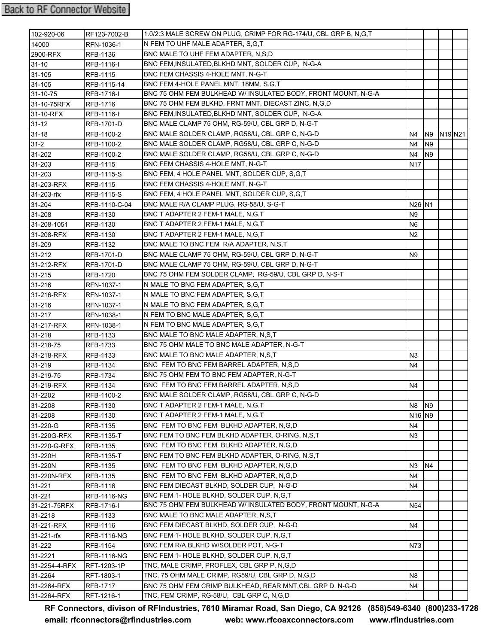## **Back to RF Connector Website**

| 102-920-06    | RF123-7002-B       | 1.0/2.3 MALE SCREW ON PLUG, CRIMP FOR RG-174/U, CBL GRP B, N,G,T |                                |                |                                 |
|---------------|--------------------|------------------------------------------------------------------|--------------------------------|----------------|---------------------------------|
| 14000         | RFN-1036-1         | N FEM TO UHF MALE ADAPTER, S.G.T                                 |                                |                |                                 |
| 2900-RFX      | <b>RFB-1136</b>    | BNC MALE TO UHF FEM ADAPTER, N,S,D                               |                                |                |                                 |
| $31 - 10$     | RFB-1116-I         | BNC FEM, INSULATED, BLKHD MNT, SOLDER CUP, N-G-A                 |                                |                |                                 |
| 31-105        | RFB-1115           | BNC FEM CHASSIS 4-HOLE MNT, N-G-T                                |                                |                |                                 |
| 31-105        | RFB-1115-14        | BNC FEM 4-HOLE PANEL MNT, 18MM, S,G,T                            |                                |                |                                 |
| 31-10-75      | RFB-1716-I         | BNC 75 OHM FEM BULKHEAD W/ INSULATED BODY, FRONT MOUNT, N-G-A    |                                |                |                                 |
| 31-10-75RFX   | <b>RFB-1716</b>    | BNC 75 OHM FEM BLKHD, FRNT MNT, DIECAST ZINC, N,G,D              |                                |                |                                 |
| 31-10-RFX     | RFB-1116-I         | BNC FEM, INSULATED, BLKHD MNT, SOLDER CUP, N-G-A                 |                                |                |                                 |
| $31 - 12$     | <b>RFB-1701-D</b>  | BNC MALE CLAMP 75 OHM, RG-59/U, CBL GRP D, N-G-T                 |                                |                |                                 |
| $31 - 18$     | RFB-1100-2         | BNC MALE SOLDER CLAMP, RG58/U, CBL GRP C, N-G-D                  | N4                             | N9             | N <sub>19</sub> N <sub>21</sub> |
| $31 - 2$      | RFB-1100-2         | BNC MALE SOLDER CLAMP, RG58/U, CBL GRP C, N-G-D                  | N <sub>4</sub>                 | N <sub>9</sub> |                                 |
| 31-202        | RFB-1100-2         | BNC MALE SOLDER CLAMP, RG58/U, CBL GRP C, N-G-D                  | N4                             | N <sub>9</sub> |                                 |
| 31-203        | RFB-1115           | BNC FEM CHASSIS 4-HOLE MNT, N-G-T                                | N17                            |                |                                 |
| 31-203        | <b>RFB-1115-S</b>  | BNC FEM, 4 HOLE PANEL MNT, SOLDER CUP, S, G, T                   |                                |                |                                 |
| 31-203-RFX    | RFB-1115           | BNC FEM CHASSIS 4-HOLE MNT, N-G-T                                |                                |                |                                 |
| 31-203-rfx    | RFB-1115-S         | BNC FEM, 4 HOLE PANEL MNT, SOLDER CUP, S, G, T                   |                                |                |                                 |
| 31-204        | RFB-1110-C-04      | BNC MALE R/A CLAMP PLUG, RG-58/U, S-G-T                          | N <sub>26</sub> N <sub>1</sub> |                |                                 |
| 31-208        | RFB-1130           | BNC T ADAPTER 2 FEM-1 MALE, N, G, T                              | N <sub>9</sub>                 |                |                                 |
| 31-208-1051   | RFB-1130           | BNC T ADAPTER 2 FEM-1 MALE, N, G, T                              | N6                             |                |                                 |
| 31-208-RFX    | RFB-1130           | BNC T ADAPTER 2 FEM-1 MALE, N, G, T                              | N2                             |                |                                 |
| 31-209        | RFB-1132           | BNC MALE TO BNC FEM R/A ADAPTER, N,S,T                           |                                |                |                                 |
| 31-212        | RFB-1701-D         | BNC MALE CLAMP 75 OHM, RG-59/U, CBL GRP D, N-G-T                 | N9                             |                |                                 |
| 31-212-RFX    | RFB-1701-D         | BNC MALE CLAMP 75 OHM, RG-59/U, CBL GRP D, N-G-T                 |                                |                |                                 |
| 31-215        | RFB-1720           | BNC 75 OHM FEM SOLDER CLAMP, RG-59/U, CBL GRP D, N-S-T           |                                |                |                                 |
| 31-216        | RFN-1037-1         | N MALE TO BNC FEM ADAPTER, S,G,T                                 |                                |                |                                 |
| 31-216-RFX    | RFN-1037-1         | N MALE TO BNC FEM ADAPTER, S,G,T                                 |                                |                |                                 |
| 31-216        | RFN-1037-1         | N MALE TO BNC FEM ADAPTER, S,G,T                                 |                                |                |                                 |
| 31-217        | RFN-1038-1         | N FEM TO BNC MALE ADAPTER, S,G,T                                 |                                |                |                                 |
| 31-217-RFX    | RFN-1038-1         | N FEM TO BNC MALE ADAPTER, S,G,T                                 |                                |                |                                 |
| 31-218        | RFB-1133           | BNC MALE TO BNC MALE ADAPTER, N,S,T                              |                                |                |                                 |
| 31-218-75     | <b>RFB-1733</b>    | BNC 75 OHM MALE TO BNC MALE ADAPTER, N-G-T                       |                                |                |                                 |
| 31-218-RFX    | <b>RFB-1133</b>    | BNC MALE TO BNC MALE ADAPTER, N,S,T                              | N3                             |                |                                 |
| 31-219        | RFB-1134           | BNC FEM TO BNC FEM BARREL ADAPTER, N,S,D                         | N4                             |                |                                 |
| 31-219-75     | <b>RFB-1734</b>    | BNC 75 OHM FEM TO BNC FEM ADAPTER. N-G-T                         |                                |                |                                 |
| 31-219-RFX    | RFB-1134           | BNC FEM TO BNC FEM BARREL ADAPTER, N,S,D                         | N4                             |                |                                 |
| 31-2202       | RFB-1100-2         | BNC MALE SOLDER CLAMP, RG58/U, CBL GRP C, N-G-D                  |                                |                |                                 |
| 31-2208       | RFB-1130           | BNC T ADAPTER 2 FEM-1 MALE, N, G, T                              | N8                             | N <sub>9</sub> |                                 |
| 31-2208       | RFB-1130           | BNC T ADAPTER 2 FEM-1 MALE, N, G, T                              | N <sub>16</sub> N <sub>9</sub> |                |                                 |
| 31-220-G      | <b>RFB-1135</b>    | BNC FEM TO BNC FEM BLKHD ADAPTER, N,G,D                          | N4                             |                |                                 |
| 31-220G-RFX   | <b>RFB-1135-T</b>  | BNC FEM TO BNC FEM BLKHD ADAPTER, O-RING, N,S,T                  | N3                             |                |                                 |
| 31-220-G-RFX  | <b>RFB-1135</b>    | BNC FEM TO BNC FEM BLKHD ADAPTER, N,G,D                          |                                |                |                                 |
| 31-220H       | <b>RFB-1135-T</b>  | BNC FEM TO BNC FEM BLKHD ADAPTER, O-RING, N,S,T                  |                                |                |                                 |
| 31-220N       | RFB-1135           | BNC FEM TO BNC FEM BLKHD ADAPTER, N,G,D                          | N <sub>3</sub>                 | N <sub>4</sub> |                                 |
| 31-220N-RFX   | <b>RFB-1135</b>    | BNC FEM TO BNC FEM BLKHD ADAPTER, N,G,D                          | N4                             |                |                                 |
| 31-221        | RFB-1116           | BNC FEM DIECAST BLKHD, SOLDER CUP, N-G-D                         | N4                             |                |                                 |
| 31-221        | <b>RFB-1116-NG</b> | BNC FEM 1- HOLE BLKHD, SOLDER CUP, N,G,T                         |                                |                |                                 |
| 31-221-75RFX  | <b>RFB-1716-I</b>  | BNC 75 OHM FEM BULKHEAD W/ INSULATED BODY, FRONT MOUNT, N-G-A    | N54                            |                |                                 |
| 31-2218       | RFB-1133           | BNC MALE TO BNC MALE ADAPTER, N,S,T                              |                                |                |                                 |
| 31-221-RFX    | RFB-1116           | BNC FEM DIECAST BLKHD, SOLDER CUP, N-G-D                         | N4                             |                |                                 |
| 31-221-rfx    | <b>RFB-1116-NG</b> | BNC FEM 1- HOLE BLKHD, SOLDER CUP, N,G,T                         |                                |                |                                 |
| 31-222        | <b>RFB-1154</b>    | BNC FEM R/A BLKHD W/SOLDER POT, N-G-T                            | N73                            |                |                                 |
| 31-2221       | <b>RFB-1116-NG</b> | BNC FEM 1- HOLE BLKHD, SOLDER CUP, N,G,T                         |                                |                |                                 |
| 31-2254-4-RFX | RFT-1203-1P        | TNC, MALE CRIMP, PROFLEX, CBL GRP P, N,G,D                       |                                |                |                                 |
| 31-2264       | RFT-1803-1         | TNC, 75 OHM MALE CRIMP, RG59/U, CBL GRP D, N,G,D                 | N8                             |                |                                 |
| 31-2264-RFX   | <b>RFB-1717</b>    | BNC 75 OHM FEM CRIMP BULKHEAD, REAR MNT, CBL GRP D, N-G-D        | N4                             |                |                                 |
| 31-2264-RFX   | RFT-1216-1         | TNC, FEM CRIMP, RG-58/U, CBL GRP C, N,G,D                        |                                |                |                                 |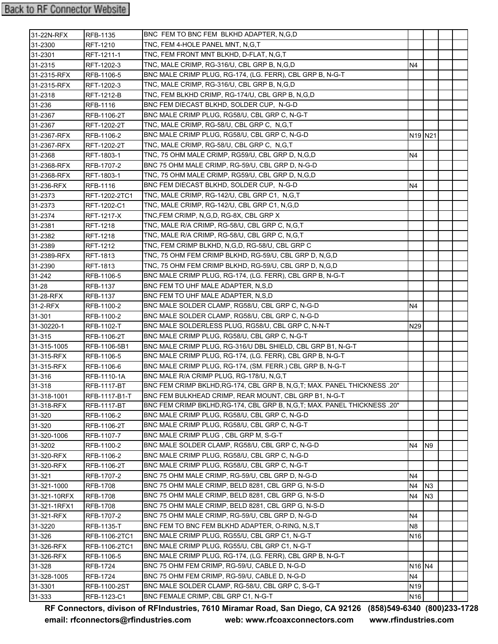| 31-22N-RFX   | RFB-1135        | BNC FEM TO BNC FEM BLKHD ADAPTER, N.G.D                                    |                                 |                |  |
|--------------|-----------------|----------------------------------------------------------------------------|---------------------------------|----------------|--|
| 31-2300      | RFT-1210        | TNC, FEM 4-HOLE PANEL MNT, N,G,T                                           |                                 |                |  |
| 31-2301      | RFT-1211-1      | TNC, FEM FRONT MNT BLKHD, D-FLAT, N,G,T                                    |                                 |                |  |
| 31-2315      | RFT-1202-3      | TNC, MALE CRIMP, RG-316/U, CBL GRP B, N,G,D                                | N4                              |                |  |
| 31-2315-RFX  | RFB-1106-5      | BNC MALE CRIMP PLUG, RG-174, (LG. FERR), CBL GRP B, N-G-T                  |                                 |                |  |
| 31-2315-RFX  | RFT-1202-3      | TNC, MALE CRIMP, RG-316/U, CBL GRP B, N, G, D                              |                                 |                |  |
| 31-2318      | RFT-1212-B      | TNC, FEM BLKHD CRIMP, RG-174/U, CBL GRP B, N, G, D                         |                                 |                |  |
| 31-236       | RFB-1116        | BNC FEM DIECAST BLKHD, SOLDER CUP, N-G-D                                   |                                 |                |  |
| 31-2367      | RFB-1106-2T     | BNC MALE CRIMP PLUG, RG58/U, CBL GRP C, N-G-T                              |                                 |                |  |
| 31-2367      | RFT-1202-2T     | TNC, MALE CRIMP, RG-58/U, CBL GRP C, N, G, T                               |                                 |                |  |
| 31-2367-RFX  | RFB-1106-2      | BNC MALE CRIMP PLUG, RG58/U, CBL GRP C, N-G-D                              | N <sub>19</sub> N <sub>21</sub> |                |  |
| 31-2367-RFX  | RFT-1202-2T     | TNC, MALE CRIMP, RG-58/U, CBL GRP C, N,G,T                                 |                                 |                |  |
| 31-2368      | RFT-1803-1      | TNC, 75 OHM MALE CRIMP, RG59/U, CBL GRP D, N,G,D                           | N4                              |                |  |
| 31-2368-RFX  | RFB-1707-2      | BNC 75 OHM MALE CRIMP, RG-59/U, CBL GRP D, N-G-D                           |                                 |                |  |
| 31-2368-RFX  | RFT-1803-1      | TNC, 75 OHM MALE CRIMP, RG59/U, CBL GRP D, N,G,D                           |                                 |                |  |
| 31-236-RFX   | RFB-1116        | BNC FEM DIECAST BLKHD, SOLDER CUP, N-G-D                                   | N4                              |                |  |
| 31-2373      | RFT-1202-2TC1   | TNC, MALE CRIMP, RG-142/U, CBL GRP C1, N,G,T                               |                                 |                |  |
| 31-2373      | RFT-1202-C1     | TNC, MALE CRIMP, RG-142/U, CBL GRP C1, N,G,D                               |                                 |                |  |
| 31-2374      | RFT-1217-X      | TNC,FEM CRIMP, N,G,D, RG-8X, CBL GRP X                                     |                                 |                |  |
| 31-2381      | RFT-1218        | TNC, MALE R/A CRIMP, RG-58/U, CBL GRP C, N, G, T                           |                                 |                |  |
| 31-2382      | RFT-1218        | TNC, MALE R/A CRIMP, RG-58/U, CBL GRP C, N,G,T                             |                                 |                |  |
| 31-2389      | RFT-1212        | TNC, FEM CRIMP BLKHD, N,G,D, RG-58/U, CBL GRP C                            |                                 |                |  |
| 31-2389-RFX  | <b>RFT-1813</b> | TNC, 75 OHM FEM CRIMP BLKHD, RG-59/U, CBL GRP D, N,G,D                     |                                 |                |  |
| 31-2390      | RFT-1813        | TNC, 75 OHM FEM CRIMP BLKHD, RG-59/U, CBL GRP D, N,G,D                     |                                 |                |  |
| 31-242       | RFB-1106-5      | BNC MALE CRIMP PLUG, RG-174, (LG. FERR), CBL GRP B, N-G-T                  |                                 |                |  |
| $31 - 28$    | RFB-1137        | BNC FEM TO UHF MALE ADAPTER, N,S,D                                         |                                 |                |  |
| 31-28-RFX    | RFB-1137        | BNC FEM TO UHF MALE ADAPTER, N,S,D                                         |                                 |                |  |
| 31-2-RFX     | RFB-1100-2      | BNC MALE SOLDER CLAMP, RG58/U, CBL GRP C, N-G-D                            | N4                              |                |  |
| 31-301       | RFB-1100-2      | BNC MALE SOLDER CLAMP, RG58/U, CBL GRP C, N-G-D                            |                                 |                |  |
| 31-30220-1   | RFB-1102-T      | BNC MALE SOLDERLESS PLUG, RG58/U, CBL GRP C, N-N-T                         | N29                             |                |  |
| 31-315       | RFB-1106-2T     | BNC MALE CRIMP PLUG, RG58/U, CBL GRP C, N-G-T                              |                                 |                |  |
| 31-315-1005  | RFB-1106-5B1    | BNC MALE CRIMP PLUG. RG-316/U DBL SHIELD. CBL GRP B1. N-G-T                |                                 |                |  |
| 31-315-RFX   | RFB-1106-5      | BNC MALE CRIMP PLUG, RG-174, (LG. FERR), CBL GRP B, N-G-T                  |                                 |                |  |
| 31-315-RFX   | RFB-1106-6      | BNC MALE CRIMP PLUG, RG-174, (SM. FERR.) CBL GRP B, N-G-T                  |                                 |                |  |
| 31-316       | RFB-1110-1A     | BNC MALE R/A CRIMP PLUG, RG-178/U, N,G,T                                   |                                 |                |  |
| 31-318       | RFB-1117-BT     | BNC FEM CRIMP BKLHD, RG-174, CBL GRP B, N, G, T; MAX. PANEL THICKNESS .20" |                                 |                |  |
| 31-318-1001  | RFB-1117-B1-T   | BNC FEM BULKHEAD CRIMP, REAR MOUNT, CBL GRP B1, N-G-T                      |                                 |                |  |
| 31-318-RFX   | RFB-1117-BT     | BNC FEM CRIMP BKLHD, RG-174, CBL GRP B, N, G, T; MAX. PANEL THICKNESS .20" |                                 |                |  |
| 31-320       | RFB-1106-2      | BNC MALE CRIMP PLUG, RG58/U, CBL GRP C, N-G-D                              |                                 |                |  |
| 31-320       | RFB-1106-2T     | BNC MALE CRIMP PLUG, RG58/U, CBL GRP C, N-G-T                              |                                 |                |  |
| 31-320-1006  | RFB-1107-7      | BNC MALE CRIMP PLUG, CBL GRP M, S-G-T                                      |                                 |                |  |
| 31-3202      | RFB-1100-2      | BNC MALE SOLDER CLAMP, RG58/U, CBL GRP C, N-G-D                            | N4                              | <b>N9</b>      |  |
| 31-320-RFX   | RFB-1106-2      | BNC MALE CRIMP PLUG, RG58/U, CBL GRP C, N-G-D                              |                                 |                |  |
| 31-320-RFX   | RFB-1106-2T     | BNC MALE CRIMP PLUG, RG58/U, CBL GRP C, N-G-T                              |                                 |                |  |
| 31-321       | RFB-1707-2      | BNC 75 OHM MALE CRIMP, RG-59/U, CBL GRP D, N-G-D                           | N4                              |                |  |
| 31-321-1000  | <b>RFB-1708</b> | BNC 75 OHM MALE CRIMP, BELD 8281, CBL GRP G, N-S-D                         | N4                              | N <sub>3</sub> |  |
| 31-321-10RFX | <b>RFB-1708</b> | BNC 75 OHM MALE CRIMP, BELD 8281, CBL GRP G, N-S-D                         | N4                              | N <sub>3</sub> |  |
| 31-321-1RFX1 | <b>RFB-1708</b> | BNC 75 OHM MALE CRIMP, BELD 8281, CBL GRP G, N-S-D                         |                                 |                |  |
| 31-321-RFX   | RFB-1707-2      | BNC 75 OHM MALE CRIMP, RG-59/U, CBL GRP D, N-G-D                           | N4                              |                |  |
| 31-3220      | RFB-1135-T      | BNC FEM TO BNC FEM BLKHD ADAPTER, O-RING, N,S,T                            | N8                              |                |  |
| 31-326       | RFB-1106-2TC1   | BNC MALE CRIMP PLUG, RG55/U, CBL GRP C1, N-G-T                             | N16                             |                |  |
| 31-326-RFX   | RFB-1106-2TC1   | BNC MALE CRIMP PLUG, RG55/U, CBL GRP C1, N-G-T                             |                                 |                |  |
| 31-326-RFX   | RFB-1106-5      | BNC MALE CRIMP PLUG, RG-174, (LG. FERR), CBL GRP B, N-G-T                  |                                 |                |  |
| 31-328       | RFB-1724        | BNC 75 OHM FEM CRIMP, RG-59/U, CABLE D, N-G-D                              | N <sub>16</sub> N <sub>4</sub>  |                |  |
| 31-328-1005  | RFB-1724        | BNC 75 OHM FEM CRIMP, RG-59/U, CABLE D, N-G-D                              | N4                              |                |  |
| 31-3301      | RFB-1100-2ST    | BNC MALE SOLDER CLAMP, RG-58/U, CBL GRP C, S-G-T                           | N19                             |                |  |
| 31-333       | RFB-1123-C1     | BNC FEMALE CRIMP, CBL GRP C1, N-G-T                                        | N <sub>16</sub>                 |                |  |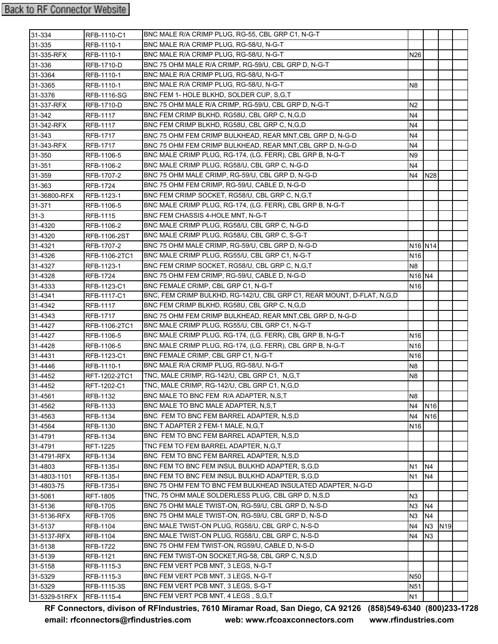| 31-334        | RFB-1110-C1         | BNC MALE R/A CRIMP PLUG, RG-55, CBL GRP C1, N-G-T                      |                                 |                 |                 |  |
|---------------|---------------------|------------------------------------------------------------------------|---------------------------------|-----------------|-----------------|--|
| 31-335        | RFB-1110-1          | BNC MALE R/A CRIMP PLUG, RG-58/U, N-G-T                                |                                 |                 |                 |  |
| 31-335-RFX    | RFB-1110-1          | BNC MALE R/A CRIMP PLUG, RG-58/U, N-G-T                                | N <sub>26</sub>                 |                 |                 |  |
| 31-336        | <b>RFB-1710-D</b>   | BNC 75 OHM MALE R/A CRIMP, RG-59/U, CBL GRP D, N-G-T                   |                                 |                 |                 |  |
| 31-3364       | RFB-1110-1          | BNC MALE R/A CRIMP PLUG, RG-58/U, N-G-T                                |                                 |                 |                 |  |
| 31-3365       | RFB-1110-1          | BNC MALE R/A CRIMP PLUG, RG-58/U, N-G-T                                | N <sub>8</sub>                  |                 |                 |  |
| 31-3376       | <b>RFB-1116-SG</b>  | BNC FEM 1- HOLE BLKHD, SOLDER CUP, S,G,T                               |                                 |                 |                 |  |
| 31-337-RFX    | RFB-1710-D          | BNC 75 OHM MALE R/A CRIMP, RG-59/U, CBL GRP D, N-G-T                   | N <sub>2</sub>                  |                 |                 |  |
| 31-342        | <b>RFB-1117</b>     | BNC FEM CRIMP BLKHD, RG58U, CBL GRP C, N, G, D                         | N4                              |                 |                 |  |
| 31-342-RFX    | <b>RFB-1117</b>     | BNC FEM CRIMP BLKHD, RG58U, CBL GRP C, N, G, D                         | N <sub>4</sub>                  |                 |                 |  |
| 31-343        | <b>RFB-1717</b>     | BNC 75 OHM FEM CRIMP BULKHEAD, REAR MNT, CBL GRP D, N-G-D              | N4                              |                 |                 |  |
| 31-343-RFX    | <b>RFB-1717</b>     | BNC 75 OHM FEM CRIMP BULKHEAD, REAR MNT, CBL GRP D, N-G-D              | N4                              |                 |                 |  |
| 31-350        | RFB-1106-5          | BNC MALE CRIMP PLUG, RG-174, (LG. FERR), CBL GRP B, N-G-T              | N9                              |                 |                 |  |
| 31-351        | RFB-1106-2          | BNC MALE CRIMP PLUG, RG58/U, CBL GRP C, N-G-D                          | N4                              |                 |                 |  |
| 31-359        | RFB-1707-2          | BNC 75 OHM MALE CRIMP, RG-59/U, CBL GRP D, N-G-D                       | N4                              | <b>N28</b>      |                 |  |
| 31-363        | <b>RFB-1724</b>     | BNC 75 OHM FEM CRIMP, RG-59/U, CABLE D, N-G-D                          |                                 |                 |                 |  |
| 31-36800-RFX  | RFB-1123-1          | BNC FEM CRIMP SOCKET, RG58/U, CBL GRP C, N, G, T                       |                                 |                 |                 |  |
| 31-371        | RFB-1106-5          | BNC MALE CRIMP PLUG, RG-174, (LG. FERR), CBL GRP B, N-G-T              |                                 |                 |                 |  |
| $31 - 3$      | <b>RFB-1115</b>     | BNC FEM CHASSIS 4-HOLE MNT, N-G-T                                      |                                 |                 |                 |  |
| 31-4320       | RFB-1106-2          | BNC MALE CRIMP PLUG. RG58/U. CBL GRP C. N-G-D                          |                                 |                 |                 |  |
| 31-4320       | <b>RFB-1106-2ST</b> | BNC MALE CRIMP PLUG, RG58/U, CBL GRP C, S-G-T                          |                                 |                 |                 |  |
| 31-4321       | <b>RFB-1707-2</b>   | BNC 75 OHM MALE CRIMP, RG-59/U, CBL GRP D, N-G-D                       | N <sub>16</sub> N <sub>14</sub> |                 |                 |  |
| 31-4326       | RFB-1106-2TC1       | BNC MALE CRIMP PLUG, RG55/U, CBL GRP C1, N-G-T                         | N <sub>16</sub>                 |                 |                 |  |
| 31-4327       | RFB-1123-1          | BNC FEM CRIMP SOCKET, RG58/U, CBL GRP C, N, G, T                       | N8                              |                 |                 |  |
| 31-4328       | <b>RFB-1724</b>     | BNC 75 OHM FEM CRIMP, RG-59/U, CABLE D, N-G-D                          | N <sub>16</sub> N <sub>4</sub>  |                 |                 |  |
| 31-4333       | RFB-1123-C1         | BNC FEMALE CRIMP, CBL GRP C1, N-G-T                                    | N <sub>16</sub>                 |                 |                 |  |
| 31-4341       | <b>RFB-1117-C1</b>  | BNC, FEM CRIMP BULKHD, RG-142/U, CBL GRP C1, REAR MOUNT, D-FLAT, N,G,D |                                 |                 |                 |  |
| 31-4342       | <b>RFB-1117</b>     | BNC FEM CRIMP BLKHD, RG58U, CBL GRP C, N, G, D                         |                                 |                 |                 |  |
| 31-4343       | <b>RFB-1717</b>     | BNC 75 OHM FEM CRIMP BULKHEAD, REAR MNT, CBL GRP D, N-G-D              |                                 |                 |                 |  |
| 31-4427       | RFB-1106-2TC1       | BNC MALE CRIMP PLUG, RG55/U, CBL GRP C1, N-G-T                         |                                 |                 |                 |  |
| 31-4427       | RFB-1106-5          | BNC MALE CRIMP PLUG, RG-174, (LG. FERR), CBL GRP B, N-G-T              | N <sub>16</sub>                 |                 |                 |  |
| 31-4428       | <b>RFB-1106-5</b>   | BNC MALE CRIMP PLUG, RG-174, (LG. FERR), CBL GRP B, N-G-T              | N <sub>16</sub>                 |                 |                 |  |
| 31-4431       | RFB-1123-C1         | BNC FEMALE CRIMP, CBL GRP C1, N-G-T                                    | N <sub>16</sub>                 |                 |                 |  |
| 31-4446       | RFB-1110-1          | BNC MALE R/A CRIMP PLUG, RG-58/U, N-G-T                                | N <sub>8</sub>                  |                 |                 |  |
| 31-4452       | RFT-1202-2TC1       | TNC, MALE CRIMP, RG-142/U, CBL GRP C1, N,G,T                           | N8                              |                 |                 |  |
| 31-4452       | RFT-1202-C1         | TNC, MALE CRIMP, RG-142/U, CBL GRP C1, N,G,D                           |                                 |                 |                 |  |
| $31 - 4561$   | RFB-1132            | BNC MALE TO BNC FEM R/A ADAPTER, N,S,T                                 | N <sub>8</sub>                  |                 |                 |  |
| 31-4562       | RFB-1133            | BNC MALE TO BNC MALE ADAPTER, N.S.T                                    | N <sub>4</sub>                  | N <sub>16</sub> |                 |  |
| 31-4563       | RFB-1134            | BNC FEM TO BNC FEM BARREL ADAPTER, N,S,D                               | N4                              | N <sub>16</sub> |                 |  |
| 31-4564       | <b>RFB-1130</b>     | BNC T ADAPTER 2 FEM-1 MALE, N.G.T                                      | N16                             |                 |                 |  |
| 31-4791       | <b>RFB-1134</b>     | BNC FEM TO BNC FEM BARREL ADAPTER, N.S.D                               |                                 |                 |                 |  |
| 31-4791       | <b>RFT-1225</b>     | TNC FEM TO FEM BARREL ADAPTER, N,G,T                                   |                                 |                 |                 |  |
| 31-4791-RFX   | <b>RFB-1134</b>     | BNC FEM TO BNC FEM BARREL ADAPTER, N,S,D                               |                                 |                 |                 |  |
| 31-4803       | RFB-1135-I          | BNC FEM TO BNC FEM INSUL BULKHD ADAPTER, S,G,D                         | N1                              | N4              |                 |  |
| 31-4803-1101  | RFB-1135-I          | BNC FEM TO BNC FEM INSUL BULKHD ADAPTER, S,G,D                         | N <sub>1</sub>                  | N4              |                 |  |
| 31-4803-75    | <b>RFB-1735-I</b>   | BNC 75 OHM FEM TO BNC FEM BULKHEAD INSULATED ADAPTER, N-G-D            |                                 |                 |                 |  |
| 31-5061       | <b>RFT-1805</b>     | TNC, 75 OHM MALE SOLDERLESS PLUG, CBL GRP D, N,S,D                     | N <sub>3</sub>                  |                 |                 |  |
| 31-5136       | <b>RFB-1705</b>     | BNC 75 OHM MALE TWIST-ON, RG-59/U, CBL GRP D, N-S-D                    | N <sub>3</sub>                  | N4              |                 |  |
| 31-5136-RFX   | <b>RFB-1705</b>     | BNC 75 OHM MALE TWIST-ON, RG-59/U, CBL GRP D, N-S-D                    | N <sub>3</sub>                  | N4              |                 |  |
| 31-5137       | RFB-1104            | BNC MALE TWIST-ON PLUG, RG58/U, CBL GRP C, N-S-D                       | N4                              | N3              | N <sub>19</sub> |  |
| 31-5137-RFX   | RFB-1104            | BNC MALE TWIST-ON PLUG, RG58/U, CBL GRP C, N-S-D                       | N4                              | N <sub>3</sub>  |                 |  |
| 31-5138       | <b>RFB-1722</b>     | BNC 75 OHM FEM TWIST-ON, RG59/U, CABLE D, N-S-D                        |                                 |                 |                 |  |
| 31-5139       | <b>RFB-1121</b>     | BNC FEM TWIST-ON SOCKET, RG-58, CBL GRP C, N, S, D                     |                                 |                 |                 |  |
| 31-5158       | RFB-1115-3          | BNC FEM VERT PCB MNT, 3 LEGS, N-G-T                                    |                                 |                 |                 |  |
| 31-5329       | RFB-1115-3          | BNC FEM VERT PCB MNT, 3 LEGS, N-G-T                                    | <b>N50</b>                      |                 |                 |  |
| 31-5329       | RFB-1115-3S         | BNC FEM VERT PCB MNT, 3 LEGS, S-G-T                                    | N <sub>51</sub>                 |                 |                 |  |
| 31-5329-51RFX | RFB-1115-4          | BNC FEM VERT PCB MNT, 4 LEGS, S,G,T                                    | N <sub>1</sub>                  |                 |                 |  |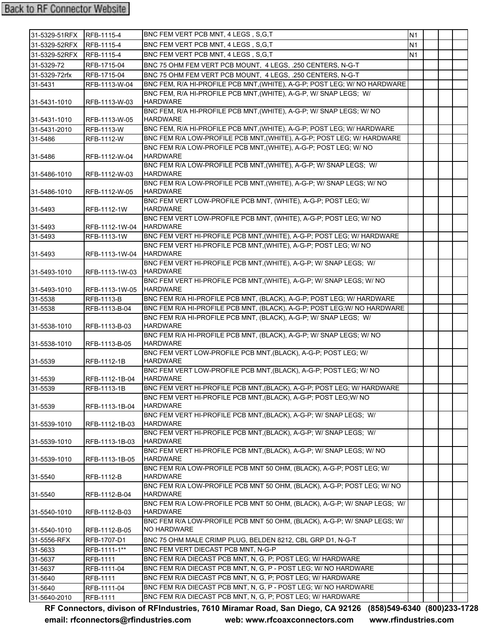| 31-5329-51RFX | RFB-1115-4        | BNC FEM VERT PCB MNT. 4 LEGS. S.G.T.                                                                                                       | <b>N1</b>      |  |  |
|---------------|-------------------|--------------------------------------------------------------------------------------------------------------------------------------------|----------------|--|--|
| 31-5329-52RFX | RFB-1115-4        | BNC FEM VERT PCB MNT, 4 LEGS, S.G.T.                                                                                                       | N <sub>1</sub> |  |  |
| 31-5329-52RFX | RFB-1115-4        | BNC FEM VERT PCB MNT, 4 LEGS, S.G.T                                                                                                        | N <sub>1</sub> |  |  |
| 31-5329-72    | RFB-1715-04       | BNC 75 OHM FEM VERT PCB MOUNT, 4 LEGS, .250 CENTERS, N-G-T                                                                                 |                |  |  |
| 31-5329-72rfx | RFB-1715-04       | BNC 75 OHM FEM VERT PCB MOUNT, 4 LEGS, .250 CENTERS, N-G-T                                                                                 |                |  |  |
| 31-5431       | RFB-1113-W-04     | BNC FEM, R/A HI-PROFILE PCB MNT, (WHITE), A-G-P; POST LEG; W/ NO HARDWARE                                                                  |                |  |  |
|               |                   | BNC FEM, R/A HI-PROFILE PCB MNT, (WHITE), A-G-P, W/ SNAP LEGS; W/                                                                          |                |  |  |
| 31-5431-1010  | RFB-1113-W-03     | <b>HARDWARE</b>                                                                                                                            |                |  |  |
|               |                   | BNC FEM, R/A HI-PROFILE PCB MNT, (WHITE), A-G-P; W/ SNAP LEGS; W/ NO                                                                       |                |  |  |
| 31-5431-1010  | RFB-1113-W-05     | <b>HARDWARE</b>                                                                                                                            |                |  |  |
| 31-5431-2010  | RFB-1113-W        | BNC FEM, R/A HI-PROFILE PCB MNT, (WHITE), A-G-P; POST LEG; W/ HARDWARE                                                                     |                |  |  |
| 31-5486       | RFB-1112-W        | BNC FEM R/A LOW-PROFILE PCB MNT, (WHITE), A-G-P; POST LEG; W/ HARDWARE                                                                     |                |  |  |
| 31-5486       | RFB-1112-W-04     | BNC FEM R/A LOW-PROFILE PCB MNT, (WHITE), A-G-P; POST LEG; W/ NO<br><b>HARDWARE</b>                                                        |                |  |  |
|               |                   | BNC FEM R/A LOW-PROFILE PCB MNT, (WHITE), A-G-P; W/ SNAP LEGS; W/                                                                          |                |  |  |
| 31-5486-1010  | RFB-1112-W-03     | <b>HARDWARE</b>                                                                                                                            |                |  |  |
|               |                   | BNC FEM R/A LOW-PROFILE PCB MNT, (WHITE), A-G-P; W/ SNAP LEGS; W/ NO                                                                       |                |  |  |
| 31-5486-1010  | RFB-1112-W-05     | <b>HARDWARE</b>                                                                                                                            |                |  |  |
|               |                   | BNC FEM VERT LOW-PROFILE PCB MNT, (WHITE), A-G-P; POST LEG; W/                                                                             |                |  |  |
| 31-5493       | RFB-1112-1W       | <b>HARDWARE</b>                                                                                                                            |                |  |  |
|               |                   | BNC FEM VERT LOW-PROFILE PCB MNT, (WHITE), A-G-P; POST LEG; W/ NO                                                                          |                |  |  |
| 31-5493       | RFB-1112-1W-04    | <b>HARDWARE</b>                                                                                                                            |                |  |  |
| 31-5493       | RFB-1113-1W       | BNC FEM VERT HI-PROFILE PCB MNT, (WHITE), A-G-P; POST LEG; W/ HARDWARE<br>BNC FEM VERT HI-PROFILE PCB MNT, (WHITE), A-G-P; POST LEG; W/ NO |                |  |  |
| 31-5493       | RFB-1113-1W-04    | <b>HARDWARE</b>                                                                                                                            |                |  |  |
|               |                   | BNC FEM VERT HI-PROFILE PCB MNT, (WHITE), A-G-P; W/ SNAP LEGS; W/                                                                          |                |  |  |
| 31-5493-1010  | RFB-1113-1W-03    | <b>HARDWARE</b>                                                                                                                            |                |  |  |
|               |                   | BNC FEM VERT HI-PROFILE PCB MNT, (WHITE), A-G-P; W/ SNAP LEGS; W/ NO                                                                       |                |  |  |
| 31-5493-1010  | RFB-1113-1W-05    | <b>HARDWARE</b>                                                                                                                            |                |  |  |
| 31-5538       | <b>RFB-1113-B</b> | BNC FEM R/A HI-PROFILE PCB MNT, (BLACK), A-G-P; POST LEG; W/ HARDWARE                                                                      |                |  |  |
| 31-5538       | RFB-1113-B-04     | BNC FEM R/A HI-PROFILE PCB MNT, (BLACK), A-G-P; POST LEG; W/ NO HARDWARE                                                                   |                |  |  |
| 31-5538-1010  | RFB-1113-B-03     | BNC FEM R/A HI-PROFILE PCB MNT, (BLACK), A-G-P; W/ SNAP LEGS; W/<br><b>HARDWARE</b>                                                        |                |  |  |
|               |                   | BNC FEM R/A HI-PROFILE PCB MNT, (BLACK), A-G-P; W/ SNAP LEGS; W/ NO                                                                        |                |  |  |
| 31-5538-1010  | RFB-1113-B-05     | <b>HARDWARE</b>                                                                                                                            |                |  |  |
| 31-5539       | RFB-1112-1B       | BNC FEM VERT LOW-PROFILE PCB MNT, (BLACK), A-G-P; POST LEG; W/<br><b>HARDWARE</b>                                                          |                |  |  |
|               |                   | BNC FEM VERT LOW-PROFILE PCB MNT, (BLACK), A-G-P; POST LEG; W/ NO                                                                          |                |  |  |
| 31-5539       | RFB-1112-1B-04    | <b>HARDWARE</b><br>BNC FEM VERT HI-PROFILE PCB MNT, (BLACK), A-G-P; POST LEG; W/ HARDWARE                                                  |                |  |  |
| 31-5539       | RFB-1113-1B       | BNC FEM VERT HI-PROFILE PCB MNT, (BLACK), A-G-P; POST LEG; W/ NO                                                                           |                |  |  |
| 31-5539       | RFB-1113-1B-04    | <b>HARDWARE</b>                                                                                                                            |                |  |  |
|               |                   | BNC FEM VERT HI-PROFILE PCB MNT, (BLACK), A-G-P; W/ SNAP LEGS; W/                                                                          |                |  |  |
| 31-5539-1010  | RFB-1112-1B-03    | <b>HARDWARE</b>                                                                                                                            |                |  |  |
|               |                   | BNC FEM VERT HI-PROFILE PCB MNT, (BLACK), A-G-P; W/ SNAP LEGS; W/                                                                          |                |  |  |
| 31-5539-1010  | RFB-1113-1B-03    | <b>HARDWARE</b>                                                                                                                            |                |  |  |
|               |                   | BNC FEM VERT HI-PROFILE PCB MNT, (BLACK), A-G-P; W/ SNAP LEGS; W/ NO                                                                       |                |  |  |
| 31-5539-1010  | RFB-1113-1B-05    | <b>HARDWARE</b><br>BNC FEM R/A LOW-PROFILE PCB MNT 50 OHM, (BLACK), A-G-P; POST LEG; W/                                                    |                |  |  |
| 31-5540       | RFB-1112-B        | <b>HARDWARE</b>                                                                                                                            |                |  |  |
|               |                   | BNC FEM R/A LOW-PROFILE PCB MNT 50 OHM, (BLACK), A-G-P; POST LEG; W/ NO                                                                    |                |  |  |
| 31-5540       | RFB-1112-B-04     | <b>HARDWARE</b>                                                                                                                            |                |  |  |
|               |                   | BNC FEM R/A LOW-PROFILE PCB MNT 50 OHM, (BLACK), A-G-P; W/ SNAP LEGS; W/                                                                   |                |  |  |
| 31-5540-1010  | RFB-1112-B-03     | <b>HARDWARE</b>                                                                                                                            |                |  |  |
| 31-5540-1010  | RFB-1112-B-05     | BNC FEM R/A LOW-PROFILE PCB MNT 50 OHM, (BLACK), A-G-P; W/ SNAP LEGS; W/<br><b>NO HARDWARE</b>                                             |                |  |  |
| 31-5556-RFX   | RFB-1707-D1       | BNC 75 OHM MALE CRIMP PLUG, BELDEN 8212, CBL GRP D1, N-G-T                                                                                 |                |  |  |
| 31-5633       | RFB-1111-1**      | BNC FEM VERT DIECAST PCB MNT, N-G-P                                                                                                        |                |  |  |
| 31-5637       | RFB-1111          | BNC FEM R/A DIECAST PCB MNT, N, G, P; POST LEG; W/ HARDWARE                                                                                |                |  |  |
| 31-5637       | RFB-1111-04       | BNC FEM R/A DIECAST PCB MNT, N, G, P - POST LEG; W/ NO HARDWARE                                                                            |                |  |  |
| 31-5640       | RFB-1111          | BNC FEM R/A DIECAST PCB MNT, N, G, P; POST LEG; W/ HARDWARE                                                                                |                |  |  |
| 31-5640       | RFB-1111-04       | BNC FEM R/A DIECAST PCB MNT, N, G, P - POST LEG; W/ NO HARDWARE                                                                            |                |  |  |
| 31-5640-2010  | RFB-1111          | BNC FEM R/A DIECAST PCB MNT, N, G, P; POST LEG; W/ HARDWARE                                                                                |                |  |  |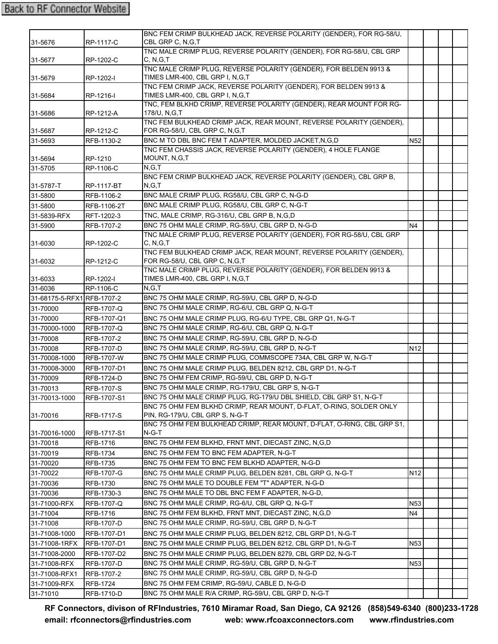|                           |                   | BNC FEM CRIMP BULKHEAD JACK, REVERSE POLARITY (GENDER), FOR RG-58/U,                                  |                 |  |  |
|---------------------------|-------------------|-------------------------------------------------------------------------------------------------------|-----------------|--|--|
| 31-5676                   | RP-1117-C         | CBL GRP C, N, G, T                                                                                    |                 |  |  |
|                           |                   | TNC MALE CRIMP PLUG, REVERSE POLARITY (GENDER), FOR RG-58/U, CBL GRP                                  |                 |  |  |
| 31-5677                   | RP-1202-C         | C, N, G, T                                                                                            |                 |  |  |
|                           |                   | TNC MALE CRIMP PLUG, REVERSE POLARITY (GENDER), FOR BELDEN 9913 &                                     |                 |  |  |
| 31-5679                   | RP-1202-I         | TIMES LMR-400, CBL GRP I, N, G, T                                                                     |                 |  |  |
| 31-5684                   | RP-1216-I         | TNC FEM CRIMP JACK, REVERSE POLARITY (GENDER), FOR BELDEN 9913 &<br>TIMES LMR-400, CBL GRP I, N, G, T |                 |  |  |
|                           |                   | TNC, FEM BLKHD CRIMP, REVERSE POLARITY (GENDER), REAR MOUNT FOR RG-                                   |                 |  |  |
| 31-5686                   | RP-1212-A         | 178/U, N, G, T                                                                                        |                 |  |  |
|                           |                   | TNC FEM BULKHEAD CRIMP JACK, REAR MOUNT, REVERSE POLARITY (GENDER),                                   |                 |  |  |
| 31-5687                   | RP-1212-C         | FOR RG-58/U, CBL GRP C, N, G, T                                                                       |                 |  |  |
| 31-5693                   | RFB-1130-2        | BNC M TO DBL BNC FEM T ADAPTER, MOLDED JACKET, N, G, D                                                | N <sub>52</sub> |  |  |
|                           |                   | TNC FEM CHASSIS JACK, REVERSE POLARITY (GENDER), 4 HOLE FLANGE                                        |                 |  |  |
| 31-5694                   | RP-1210           | MOUNT, N,G,T                                                                                          |                 |  |  |
| 31-5705                   | RP-1106-C         | N, G, T                                                                                               |                 |  |  |
|                           |                   | BNC FEM CRIMP BULKHEAD JACK, REVERSE POLARITY (GENDER), CBL GRP B,                                    |                 |  |  |
| 31-5787-T                 | RP-1117-BT        | N.G.T                                                                                                 |                 |  |  |
| 31-5800                   | RFB-1106-2        | BNC MALE CRIMP PLUG, RG58/U, CBL GRP C, N-G-D                                                         |                 |  |  |
| 31-5800                   | RFB-1106-2T       | BNC MALE CRIMP PLUG, RG58/U, CBL GRP C, N-G-T                                                         |                 |  |  |
| 31-5839-RFX               | RFT-1202-3        | TNC, MALE CRIMP, RG-316/U, CBL GRP B, N,G,D                                                           |                 |  |  |
| 31-5900                   | RFB-1707-2        | BNC 75 OHM MALE CRIMP, RG-59/U, CBL GRP D, N-G-D                                                      | N <sub>4</sub>  |  |  |
|                           |                   | TNC MALE CRIMP PLUG, REVERSE POLARITY (GENDER), FOR RG-58/U, CBL GRP                                  |                 |  |  |
| 31-6030                   | RP-1202-C         | C, N, G, T<br>TNC FEM BULKHEAD CRIMP JACK, REAR MOUNT, REVERSE POLARITY (GENDER),                     |                 |  |  |
| 31-6032                   | RP-1212-C         | FOR RG-58/U, CBL GRP C, N, G, T                                                                       |                 |  |  |
|                           |                   | TNC MALE CRIMP PLUG, REVERSE POLARITY (GENDER), FOR BELDEN 9913 &                                     |                 |  |  |
| 31-6033                   | RP-1202-I         | TIMES LMR-400, CBL GRP I, N, G, T                                                                     |                 |  |  |
| 31-6036                   | RP-1106-C         | N.G.T                                                                                                 |                 |  |  |
| 31-68175-5-RFX1RFB-1707-2 |                   | BNC 75 OHM MALE CRIMP, RG-59/U, CBL GRP D, N-G-D                                                      |                 |  |  |
| 31-70000                  | RFB-1707-Q        | BNC 75 OHM MALE CRIMP, RG-6/U, CBL GRP Q, N-G-T                                                       |                 |  |  |
| 31-70000                  | RFB-1707-Q1       | BNC 75 OHM MALE CRIMP PLUG, RG-6/U TYPE, CBL GRP Q1, N-G-T                                            |                 |  |  |
| 31-70000-1000             | RFB-1707-Q        | BNC 75 OHM MALE CRIMP, RG-6/U, CBL GRP Q, N-G-T                                                       |                 |  |  |
| 31-70008                  | RFB-1707-2        | BNC 75 OHM MALE CRIMP, RG-59/U, CBL GRP D, N-G-D                                                      |                 |  |  |
| 31-70008                  | RFB-1707-D        | BNC 75 OHM MALE CRIMP, RG-59/U, CBL GRP D, N-G-T                                                      | N <sub>12</sub> |  |  |
| 31-70008-1000             | <b>RFB-1707-W</b> | BNC 75 OHM MALE CRIMP PLUG, COMMSCOPE 734A, CBL GRP W, N-G-T                                          |                 |  |  |
| 31-70008-3000             | RFB-1707-D1       | BNC 75 OHM MALE CRIMP PLUG, BELDEN 8212, CBL GRP D1, N-G-T                                            |                 |  |  |
| 31-70009                  | RFB-1724-D        | BNC 75 OHM FEM CRIMP, RG-59/U, CBL GRP D, N-G-T                                                       |                 |  |  |
| 31-70013                  | RFB-1707-S        | BNC 75 OHM MALE CRIMP, RG-179/U, CBL GRP S, N-G-T                                                     |                 |  |  |
| 31-70013-1000             | RFB-1707-S1       | BNC 75 OHM MALE CRIMP PLUG, RG-179/U DBL SHIELD, CBL GRP S1, N-G-T                                    |                 |  |  |
|                           |                   | BNC 75 OHM FEM BLKHD CRIMP, REAR MOUNT, D-FLAT, O-RING, SOLDER ONLY                                   |                 |  |  |
| 31-70016                  | RFB-1717-S        | PIN, RG-179/U, CBL GRP S, N-G-T                                                                       |                 |  |  |
|                           |                   | BNC 75 OHM FEM BULKHEAD CRIMP, REAR MOUNT, D-FLAT, O-RING, CBL GRP S1,                                |                 |  |  |
| 31-70016-1000             | RFB-1717-S1       | N-G-T                                                                                                 |                 |  |  |
| 31-70018                  | RFB-1716          | BNC 75 OHM FEM BLKHD, FRNT MNT, DIECAST ZINC, N,G,D                                                   |                 |  |  |
| 31-70019                  | <b>RFB-1734</b>   | BNC 75 OHM FEM TO BNC FEM ADAPTER, N-G-T                                                              |                 |  |  |
| 31-70020                  | RFB-1735          | BNC 75 OHM FEM TO BNC FEM BLKHD ADAPTER, N-G-D                                                        |                 |  |  |
| 31-70022                  | RFB-1707-G        | BNC 75 OHM MALE CRIMP PLUG, BELDEN 8281, CBL GRP G, N-G-T                                             | N <sub>12</sub> |  |  |
| 31-70036                  | RFB-1730          | BNC 75 OHM MALE TO DOUBLE FEM "T" ADAPTER, N-G-D                                                      |                 |  |  |
| 31-70036                  | RFB-1730-3        | BNC 75 OHM MALE TO DBL BNC FEM F ADAPTER, N-G-D,                                                      |                 |  |  |
| 31-71000-RFX              | RFB-1707-Q        | BNC 75 OHM MALE CRIMP, RG-6/U, CBL GRP Q, N-G-T                                                       | N <sub>53</sub> |  |  |
| 31-71004                  | RFB-1716          | BNC 75 OHM FEM BLKHD, FRNT MNT, DIECAST ZINC, N,G,D                                                   | N4              |  |  |
| 31-71008                  | RFB-1707-D        | BNC 75 OHM MALE CRIMP, RG-59/U, CBL GRP D, N-G-T                                                      |                 |  |  |
| 31-71008-1000             | RFB-1707-D1       | BNC 75 OHM MALE CRIMP PLUG, BELDEN 8212, CBL GRP D1, N-G-T                                            |                 |  |  |
| 31-71008-1RFX             | RFB-1707-D1       | BNC 75 OHM MALE CRIMP PLUG, BELDEN 8212, CBL GRP D1, N-G-T                                            | N <sub>53</sub> |  |  |
| 31-71008-2000             | RFB-1707-D2       | BNC 75 OHM MALE CRIMP PLUG, BELDEN 8279, CBL GRP D2, N-G-T                                            |                 |  |  |
| 31-71008-RFX              | RFB-1707-D        | BNC 75 OHM MALE CRIMP, RG-59/U, CBL GRP D, N-G-T                                                      | N <sub>53</sub> |  |  |
| 31-71008-RFX1             | RFB-1707-2        | BNC 75 OHM MALE CRIMP, RG-59/U, CBL GRP D, N-G-D                                                      |                 |  |  |
| 31-71009-RFX              | RFB-1724          | BNC 75 OHM FEM CRIMP, RG-59/U, CABLE D, N-G-D                                                         |                 |  |  |
| 31-71010                  | RFB-1710-D        | BNC 75 OHM MALE R/A CRIMP, RG-59/U, CBL GRP D, N-G-T                                                  |                 |  |  |
|                           |                   |                                                                                                       |                 |  |  |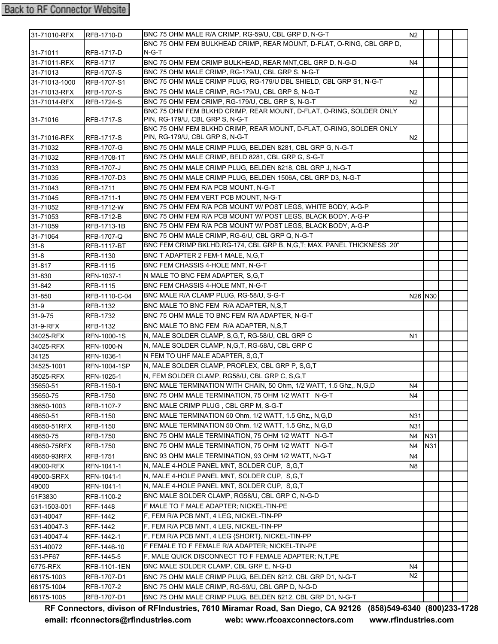## **Back to RF Connector Website**

| 31-71010-RFX  | <b>RFB-1710-D</b>   | BNC 75 OHM MALE R/A CRIMP, RG-59/U, CBL GRP D, N-G-T                             | N2             |     |  |
|---------------|---------------------|----------------------------------------------------------------------------------|----------------|-----|--|
| 31-71011      | RFB-1717-D          | BNC 75 OHM FEM BULKHEAD CRIMP, REAR MOUNT, D-FLAT, O-RING, CBL GRP D,<br>$N-G-T$ |                |     |  |
| 31-71011-RFX  | <b>RFB-1717</b>     | BNC 75 OHM FEM CRIMP BULKHEAD, REAR MNT, CBL GRP D, N-G-D                        | N4             |     |  |
| 31-71013      | <b>RFB-1707-S</b>   | BNC 75 OHM MALE CRIMP, RG-179/U, CBL GRP S, N-G-T                                |                |     |  |
| 31-71013-1000 | RFB-1707-S1         | BNC 75 OHM MALE CRIMP PLUG, RG-179/U DBL SHIELD, CBL GRP S1, N-G-T               |                |     |  |
| 31-71013-RFX  | <b>RFB-1707-S</b>   | BNC 75 OHM MALE CRIMP, RG-179/U, CBL GRP S, N-G-T                                | N <sub>2</sub> |     |  |
| 31-71014-RFX  | RFB-1724-S          | BNC 75 OHM FEM CRIMP, RG-179/U, CBL GRP S, N-G-T                                 | N <sub>2</sub> |     |  |
|               |                     | BNC 75 OHM FEM BLKHD CRIMP, REAR MOUNT, D-FLAT, O-RING, SOLDER ONLY              |                |     |  |
| 31-71016      | RFB-1717-S          | PIN, RG-179/U, CBL GRP S, N-G-T                                                  |                |     |  |
|               |                     | BNC 75 OHM FEM BLKHD CRIMP, REAR MOUNT, D-FLAT, O-RING, SOLDER ONLY              |                |     |  |
| 31-71016-RFX  | RFB-1717-S          | PIN, RG-179/U, CBL GRP S, N-G-T                                                  | N <sub>2</sub> |     |  |
| 31-71032      | RFB-1707-G          | BNC 75 OHM MALE CRIMP PLUG, BELDEN 8281, CBL GRP G, N-G-T                        |                |     |  |
| 31-71032      | RFB-1708-1T         | BNC 75 OHM MALE CRIMP, BELD 8281, CBL GRP G, S-G-T                               |                |     |  |
| 31-71033      | RFB-1707-J          | BNC 75 OHM MALE CRIMP PLUG, BELDEN 8218, CBL GRP J, N-G-T                        |                |     |  |
| 31-71035      | RFB-1707-D3         | BNC 75 OHM MALE CRIMP PLUG, BELDEN 1506A, CBL GRP D3, N-G-T                      |                |     |  |
| 31-71043      | <b>RFB-1711</b>     | BNC 75 OHM FEM R/A PCB MOUNT, N-G-T                                              |                |     |  |
| 31-71045      | RFB-1711-1          | BNC 75 OHM FEM VERT PCB MOUNT, N-G-T                                             |                |     |  |
| 31-71052      | <b>RFB-1712-W</b>   | BNC 75 OHM FEM R/A PCB MOUNT W/ POST LEGS. WHITE BODY, A-G-P                     |                |     |  |
| 31-71053      | RFB-1712-B          | BNC 75 OHM FEM R/A PCB MOUNT W/ POST LEGS, BLACK BODY, A-G-P                     |                |     |  |
| 31-71059      | RFB-1713-1B         | BNC 75 OHM FEM R/A PCB MOUNT W/ POST LEGS, BLACK BODY, A-G-P                     |                |     |  |
| 31-71064      | RFB-1707-Q          | BNC 75 OHM MALE CRIMP, RG-6/U, CBL GRP Q, N-G-T                                  |                |     |  |
| $31 - 8$      | RFB-1117-BT         | BNC FEM CRIMP BKLHD, RG-174, CBL GRP B, N, G, T; MAX. PANEL THICKNESS .20"       |                |     |  |
| $31 - 8$      | RFB-1130            | BNC T ADAPTER 2 FEM-1 MALE, N, G, T                                              |                |     |  |
| 31-817        | RFB-1115            | BNC FEM CHASSIS 4-HOLE MNT, N-G-T                                                |                |     |  |
| 31-830        | RFN-1037-1          | N MALE TO BNC FEM ADAPTER, S,G,T                                                 |                |     |  |
| 31-842        | <b>RFB-1115</b>     | BNC FEM CHASSIS 4-HOLE MNT, N-G-T                                                |                |     |  |
| 31-850        | RFB-1110-C-04       | BNC MALE R/A CLAMP PLUG, RG-58/U, S-G-T                                          | N26 N30        |     |  |
| $31-9$        | RFB-1132            | BNC MALE TO BNC FEM R/A ADAPTER, N,S,T                                           |                |     |  |
| 31-9-75       | RFB-1732            | BNC 75 OHM MALE TO BNC FEM R/A ADAPTER, N-G-T                                    |                |     |  |
| 31-9-RFX      | RFB-1132            | BNC MALE TO BNC FEM R/A ADAPTER, N,S,T                                           |                |     |  |
| 34025-RFX     | RFN-1000-1S         | N, MALE SOLDER CLAMP, S, G, T, RG-58/U, CBL GRP C                                | N1             |     |  |
| 34025-RFX     | <b>RFN-1000-N</b>   | N, MALE SOLDER CLAMP, N,G,T, RG-58/U, CBL GRP C                                  |                |     |  |
| 34125         | RFN-1036-1          | N FEM TO UHF MALE ADAPTER, S,G,T                                                 |                |     |  |
| 34525-1001    | <b>RFN-1004-1SP</b> | N, MALE SOLDER CLAMP, PROFLEX, CBL GRP P, S, G, T                                |                |     |  |
| 35025-RFX     | RFN-1025-1          | N, FEM SOLDER CLAMP, RG58/U, CBL GRP C, S,G,T                                    |                |     |  |
| 35650-51      | RFB-1150-1          | BNC MALE TERMINATION WITH CHAIN, 50 Ohm, 1/2 WATT, 1.5 Ghz,, N,G,D               | N4             |     |  |
| 35650-75      | RFB-1750            | BNC 75 OHM MALE TERMINATION, 75 OHM 1/2 WATT N-G-T                               | N <sub>4</sub> |     |  |
| 36650-1003    | RFB-1107-7          | BNC MALE CRIMP PLUG, CBL GRP M, S-G-T                                            |                |     |  |
| 46650-51      | RFB-1150            | BNC MALE TERMINATION 50 Ohm, 1/2 WATT, 1.5 Ghz,, N,G,D                           | <b>N31</b>     |     |  |
| 46650-51RFX   | RFB-1150            | BNC MALE TERMINATION 50 Ohm, 1/2 WATT, 1.5 Ghz., N.G.D                           | N31            |     |  |
| 46650-75      | <b>RFB-1750</b>     | BNC 75 OHM MALE TERMINATION, 75 OHM 1/2 WATT N-G-T                               | N4             | N31 |  |
| 46650-75RFX   | <b>RFB-1750</b>     | BNC 75 OHM MALE TERMINATION, 75 OHM 1/2 WATT N-G-T                               | N4             | N31 |  |
| 46650-93RFX   | <b>RFB-1751</b>     | BNC 93 OHM MALE TERMINATION, 93 OHM 1/2 WATT, N-G-T                              | N4             |     |  |
| 49000-RFX     | RFN-1041-1          | N, MALE 4-HOLE PANEL MNT, SOLDER CUP, S.G.T                                      | N8             |     |  |
| 49000-SRFX    | RFN-1041-1          | N, MALE 4-HOLE PANEL MNT, SOLDER CUP, S,G,T                                      |                |     |  |
| 49000         | RFN-1041-1          | N, MALE 4-HOLE PANEL MNT, SOLDER CUP, S,G,T                                      |                |     |  |
| 51F3830       | RFB-1100-2          | BNC MALE SOLDER CLAMP, RG58/U, CBL GRP C, N-G-D                                  |                |     |  |
| 531-1503-001  | <b>RFF-1448</b>     | F MALE TO F MALE ADAPTER; NICKEL-TIN-PE                                          |                |     |  |
| 531-40047     | <b>RFF-1442</b>     | F, FEM R/A PCB MNT, 4 LEG, NICKEL-TIN-PP                                         |                |     |  |
| 531-40047-3   | <b>RFF-1442</b>     | F, FEM R/A PCB MNT, 4 LEG, NICKEL-TIN-PP                                         |                |     |  |
| 531-40047-4   | RFF-1442-1          | F, FEM R/A PCB MNT, 4 LEG {SHORT}, NICKEL-TIN-PP                                 |                |     |  |
| 531-40072     | RFF-1446-10         | F FEMALE TO F FEMALE R/A ADAPTER; NICKEL-TIN-PE                                  |                |     |  |
| 531-PF67      | RFF-1445-5          | F, MALE QUICK DISCONNECT TO F FEMALE ADAPTER; N,T,PE                             |                |     |  |
| 6775-RFX      | RFB-1101-1EN        | BNC MALE SOLDER CLAMP, CBL GRP E, N-G-D                                          | N4             |     |  |
| 68175-1003    | RFB-1707-D1         | BNC 75 OHM MALE CRIMP PLUG, BELDEN 8212, CBL GRP D1, N-G-T                       | N2             |     |  |
| 68175-1004    | RFB-1707-2          | BNC 75 OHM MALE CRIMP, RG-59/U, CBL GRP D, N-G-D                                 |                |     |  |
| 68175-1005    | RFB-1707-D1         | BNC 75 OHM MALE CRIMP PLUG, BELDEN 8212, CBL GRP D1, N-G-T                       |                |     |  |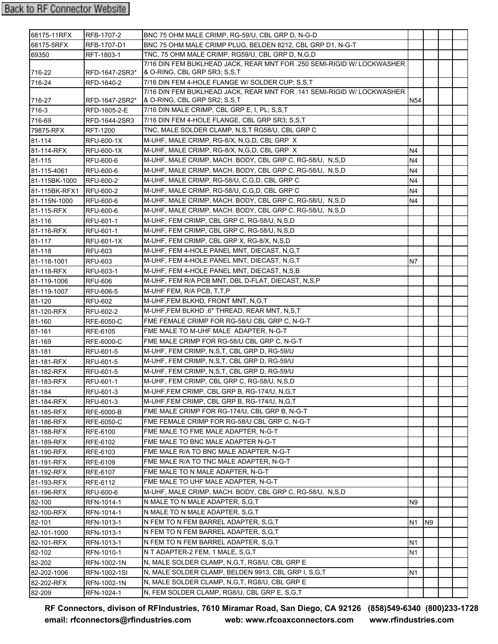| 68175-11RFX   | RFB-1707-2       | BNC 75 OHM MALE CRIMP. RG-59/U. CBL GRP D. N-G-D                                                       |                 |    |  |
|---------------|------------------|--------------------------------------------------------------------------------------------------------|-----------------|----|--|
| 68175-5RFX    | RFB-1707-D1      | BNC 75 OHM MALE CRIMP PLUG. BELDEN 8212, CBL GRP D1, N-G-T                                             |                 |    |  |
| 69350         | RFT-1803-1       | TNC, 75 OHM MALE CRIMP, RG59/U, CBL GRP D, N,G,D                                                       |                 |    |  |
|               |                  | 7/16 DIN FEM BUKLHEAD JACK, REAR MNT FOR .250 SEMI-RIGID W/ LOCKWASHER                                 |                 |    |  |
| 716-22        | RFD-1647-2SR3*   | & O-RING, CBL GRP SR3; S,S,T                                                                           |                 |    |  |
| 716-24        | RFD-1640-2       | 7/16 DIN FEM 4-HOLE FLANGE W/ SOLDER CUP; S.S.T                                                        |                 |    |  |
| 716-27        | RFD-1647-2SR2*   | 7/16 DIN FEM BUKLHEAD JACK, REAR MNT FOR .141 SEMI-RIGID W/ LOCKWASHER<br>& O-RING, CBL GRP SR2; S,S,T | N <sub>54</sub> |    |  |
| 716-3         | RFD-1605-2-E     | 7/16 DIN MALE CRIMP, CBL GRP E, I, PL; S,S,T                                                           |                 |    |  |
| 716-69        | RFD-1644-2SR3    | 7/16 DIN FEM 4-HOLE FLANGE, CBL GRP SR3; S,S,T                                                         |                 |    |  |
| 79875-RFX     | RFT-1200         | TNC, MALE SOLDER CLAMP, N,S,T RG58/U, CBL GRP C                                                        |                 |    |  |
| 81-114        | RFU-600-1X       | M-UHF, MALE CRIMP, RG-8/X, N,G,D, CBL GRP X                                                            |                 |    |  |
| 81-114-RFX    | RFU-600-1X       | M-UHF, MALE CRIMP, RG-8/X, N,G,D, CBL GRP X                                                            | N4              |    |  |
| 81-115        | RFU-600-6        | M-UHF, MALE CRIMP, MACH. BODY, CBL GRP C, RG-58/U, N,S,D                                               | N4              |    |  |
| 81-115-4061   | RFU-600-6        | M-UHF, MALE CRIMP, MACH. BODY, CBL GRP C, RG-58/U, N,S,D                                               | N4              |    |  |
| 81-115BK-1000 | <b>RFU-600-2</b> | M-UHF, MALE CRIMP, RG-58/U, C, G, D, CBL GRP C                                                         | N4              |    |  |
| 81-115BK-RFX1 | <b>RFU-600-2</b> | M-UHF, MALE CRIMP, RG-58/U, C,G,D, CBL GRP C                                                           | N4              |    |  |
| 81-115N-1000  | RFU-600-6        | M-UHF, MALE CRIMP, MACH. BODY, CBL GRP C, RG-58/U, N,S,D                                               | N4              |    |  |
| 81-115-RFX    | RFU-600-6        | M-UHF, MALE CRIMP, MACH. BODY, CBL GRP C, RG-58/U, N,S,D                                               |                 |    |  |
| 81-116        | RFU-601-1        | M-UHF, FEM CRIMP, CBL GRP C, RG-58/U, N,S,D                                                            |                 |    |  |
| 81-116-RFX    | RFU-601-1        | M-UHF, FEM CRIMP, CBL GRP C, RG-58/U, N,S,D                                                            |                 |    |  |
| 81-117        | RFU-601-1X       | M-UHF, FEM CRIMP, CBL GRP X, RG-8/X, N,S,D                                                             |                 |    |  |
| 81-118        | <b>RFU-603</b>   | M-UHF, FEM 4-HOLE PANEL MNT, DIECAST, N,G,T                                                            |                 |    |  |
| 81-118-1001   | <b>RFU-603</b>   | M-UHF, FEM 4-HOLE PANEL MNT, DIECAST, N,G,T                                                            | N7              |    |  |
| 81-118-RFX    | RFU-603-1        | M-UHF, FEM 4-HOLE PANEL MNT, DIECAST, N,S,B                                                            |                 |    |  |
| 81-119-1006   | RFU-606          | M-UHF, FEM R/A PCB MNT, DBL D-FLAT, DIECAST, N,S,P                                                     |                 |    |  |
| 81-119-1007   | RFU-606-5        | M-UHF FEM, R/A PCB, T,T,P                                                                              |                 |    |  |
| 81-120        | <b>RFU-602</b>   | M-UHF, FEM BLKHD, FRONT MNT, N, G, T                                                                   |                 |    |  |
| 81-120-RFX    | RFU-602-2        | M-UHF, FEM BLKHD .6" THREAD, REAR MNT, N,S,T                                                           |                 |    |  |
| 81-160        | RFE-6050-C       | FME FEMALE CRIMP FOR RG-58/U CBL GRP C, N-G-T                                                          |                 |    |  |
| 81-161        | RFE-6105         | FME MALE TO M-UHF MALE ADAPTER, N-G-T                                                                  |                 |    |  |
| 81-169        | RFE-6000-C       | FME MALE CRIMP FOR RG-58/U CBL GRP C, N-G-T                                                            |                 |    |  |
| 81-181        | RFU-601-5        | M-UHF, FEM CRIMP, N,S,T, CBL GRP D, RG-59/U                                                            |                 |    |  |
| 81-181-RFX    | RFU-601-5        | M-UHF, FEM CRIMP, N,S,T, CBL GRP D, RG-59/U                                                            |                 |    |  |
| 81-182-RFX    | RFU-601-5        | M-UHF, FEM CRIMP, N,S,T, CBL GRP D, RG-59/U                                                            |                 |    |  |
| 81-183-RFX    | RFU-601-1        | M-UHF, FEM CRIMP, CBL GRP C, RG-58/U, N,S,D                                                            |                 |    |  |
| 81-184        | RFU-601-3        | M-UHF, FEM CRIMP, CBL GRP B, RG-174/U, N, G, T                                                         |                 |    |  |
| 81-184-RFX    | RFU-601-3        | M-UHF, FEM CRIMP, CBL GRP B, RG-174/U, N, G, T                                                         |                 |    |  |
| 81-185-RFX    | RFE-6000-B       | FME MALE CRIMP FOR RG-174/U, CBL GRP B, N-G-T                                                          |                 |    |  |
| 81-186-RFX    | RFE-6050-C       | FME FEMALE CRIMP FOR RG-58/U CBL GRP C, N-G-T                                                          |                 |    |  |
| 81-188-RFX    | RFE-6100         | FME MALE TO FME MALE ADAPTER, N-G-T                                                                    |                 |    |  |
| 81-189-RFX    | RFE-6102         | FME MALE TO BNC MALE ADAPTER N-G-T                                                                     |                 |    |  |
| 81-190-RFX    | RFE-6103         | FME MALE R/A TO BNC MALE ADAPTER, N-G-T                                                                |                 |    |  |
| 81-191-RFX    | RFE-6109         | FME MALE R/A TO TNC MALE ADAPTER, N-G-T                                                                |                 |    |  |
| 81-192-RFX    | RFE-6107         | FME MALE TO N MALE ADAPTER, N-G-T                                                                      |                 |    |  |
| 81-193-RFX    | RFE-6112         | FME MALE TO UHF MALE ADAPTER, N-G-T                                                                    |                 |    |  |
| 81-196-RFX    | RFU-600-6        | M-UHF, MALE CRIMP, MACH. BODY, CBL GRP C, RG-58/U, N,S,D                                               |                 |    |  |
| 82-100        | RFN-1014-1       | N MALE TO N MALE ADAPTER, S,G,T                                                                        | N9              |    |  |
| 82-100-RFX    | RFN-1014-1       | N MALE TO N MALE ADAPTER, S, G, T                                                                      |                 |    |  |
| 82-101        | RFN-1013-1       | N FEM TO N FEM BARREL ADAPTER, S,G,T                                                                   | N1              | N9 |  |
| 82-101-1000   | RFN-1013-1       | N FEM TO N FEM BARREL ADAPTER, S,G,T                                                                   |                 |    |  |
| 82-101-RFX    | RFN-1013-1       | N FEM TO N FEM BARREL ADAPTER, S,G,T                                                                   | N1              |    |  |
| 82-102        | RFN-1010-1       | N T ADAPTER-2 FEM, 1 MALE, S, G, T                                                                     | N1              |    |  |
| 82-202        | RFN-1002-1N      | N, MALE SOLDER CLAMP, N, G, T, RG8/U, CBL GRP E                                                        |                 |    |  |
| 82-202-1006   | RFN-1002-1SI     | N, MALE SOLDER CLAMP, BELDEN 9913, CBL GRP I, S,G,T                                                    | N1              |    |  |
| 82-202-RFX    | RFN-1002-1N      | N, MALE SOLDER CLAMP, N,G,T, RG8/U, CBL GRP E                                                          |                 |    |  |
| 82-209        | RFN-1024-1       | N, FEM SOLDER CLAMP, RG8/U, CBL GRP E, S,G,T                                                           |                 |    |  |
|               |                  |                                                                                                        |                 |    |  |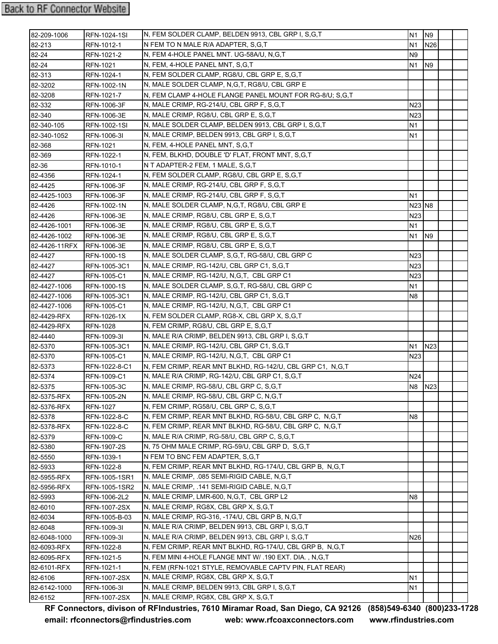| 82-209-1006   | RFN-1024-1SI        | N, FEM SOLDER CLAMP, BELDEN 9913, CBL GRP I, S,G,T        | N1                             | N <sub>9</sub>  |  |
|---------------|---------------------|-----------------------------------------------------------|--------------------------------|-----------------|--|
| 82-213        | RFN-1012-1          | N FEM TO N MALE R/A ADAPTER, S.G.T                        | N1                             | N26             |  |
| 82-24         | RFN-1021-2          | N, FEM 4-HOLE PANEL MNT. UG-58A/U, N,G,T                  | N <sub>9</sub>                 |                 |  |
| 82-24         | RFN-1021            | N, FEM, 4-HOLE PANEL MNT, S,G,T                           | N1                             | N <sub>9</sub>  |  |
| 82-313        | RFN-1024-1          | N, FEM SOLDER CLAMP, RG8/U, CBL GRP E, S,G,T              |                                |                 |  |
| 82-3202       | RFN-1002-1N         | N, MALE SOLDER CLAMP, N, G, T, RG8/U, CBL GRP E           |                                |                 |  |
| 82-3208       | RFN-1021-7          | N, FEM CLAMP 4-HOLE FLANGE PANEL MOUNT FOR RG-8/U; S,G,T  |                                |                 |  |
| 82-332        | RFN-1006-3F         | N, MALE CRIMP, RG-214/U, CBL GRP F, S,G,T                 | N23                            |                 |  |
| 82-340        | RFN-1006-3E         | N, MALE CRIMP, RG8/U, CBL GRP E, S.G.T                    | N23                            |                 |  |
| 82-340-105    | <b>RFN-1002-1SI</b> | N, MALE SOLDER CLAMP, BELDEN 9913, CBL GRP I, S,G,T       | N1                             |                 |  |
| 82-340-1052   | RFN-1006-31         | N, MALE CRIMP, BELDEN 9913, CBL GRP I, S,G,T              | N1                             |                 |  |
| 82-368        | RFN-1021            | N, FEM, 4-HOLE PANEL MNT, S,G,T                           |                                |                 |  |
| 82-369        | RFN-1022-1          | N, FEM, BLKHD, DOUBLE 'D' FLAT, FRONT MNT, S,G,T          |                                |                 |  |
| 82-36         | RFN-1010-1          | N T ADAPTER-2 FEM, 1 MALE, S,G,T                          |                                |                 |  |
| 82-4356       | RFN-1024-1          | N, FEM SOLDER CLAMP, RG8/U, CBL GRP E, S,G,T              |                                |                 |  |
| 82-4425       | RFN-1006-3F         | N, MALE CRIMP, RG-214/U, CBL GRP F, S,G,T                 |                                |                 |  |
| 82-4425-1003  | RFN-1006-3F         | N, MALE CRIMP, RG-214/U, CBL GRP F, S,G,T                 | N1                             |                 |  |
| 82-4426       | RFN-1002-1N         | N, MALE SOLDER CLAMP, N, G, T, RG8/U, CBL GRP E           | N <sub>23</sub> N <sub>8</sub> |                 |  |
| 82-4426       | RFN-1006-3E         | N, MALE CRIMP, RG8/U, CBL GRP E, S,G,T                    | N <sub>2</sub> 3               |                 |  |
| 82-4426-1001  | RFN-1006-3E         | N, MALE CRIMP, RG8/U, CBL GRP E, S,G,T                    | N1                             |                 |  |
| 82-4426-1002  | RFN-1006-3E         | N, MALE CRIMP, RG8/U, CBL GRP E, S.G.T                    | N1                             | N <sub>9</sub>  |  |
| 82-4426-11RFX | <b>RFN-1006-3E</b>  | N, MALE CRIMP, RG8/U, CBL GRP E, S,G,T                    |                                |                 |  |
| 82-4427       | RFN-1000-1S         | N, MALE SOLDER CLAMP, S,G,T, RG-58/U, CBL GRP C           | N23                            |                 |  |
| 82-4427       | RFN-1005-3C1        | N, MALE CRIMP, RG-142/U, CBL GRP C1, S,G,T                | N <sub>23</sub>                |                 |  |
| 82-4427       | RFN-1005-C1         | N, MALE CRIMP, RG-142/U, N,G,T, CBL GRP C1                | N <sub>23</sub>                |                 |  |
| 82-4427-1006  | <b>RFN-1000-1S</b>  | N, MALE SOLDER CLAMP, S, G, T, RG-58/U, CBL GRP C         | N1                             |                 |  |
| 82-4427-1006  | RFN-1005-3C1        | N, MALE CRIMP, RG-142/U, CBL GRP C1, S,G,T                | N8                             |                 |  |
| 82-4427-1006  | RFN-1005-C1         | N, MALE CRIMP, RG-142/U, N,G,T, CBL GRP C1                |                                |                 |  |
| 82-4429-RFX   | RFN-1026-1X         | N, FEM SOLDER CLAMP, RG8-X, CBL GRP X, S,G,T              |                                |                 |  |
| 82-4429-RFX   | <b>RFN-1028</b>     | N, FEM CRIMP, RG8/U, CBL GRP E, S,G,T                     |                                |                 |  |
| 82-4440       | RFN-1009-3I         | N, MALE R/A CRIMP, BELDEN 9913, CBL GRP I, S, G, T        |                                |                 |  |
| 82-5370       | RFN-1005-3C1        | N, MALE CRIMP, RG-142/U, CBL GRP C1, S,G,T                | Ν1                             | N <sub>23</sub> |  |
| 82-5370       | RFN-1005-C1         | N, MALE CRIMP, RG-142/U, N,G,T, CBL GRP C1                | N23                            |                 |  |
| 82-5373       | RFN-1022-8-C1       | N, FEM CRIMP, REAR MNT BLKHD, RG-142/U, CBL GRP C1, N,G,T |                                |                 |  |
| 82-5374       | RFN-1009-C1         | N, MALE R/A CRIMP, RG-142/U, CBL GRP C1, S,G,T            | N24                            |                 |  |
| 82-5375       | RFN-1005-3C         | N, MALE CRIMP, RG-58/U, CBL GRP C, S,G,T                  | N8                             | N <sub>23</sub> |  |
| 82-5375-RFX   | <b>RFN-1005-2N</b>  | N, MALE CRIMP, RG-58/U, CBL GRP C, N,G,T                  |                                |                 |  |
| 82-5376-RFX   | <b>RFN-1027</b>     | N, FEM CRIMP, RG58/U, CBL GRP C, S,G,T                    |                                |                 |  |
| 82-5378       | RFN-1022-8-C        | N, FEM CRIMP, REAR MNT BLKHD, RG-58/U, CBL GRP C, N,G,T   | N <sub>8</sub>                 |                 |  |
| 82-5378-RFX   | RFN-1022-8-C        | N, FEM CRIMP, REAR MNT BLKHD, RG-58/U, CBL GRP C, N,G,T   |                                |                 |  |
| 82-5379       | <b>RFN-1009-C</b>   | N, MALE R/A CRIMP, RG-58/U, CBL GRP C, S,G,T              |                                |                 |  |
| 82-5380       | RFN-1907-2S         | N, 75 OHM MALE CRIMP, RG-59/U, CBL GRP D, S,G,T           |                                |                 |  |
| 82-5550       | RFN-1039-1          | N FEM TO BNC FEM ADAPTER, S,G,T                           |                                |                 |  |
| 82-5933       | RFN-1022-8          | N, FEM CRIMP, REAR MNT BLKHD, RG-174/U, CBL GRP B, N,G,T  |                                |                 |  |
| 82-5955-RFX   | RFN-1005-1SR1       | N, MALE CRIMP, .085 SEMI-RIGID CABLE, N,G,T               |                                |                 |  |
| 82-5956-RFX   | RFN-1005-1SR2       | N, MALE CRIMP, .141 SEMI-RIGID CABLE, N, G, T             |                                |                 |  |
| 82-5993       | RFN-1006-2L2        | N, MALE CRIMP, LMR-600, N,G,T, CBL GRP L2                 | N8                             |                 |  |
| 82-6010       | RFN-1007-2SX        | N, MALE CRIMP, RG8X, CBL GRP X, S,G,T                     |                                |                 |  |
| 82-6034       | RFN-1005-B-03       | N, MALE CRIMP, RG-316, -174/U, CBL GRP B, N, G, T         |                                |                 |  |
| 82-6048       | RFN-1009-3I         | N, MALE R/A CRIMP, BELDEN 9913, CBL GRP I, S,G,T          |                                |                 |  |
| 82-6048-1000  | RFN-1009-3I         | N, MALE R/A CRIMP, BELDEN 9913, CBL GRP I, S,G,T          | N26                            |                 |  |
| 82-6093-RFX   | RFN-1022-8          | N, FEM CRIMP, REAR MNT BLKHD, RG-174/U, CBL GRP B, N,G,T  |                                |                 |  |
| 82-6095-RFX   | RFN-1021-5          | N, FEM MINI 4-HOLE FLANGE MNT W/ .190 EXT. DIA., N,G,T    |                                |                 |  |
| 82-6101-RFX   | RFN-1021-1          | N, FEM (RFN-1021 STYLE, REMOVABLE CAPTV PIN, FLAT REAR)   |                                |                 |  |
| 82-6106       | <b>RFN-1007-2SX</b> | N, MALE CRIMP, RG8X, CBL GRP X, S, G, T                   | N <sub>1</sub>                 |                 |  |
| 82-6142-1000  | RFN-1006-3I         | N, MALE CRIMP, BELDEN 9913, CBL GRP I, S,G,T              | N1                             |                 |  |
| 82-6152       | RFN-1007-2SX        | N, MALE CRIMP, RG8X, CBL GRP X, S,G,T                     |                                |                 |  |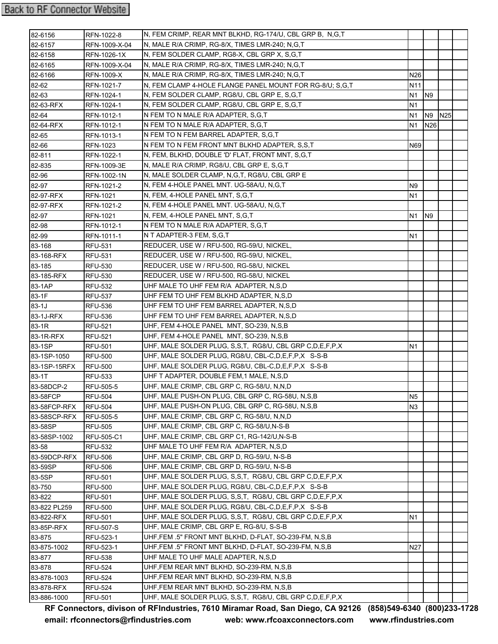| N, MALE R/A CRIMP, RG-8/X, TIMES LMR-240; N,G,T<br>82-6157<br>RFN-1009-X-04<br>82-6158<br>N, FEM SOLDER CLAMP, RG8-X, CBL GRP X, S, G, T<br>RFN-1026-1X<br>N, MALE R/A CRIMP, RG-8/X, TIMES LMR-240; N,G,T<br>82-6165<br>RFN-1009-X-04<br>N, MALE R/A CRIMP, RG-8/X, TIMES LMR-240; N,G,T<br>82-6166<br>N <sub>26</sub><br><b>RFN-1009-X</b><br>82-62<br>N, FEM CLAMP 4-HOLE FLANGE PANEL MOUNT FOR RG-8/U; S,G,T<br>N11<br>RFN-1021-7<br>N, FEM SOLDER CLAMP, RG8/U, CBL GRP E, S,G,T<br>82-63<br>N1<br>N <sub>9</sub><br>RFN-1024-1<br>82-63-RFX<br>N, FEM SOLDER CLAMP, RG8/U, CBL GRP E, S,G,T<br>N1<br>RFN-1024-1<br>N FEM TO N MALE R/A ADAPTER, S,G,T<br><b>N25</b><br>82-64<br>RFN-1012-1<br>N1<br>N <sub>9</sub><br>82-64-RFX<br>N FEM TO N MALE R/A ADAPTER, S,G,T<br>N26<br>RFN-1012-1<br>N1<br>N FEM TO N FEM BARREL ADAPTER, S,G,T<br>82-65<br>RFN-1013-1<br>N FEM TO N FEM FRONT MNT BLKHD ADAPTER, S,S,T<br>82-66<br>RFN-1023<br>N69<br>N, FEM, BLKHD, DOUBLE 'D' FLAT, FRONT MNT, S,G,T<br>82-811<br>RFN-1022-1<br>N, MALE R/A CRIMP, RG8/U, CBL GRP E, S,G,T<br>82-835<br>RFN-1009-3E<br>N, MALE SOLDER CLAMP, N,G,T, RG8/U, CBL GRP E<br>82-96<br>RFN-1002-1N<br>N, FEM 4-HOLE PANEL MNT. UG-58A/U, N,G,T<br>82-97<br>RFN-1021-2<br>N <sub>9</sub><br>N, FEM, 4-HOLE PANEL MNT, S,G,T<br>N <sub>1</sub><br>82-97-RFX<br><b>RFN-1021</b><br>N, FEM 4-HOLE PANEL MNT. UG-58A/U, N,G,T<br>82-97-RFX<br>RFN-1021-2<br>N, FEM, 4-HOLE PANEL MNT, S.G.T<br>82-97<br><b>RFN-1021</b><br>N1<br>N <sub>9</sub><br>N FEM TO N MALE R/A ADAPTER, S,G,T<br>82-98<br>RFN-1012-1<br>N T ADAPTER-3 FEM, S,G,T<br>82-99<br>N1<br>RFN-1011-1<br>REDUCER, USE W / RFU-500, RG-59/U, NICKEL,<br>83-168<br><b>RFU-531</b><br>REDUCER, USE W / RFU-500, RG-59/U, NICKEL,<br>83-168-RFX<br><b>RFU-531</b><br>REDUCER, USE W / RFU-500, RG-58/U, NICKEL<br>83-185<br><b>RFU-530</b><br>REDUCER, USE W / RFU-500, RG-58/U, NICKEL<br>83-185-RFX<br><b>RFU-530</b><br>83-1AP<br>UHF MALE TO UHF FEM R/A ADAPTER, N,S,D<br><b>RFU-532</b><br>UHF FEM TO UHF FEM BLKHD ADAPTER, N,S,D<br><b>RFU-537</b><br>UHF FEM TO UHF FEM BARREL ADAPTER, N,S,D<br>RFU-536<br>UHF FEM TO UHF FEM BARREL ADAPTER, N,S,D<br><b>RFU-536</b><br>UHF, FEM 4-HOLE PANEL MNT, SO-239, N,S,B<br><b>RFU-521</b><br>UHF, FEM 4-HOLE PANEL MNT, SO-239, N,S,B<br><b>RFU-521</b><br>UHF, MALE SOLDER PLUG, S, S, T, RG8/U, CBL GRP C, D, E, F, P, X<br><b>RFU-501</b><br>N1<br>UHF, MALE SOLDER PLUG, RG8/U, CBL-C, D, E, F, P, X S-S-B<br><b>RFU-500</b><br>UHF, MALE SOLDER PLUG, RG8/U, CBL-C, D, E, F, P, X S-S-B<br><b>RFU-500</b><br>UHF T ADAPTER, DOUBLE FEM, 1 MALE, N, S, D<br><b>RFU-533</b><br>UHF, MALE CRIMP, CBL GRP C, RG-58/U, N,N,D<br><b>RFU-505-5</b><br>UHF, MALE PUSH-ON PLUG, CBL GRP C, RG-58U, N,S,B<br><b>RFU-504</b><br>N <sub>5</sub><br>UHF, MALE PUSH-ON PLUG, CBL GRP C, RG-58U, N,S,B<br><b>RFU-504</b><br>N3<br>UHF, MALE CRIMP, CBL GRP C, RG-58/U, N,N,D<br><b>RFU-505-5</b><br>UHF, MALE CRIMP, CBL GRP C, RG-58/U, N-S-B<br><b>RFU-505</b><br>UHF, MALE CRIMP, CBL GRP C1, RG-142/U,N-S-B<br><b>RFU-505-C1</b><br>UHF MALE TO UHF FEM R/A ADAPTER, N,S,D<br><b>RFU-532</b><br>UHF, MALE CRIMP, CBL GRP D, RG-59/U, N-S-B<br><b>RFU-506</b><br>UHF, MALE CRIMP, CBL GRP D, RG-59/U, N-S-B<br><b>RFU-506</b><br>UHF, MALE SOLDER PLUG, S, S, T, RG8/U, CBL GRP C, D, E, F, P, X<br>RFU-501<br>UHF, MALE SOLDER PLUG, RG8/U, CBL-C, D, E, F, P, X S-S-B<br><b>RFU-500</b><br>UHF, MALE SOLDER PLUG, S.S.T. RG8/U, CBL GRP C.D.E.F.P.X<br><b>RFU-501</b><br>UHF, MALE SOLDER PLUG, RG8/U, CBL-C, D, E, F, P, X S-S-B<br><b>RFU-500</b><br>UHF, MALE SOLDER PLUG, S, S, T, RG8/U, CBL GRP C, D, E, F, P, X<br><b>RFU-501</b><br>N1<br>UHF, MALE CRIMP, CBL GRP E, RG-8/U, S-S-B<br><b>RFU-507-S</b><br>UHF, FEM .5" FRONT MNT BLKHD, D-FLAT, SO-239-FM, N, S, B<br>RFU-523-1<br>UHF, FEM .5" FRONT MNT BLKHD, D-FLAT, SO-239-FM, N,S,B<br><b>N27</b><br>RFU-523-1<br>UHF MALE TO UHF MALE ADAPTER, N,S,D<br><b>RFU-538</b><br>UHF, FEM REAR MNT BLKHD, SO-239-RM, N,S,B<br><b>RFU-524</b><br>UHF, FEM REAR MNT BLKHD, SO-239-RM, N,S,B<br><b>RFU-524</b><br>UHF, FEM REAR MNT BLKHD, SO-239-RM, N,S,B<br><b>RFU-524</b><br>UHF, MALE SOLDER PLUG, S, S, T, RG8/U, CBL GRP C, D, E, F, P, X<br><b>RFU-501</b> | 82-6156      | RFN-1022-8 | N, FEM CRIMP, REAR MNT BLKHD, RG-174/U, CBL GRP B, N,G,T |  |  |
|-------------------------------------------------------------------------------------------------------------------------------------------------------------------------------------------------------------------------------------------------------------------------------------------------------------------------------------------------------------------------------------------------------------------------------------------------------------------------------------------------------------------------------------------------------------------------------------------------------------------------------------------------------------------------------------------------------------------------------------------------------------------------------------------------------------------------------------------------------------------------------------------------------------------------------------------------------------------------------------------------------------------------------------------------------------------------------------------------------------------------------------------------------------------------------------------------------------------------------------------------------------------------------------------------------------------------------------------------------------------------------------------------------------------------------------------------------------------------------------------------------------------------------------------------------------------------------------------------------------------------------------------------------------------------------------------------------------------------------------------------------------------------------------------------------------------------------------------------------------------------------------------------------------------------------------------------------------------------------------------------------------------------------------------------------------------------------------------------------------------------------------------------------------------------------------------------------------------------------------------------------------------------------------------------------------------------------------------------------------------------------------------------------------------------------------------------------------------------------------------------------------------------------------------------------------------------------------------------------------------------------------------------------------------------------------------------------------------------------------------------------------------------------------------------------------------------------------------------------------------------------------------------------------------------------------------------------------------------------------------------------------------------------------------------------------------------------------------------------------------------------------------------------------------------------------------------------------------------------------------------------------------------------------------------------------------------------------------------------------------------------------------------------------------------------------------------------------------------------------------------------------------------------------------------------------------------------------------------------------------------------------------------------------------------------------------------------------------------------------------------------------------------------------------------------------------------------------------------------------------------------------------------------------------------------------------------------------------------------------------------------------------------------------------------------------------------------------------------------------------------------------------------------------------------------------------------------------------------------------------------------------------------------------------------------------|--------------|------------|----------------------------------------------------------|--|--|
|                                                                                                                                                                                                                                                                                                                                                                                                                                                                                                                                                                                                                                                                                                                                                                                                                                                                                                                                                                                                                                                                                                                                                                                                                                                                                                                                                                                                                                                                                                                                                                                                                                                                                                                                                                                                                                                                                                                                                                                                                                                                                                                                                                                                                                                                                                                                                                                                                                                                                                                                                                                                                                                                                                                                                                                                                                                                                                                                                                                                                                                                                                                                                                                                                                                                                                                                                                                                                                                                                                                                                                                                                                                                                                                                                                                                                                                                                                                                                                                                                                                                                                                                                                                                                                                                                                             |              |            |                                                          |  |  |
|                                                                                                                                                                                                                                                                                                                                                                                                                                                                                                                                                                                                                                                                                                                                                                                                                                                                                                                                                                                                                                                                                                                                                                                                                                                                                                                                                                                                                                                                                                                                                                                                                                                                                                                                                                                                                                                                                                                                                                                                                                                                                                                                                                                                                                                                                                                                                                                                                                                                                                                                                                                                                                                                                                                                                                                                                                                                                                                                                                                                                                                                                                                                                                                                                                                                                                                                                                                                                                                                                                                                                                                                                                                                                                                                                                                                                                                                                                                                                                                                                                                                                                                                                                                                                                                                                                             |              |            |                                                          |  |  |
|                                                                                                                                                                                                                                                                                                                                                                                                                                                                                                                                                                                                                                                                                                                                                                                                                                                                                                                                                                                                                                                                                                                                                                                                                                                                                                                                                                                                                                                                                                                                                                                                                                                                                                                                                                                                                                                                                                                                                                                                                                                                                                                                                                                                                                                                                                                                                                                                                                                                                                                                                                                                                                                                                                                                                                                                                                                                                                                                                                                                                                                                                                                                                                                                                                                                                                                                                                                                                                                                                                                                                                                                                                                                                                                                                                                                                                                                                                                                                                                                                                                                                                                                                                                                                                                                                                             |              |            |                                                          |  |  |
|                                                                                                                                                                                                                                                                                                                                                                                                                                                                                                                                                                                                                                                                                                                                                                                                                                                                                                                                                                                                                                                                                                                                                                                                                                                                                                                                                                                                                                                                                                                                                                                                                                                                                                                                                                                                                                                                                                                                                                                                                                                                                                                                                                                                                                                                                                                                                                                                                                                                                                                                                                                                                                                                                                                                                                                                                                                                                                                                                                                                                                                                                                                                                                                                                                                                                                                                                                                                                                                                                                                                                                                                                                                                                                                                                                                                                                                                                                                                                                                                                                                                                                                                                                                                                                                                                                             |              |            |                                                          |  |  |
|                                                                                                                                                                                                                                                                                                                                                                                                                                                                                                                                                                                                                                                                                                                                                                                                                                                                                                                                                                                                                                                                                                                                                                                                                                                                                                                                                                                                                                                                                                                                                                                                                                                                                                                                                                                                                                                                                                                                                                                                                                                                                                                                                                                                                                                                                                                                                                                                                                                                                                                                                                                                                                                                                                                                                                                                                                                                                                                                                                                                                                                                                                                                                                                                                                                                                                                                                                                                                                                                                                                                                                                                                                                                                                                                                                                                                                                                                                                                                                                                                                                                                                                                                                                                                                                                                                             |              |            |                                                          |  |  |
|                                                                                                                                                                                                                                                                                                                                                                                                                                                                                                                                                                                                                                                                                                                                                                                                                                                                                                                                                                                                                                                                                                                                                                                                                                                                                                                                                                                                                                                                                                                                                                                                                                                                                                                                                                                                                                                                                                                                                                                                                                                                                                                                                                                                                                                                                                                                                                                                                                                                                                                                                                                                                                                                                                                                                                                                                                                                                                                                                                                                                                                                                                                                                                                                                                                                                                                                                                                                                                                                                                                                                                                                                                                                                                                                                                                                                                                                                                                                                                                                                                                                                                                                                                                                                                                                                                             |              |            |                                                          |  |  |
|                                                                                                                                                                                                                                                                                                                                                                                                                                                                                                                                                                                                                                                                                                                                                                                                                                                                                                                                                                                                                                                                                                                                                                                                                                                                                                                                                                                                                                                                                                                                                                                                                                                                                                                                                                                                                                                                                                                                                                                                                                                                                                                                                                                                                                                                                                                                                                                                                                                                                                                                                                                                                                                                                                                                                                                                                                                                                                                                                                                                                                                                                                                                                                                                                                                                                                                                                                                                                                                                                                                                                                                                                                                                                                                                                                                                                                                                                                                                                                                                                                                                                                                                                                                                                                                                                                             |              |            |                                                          |  |  |
|                                                                                                                                                                                                                                                                                                                                                                                                                                                                                                                                                                                                                                                                                                                                                                                                                                                                                                                                                                                                                                                                                                                                                                                                                                                                                                                                                                                                                                                                                                                                                                                                                                                                                                                                                                                                                                                                                                                                                                                                                                                                                                                                                                                                                                                                                                                                                                                                                                                                                                                                                                                                                                                                                                                                                                                                                                                                                                                                                                                                                                                                                                                                                                                                                                                                                                                                                                                                                                                                                                                                                                                                                                                                                                                                                                                                                                                                                                                                                                                                                                                                                                                                                                                                                                                                                                             |              |            |                                                          |  |  |
|                                                                                                                                                                                                                                                                                                                                                                                                                                                                                                                                                                                                                                                                                                                                                                                                                                                                                                                                                                                                                                                                                                                                                                                                                                                                                                                                                                                                                                                                                                                                                                                                                                                                                                                                                                                                                                                                                                                                                                                                                                                                                                                                                                                                                                                                                                                                                                                                                                                                                                                                                                                                                                                                                                                                                                                                                                                                                                                                                                                                                                                                                                                                                                                                                                                                                                                                                                                                                                                                                                                                                                                                                                                                                                                                                                                                                                                                                                                                                                                                                                                                                                                                                                                                                                                                                                             |              |            |                                                          |  |  |
|                                                                                                                                                                                                                                                                                                                                                                                                                                                                                                                                                                                                                                                                                                                                                                                                                                                                                                                                                                                                                                                                                                                                                                                                                                                                                                                                                                                                                                                                                                                                                                                                                                                                                                                                                                                                                                                                                                                                                                                                                                                                                                                                                                                                                                                                                                                                                                                                                                                                                                                                                                                                                                                                                                                                                                                                                                                                                                                                                                                                                                                                                                                                                                                                                                                                                                                                                                                                                                                                                                                                                                                                                                                                                                                                                                                                                                                                                                                                                                                                                                                                                                                                                                                                                                                                                                             |              |            |                                                          |  |  |
|                                                                                                                                                                                                                                                                                                                                                                                                                                                                                                                                                                                                                                                                                                                                                                                                                                                                                                                                                                                                                                                                                                                                                                                                                                                                                                                                                                                                                                                                                                                                                                                                                                                                                                                                                                                                                                                                                                                                                                                                                                                                                                                                                                                                                                                                                                                                                                                                                                                                                                                                                                                                                                                                                                                                                                                                                                                                                                                                                                                                                                                                                                                                                                                                                                                                                                                                                                                                                                                                                                                                                                                                                                                                                                                                                                                                                                                                                                                                                                                                                                                                                                                                                                                                                                                                                                             |              |            |                                                          |  |  |
|                                                                                                                                                                                                                                                                                                                                                                                                                                                                                                                                                                                                                                                                                                                                                                                                                                                                                                                                                                                                                                                                                                                                                                                                                                                                                                                                                                                                                                                                                                                                                                                                                                                                                                                                                                                                                                                                                                                                                                                                                                                                                                                                                                                                                                                                                                                                                                                                                                                                                                                                                                                                                                                                                                                                                                                                                                                                                                                                                                                                                                                                                                                                                                                                                                                                                                                                                                                                                                                                                                                                                                                                                                                                                                                                                                                                                                                                                                                                                                                                                                                                                                                                                                                                                                                                                                             |              |            |                                                          |  |  |
|                                                                                                                                                                                                                                                                                                                                                                                                                                                                                                                                                                                                                                                                                                                                                                                                                                                                                                                                                                                                                                                                                                                                                                                                                                                                                                                                                                                                                                                                                                                                                                                                                                                                                                                                                                                                                                                                                                                                                                                                                                                                                                                                                                                                                                                                                                                                                                                                                                                                                                                                                                                                                                                                                                                                                                                                                                                                                                                                                                                                                                                                                                                                                                                                                                                                                                                                                                                                                                                                                                                                                                                                                                                                                                                                                                                                                                                                                                                                                                                                                                                                                                                                                                                                                                                                                                             |              |            |                                                          |  |  |
|                                                                                                                                                                                                                                                                                                                                                                                                                                                                                                                                                                                                                                                                                                                                                                                                                                                                                                                                                                                                                                                                                                                                                                                                                                                                                                                                                                                                                                                                                                                                                                                                                                                                                                                                                                                                                                                                                                                                                                                                                                                                                                                                                                                                                                                                                                                                                                                                                                                                                                                                                                                                                                                                                                                                                                                                                                                                                                                                                                                                                                                                                                                                                                                                                                                                                                                                                                                                                                                                                                                                                                                                                                                                                                                                                                                                                                                                                                                                                                                                                                                                                                                                                                                                                                                                                                             |              |            |                                                          |  |  |
|                                                                                                                                                                                                                                                                                                                                                                                                                                                                                                                                                                                                                                                                                                                                                                                                                                                                                                                                                                                                                                                                                                                                                                                                                                                                                                                                                                                                                                                                                                                                                                                                                                                                                                                                                                                                                                                                                                                                                                                                                                                                                                                                                                                                                                                                                                                                                                                                                                                                                                                                                                                                                                                                                                                                                                                                                                                                                                                                                                                                                                                                                                                                                                                                                                                                                                                                                                                                                                                                                                                                                                                                                                                                                                                                                                                                                                                                                                                                                                                                                                                                                                                                                                                                                                                                                                             |              |            |                                                          |  |  |
|                                                                                                                                                                                                                                                                                                                                                                                                                                                                                                                                                                                                                                                                                                                                                                                                                                                                                                                                                                                                                                                                                                                                                                                                                                                                                                                                                                                                                                                                                                                                                                                                                                                                                                                                                                                                                                                                                                                                                                                                                                                                                                                                                                                                                                                                                                                                                                                                                                                                                                                                                                                                                                                                                                                                                                                                                                                                                                                                                                                                                                                                                                                                                                                                                                                                                                                                                                                                                                                                                                                                                                                                                                                                                                                                                                                                                                                                                                                                                                                                                                                                                                                                                                                                                                                                                                             |              |            |                                                          |  |  |
|                                                                                                                                                                                                                                                                                                                                                                                                                                                                                                                                                                                                                                                                                                                                                                                                                                                                                                                                                                                                                                                                                                                                                                                                                                                                                                                                                                                                                                                                                                                                                                                                                                                                                                                                                                                                                                                                                                                                                                                                                                                                                                                                                                                                                                                                                                                                                                                                                                                                                                                                                                                                                                                                                                                                                                                                                                                                                                                                                                                                                                                                                                                                                                                                                                                                                                                                                                                                                                                                                                                                                                                                                                                                                                                                                                                                                                                                                                                                                                                                                                                                                                                                                                                                                                                                                                             |              |            |                                                          |  |  |
|                                                                                                                                                                                                                                                                                                                                                                                                                                                                                                                                                                                                                                                                                                                                                                                                                                                                                                                                                                                                                                                                                                                                                                                                                                                                                                                                                                                                                                                                                                                                                                                                                                                                                                                                                                                                                                                                                                                                                                                                                                                                                                                                                                                                                                                                                                                                                                                                                                                                                                                                                                                                                                                                                                                                                                                                                                                                                                                                                                                                                                                                                                                                                                                                                                                                                                                                                                                                                                                                                                                                                                                                                                                                                                                                                                                                                                                                                                                                                                                                                                                                                                                                                                                                                                                                                                             |              |            |                                                          |  |  |
|                                                                                                                                                                                                                                                                                                                                                                                                                                                                                                                                                                                                                                                                                                                                                                                                                                                                                                                                                                                                                                                                                                                                                                                                                                                                                                                                                                                                                                                                                                                                                                                                                                                                                                                                                                                                                                                                                                                                                                                                                                                                                                                                                                                                                                                                                                                                                                                                                                                                                                                                                                                                                                                                                                                                                                                                                                                                                                                                                                                                                                                                                                                                                                                                                                                                                                                                                                                                                                                                                                                                                                                                                                                                                                                                                                                                                                                                                                                                                                                                                                                                                                                                                                                                                                                                                                             |              |            |                                                          |  |  |
|                                                                                                                                                                                                                                                                                                                                                                                                                                                                                                                                                                                                                                                                                                                                                                                                                                                                                                                                                                                                                                                                                                                                                                                                                                                                                                                                                                                                                                                                                                                                                                                                                                                                                                                                                                                                                                                                                                                                                                                                                                                                                                                                                                                                                                                                                                                                                                                                                                                                                                                                                                                                                                                                                                                                                                                                                                                                                                                                                                                                                                                                                                                                                                                                                                                                                                                                                                                                                                                                                                                                                                                                                                                                                                                                                                                                                                                                                                                                                                                                                                                                                                                                                                                                                                                                                                             |              |            |                                                          |  |  |
|                                                                                                                                                                                                                                                                                                                                                                                                                                                                                                                                                                                                                                                                                                                                                                                                                                                                                                                                                                                                                                                                                                                                                                                                                                                                                                                                                                                                                                                                                                                                                                                                                                                                                                                                                                                                                                                                                                                                                                                                                                                                                                                                                                                                                                                                                                                                                                                                                                                                                                                                                                                                                                                                                                                                                                                                                                                                                                                                                                                                                                                                                                                                                                                                                                                                                                                                                                                                                                                                                                                                                                                                                                                                                                                                                                                                                                                                                                                                                                                                                                                                                                                                                                                                                                                                                                             |              |            |                                                          |  |  |
|                                                                                                                                                                                                                                                                                                                                                                                                                                                                                                                                                                                                                                                                                                                                                                                                                                                                                                                                                                                                                                                                                                                                                                                                                                                                                                                                                                                                                                                                                                                                                                                                                                                                                                                                                                                                                                                                                                                                                                                                                                                                                                                                                                                                                                                                                                                                                                                                                                                                                                                                                                                                                                                                                                                                                                                                                                                                                                                                                                                                                                                                                                                                                                                                                                                                                                                                                                                                                                                                                                                                                                                                                                                                                                                                                                                                                                                                                                                                                                                                                                                                                                                                                                                                                                                                                                             |              |            |                                                          |  |  |
|                                                                                                                                                                                                                                                                                                                                                                                                                                                                                                                                                                                                                                                                                                                                                                                                                                                                                                                                                                                                                                                                                                                                                                                                                                                                                                                                                                                                                                                                                                                                                                                                                                                                                                                                                                                                                                                                                                                                                                                                                                                                                                                                                                                                                                                                                                                                                                                                                                                                                                                                                                                                                                                                                                                                                                                                                                                                                                                                                                                                                                                                                                                                                                                                                                                                                                                                                                                                                                                                                                                                                                                                                                                                                                                                                                                                                                                                                                                                                                                                                                                                                                                                                                                                                                                                                                             |              |            |                                                          |  |  |
|                                                                                                                                                                                                                                                                                                                                                                                                                                                                                                                                                                                                                                                                                                                                                                                                                                                                                                                                                                                                                                                                                                                                                                                                                                                                                                                                                                                                                                                                                                                                                                                                                                                                                                                                                                                                                                                                                                                                                                                                                                                                                                                                                                                                                                                                                                                                                                                                                                                                                                                                                                                                                                                                                                                                                                                                                                                                                                                                                                                                                                                                                                                                                                                                                                                                                                                                                                                                                                                                                                                                                                                                                                                                                                                                                                                                                                                                                                                                                                                                                                                                                                                                                                                                                                                                                                             |              |            |                                                          |  |  |
|                                                                                                                                                                                                                                                                                                                                                                                                                                                                                                                                                                                                                                                                                                                                                                                                                                                                                                                                                                                                                                                                                                                                                                                                                                                                                                                                                                                                                                                                                                                                                                                                                                                                                                                                                                                                                                                                                                                                                                                                                                                                                                                                                                                                                                                                                                                                                                                                                                                                                                                                                                                                                                                                                                                                                                                                                                                                                                                                                                                                                                                                                                                                                                                                                                                                                                                                                                                                                                                                                                                                                                                                                                                                                                                                                                                                                                                                                                                                                                                                                                                                                                                                                                                                                                                                                                             |              |            |                                                          |  |  |
|                                                                                                                                                                                                                                                                                                                                                                                                                                                                                                                                                                                                                                                                                                                                                                                                                                                                                                                                                                                                                                                                                                                                                                                                                                                                                                                                                                                                                                                                                                                                                                                                                                                                                                                                                                                                                                                                                                                                                                                                                                                                                                                                                                                                                                                                                                                                                                                                                                                                                                                                                                                                                                                                                                                                                                                                                                                                                                                                                                                                                                                                                                                                                                                                                                                                                                                                                                                                                                                                                                                                                                                                                                                                                                                                                                                                                                                                                                                                                                                                                                                                                                                                                                                                                                                                                                             |              |            |                                                          |  |  |
|                                                                                                                                                                                                                                                                                                                                                                                                                                                                                                                                                                                                                                                                                                                                                                                                                                                                                                                                                                                                                                                                                                                                                                                                                                                                                                                                                                                                                                                                                                                                                                                                                                                                                                                                                                                                                                                                                                                                                                                                                                                                                                                                                                                                                                                                                                                                                                                                                                                                                                                                                                                                                                                                                                                                                                                                                                                                                                                                                                                                                                                                                                                                                                                                                                                                                                                                                                                                                                                                                                                                                                                                                                                                                                                                                                                                                                                                                                                                                                                                                                                                                                                                                                                                                                                                                                             | 83-1F        |            |                                                          |  |  |
|                                                                                                                                                                                                                                                                                                                                                                                                                                                                                                                                                                                                                                                                                                                                                                                                                                                                                                                                                                                                                                                                                                                                                                                                                                                                                                                                                                                                                                                                                                                                                                                                                                                                                                                                                                                                                                                                                                                                                                                                                                                                                                                                                                                                                                                                                                                                                                                                                                                                                                                                                                                                                                                                                                                                                                                                                                                                                                                                                                                                                                                                                                                                                                                                                                                                                                                                                                                                                                                                                                                                                                                                                                                                                                                                                                                                                                                                                                                                                                                                                                                                                                                                                                                                                                                                                                             | $83-1J$      |            |                                                          |  |  |
|                                                                                                                                                                                                                                                                                                                                                                                                                                                                                                                                                                                                                                                                                                                                                                                                                                                                                                                                                                                                                                                                                                                                                                                                                                                                                                                                                                                                                                                                                                                                                                                                                                                                                                                                                                                                                                                                                                                                                                                                                                                                                                                                                                                                                                                                                                                                                                                                                                                                                                                                                                                                                                                                                                                                                                                                                                                                                                                                                                                                                                                                                                                                                                                                                                                                                                                                                                                                                                                                                                                                                                                                                                                                                                                                                                                                                                                                                                                                                                                                                                                                                                                                                                                                                                                                                                             | 83-1J-RFX    |            |                                                          |  |  |
|                                                                                                                                                                                                                                                                                                                                                                                                                                                                                                                                                                                                                                                                                                                                                                                                                                                                                                                                                                                                                                                                                                                                                                                                                                                                                                                                                                                                                                                                                                                                                                                                                                                                                                                                                                                                                                                                                                                                                                                                                                                                                                                                                                                                                                                                                                                                                                                                                                                                                                                                                                                                                                                                                                                                                                                                                                                                                                                                                                                                                                                                                                                                                                                                                                                                                                                                                                                                                                                                                                                                                                                                                                                                                                                                                                                                                                                                                                                                                                                                                                                                                                                                                                                                                                                                                                             | 83-1R        |            |                                                          |  |  |
|                                                                                                                                                                                                                                                                                                                                                                                                                                                                                                                                                                                                                                                                                                                                                                                                                                                                                                                                                                                                                                                                                                                                                                                                                                                                                                                                                                                                                                                                                                                                                                                                                                                                                                                                                                                                                                                                                                                                                                                                                                                                                                                                                                                                                                                                                                                                                                                                                                                                                                                                                                                                                                                                                                                                                                                                                                                                                                                                                                                                                                                                                                                                                                                                                                                                                                                                                                                                                                                                                                                                                                                                                                                                                                                                                                                                                                                                                                                                                                                                                                                                                                                                                                                                                                                                                                             | 83-1R-RFX    |            |                                                          |  |  |
|                                                                                                                                                                                                                                                                                                                                                                                                                                                                                                                                                                                                                                                                                                                                                                                                                                                                                                                                                                                                                                                                                                                                                                                                                                                                                                                                                                                                                                                                                                                                                                                                                                                                                                                                                                                                                                                                                                                                                                                                                                                                                                                                                                                                                                                                                                                                                                                                                                                                                                                                                                                                                                                                                                                                                                                                                                                                                                                                                                                                                                                                                                                                                                                                                                                                                                                                                                                                                                                                                                                                                                                                                                                                                                                                                                                                                                                                                                                                                                                                                                                                                                                                                                                                                                                                                                             | 83-1SP       |            |                                                          |  |  |
|                                                                                                                                                                                                                                                                                                                                                                                                                                                                                                                                                                                                                                                                                                                                                                                                                                                                                                                                                                                                                                                                                                                                                                                                                                                                                                                                                                                                                                                                                                                                                                                                                                                                                                                                                                                                                                                                                                                                                                                                                                                                                                                                                                                                                                                                                                                                                                                                                                                                                                                                                                                                                                                                                                                                                                                                                                                                                                                                                                                                                                                                                                                                                                                                                                                                                                                                                                                                                                                                                                                                                                                                                                                                                                                                                                                                                                                                                                                                                                                                                                                                                                                                                                                                                                                                                                             | 83-1SP-1050  |            |                                                          |  |  |
|                                                                                                                                                                                                                                                                                                                                                                                                                                                                                                                                                                                                                                                                                                                                                                                                                                                                                                                                                                                                                                                                                                                                                                                                                                                                                                                                                                                                                                                                                                                                                                                                                                                                                                                                                                                                                                                                                                                                                                                                                                                                                                                                                                                                                                                                                                                                                                                                                                                                                                                                                                                                                                                                                                                                                                                                                                                                                                                                                                                                                                                                                                                                                                                                                                                                                                                                                                                                                                                                                                                                                                                                                                                                                                                                                                                                                                                                                                                                                                                                                                                                                                                                                                                                                                                                                                             | 83-1SP-15RFX |            |                                                          |  |  |
|                                                                                                                                                                                                                                                                                                                                                                                                                                                                                                                                                                                                                                                                                                                                                                                                                                                                                                                                                                                                                                                                                                                                                                                                                                                                                                                                                                                                                                                                                                                                                                                                                                                                                                                                                                                                                                                                                                                                                                                                                                                                                                                                                                                                                                                                                                                                                                                                                                                                                                                                                                                                                                                                                                                                                                                                                                                                                                                                                                                                                                                                                                                                                                                                                                                                                                                                                                                                                                                                                                                                                                                                                                                                                                                                                                                                                                                                                                                                                                                                                                                                                                                                                                                                                                                                                                             | 83-1T        |            |                                                          |  |  |
|                                                                                                                                                                                                                                                                                                                                                                                                                                                                                                                                                                                                                                                                                                                                                                                                                                                                                                                                                                                                                                                                                                                                                                                                                                                                                                                                                                                                                                                                                                                                                                                                                                                                                                                                                                                                                                                                                                                                                                                                                                                                                                                                                                                                                                                                                                                                                                                                                                                                                                                                                                                                                                                                                                                                                                                                                                                                                                                                                                                                                                                                                                                                                                                                                                                                                                                                                                                                                                                                                                                                                                                                                                                                                                                                                                                                                                                                                                                                                                                                                                                                                                                                                                                                                                                                                                             | 83-58DCP-2   |            |                                                          |  |  |
|                                                                                                                                                                                                                                                                                                                                                                                                                                                                                                                                                                                                                                                                                                                                                                                                                                                                                                                                                                                                                                                                                                                                                                                                                                                                                                                                                                                                                                                                                                                                                                                                                                                                                                                                                                                                                                                                                                                                                                                                                                                                                                                                                                                                                                                                                                                                                                                                                                                                                                                                                                                                                                                                                                                                                                                                                                                                                                                                                                                                                                                                                                                                                                                                                                                                                                                                                                                                                                                                                                                                                                                                                                                                                                                                                                                                                                                                                                                                                                                                                                                                                                                                                                                                                                                                                                             | 83-58FCP     |            |                                                          |  |  |
|                                                                                                                                                                                                                                                                                                                                                                                                                                                                                                                                                                                                                                                                                                                                                                                                                                                                                                                                                                                                                                                                                                                                                                                                                                                                                                                                                                                                                                                                                                                                                                                                                                                                                                                                                                                                                                                                                                                                                                                                                                                                                                                                                                                                                                                                                                                                                                                                                                                                                                                                                                                                                                                                                                                                                                                                                                                                                                                                                                                                                                                                                                                                                                                                                                                                                                                                                                                                                                                                                                                                                                                                                                                                                                                                                                                                                                                                                                                                                                                                                                                                                                                                                                                                                                                                                                             | 83-58FCP-RFX |            |                                                          |  |  |
|                                                                                                                                                                                                                                                                                                                                                                                                                                                                                                                                                                                                                                                                                                                                                                                                                                                                                                                                                                                                                                                                                                                                                                                                                                                                                                                                                                                                                                                                                                                                                                                                                                                                                                                                                                                                                                                                                                                                                                                                                                                                                                                                                                                                                                                                                                                                                                                                                                                                                                                                                                                                                                                                                                                                                                                                                                                                                                                                                                                                                                                                                                                                                                                                                                                                                                                                                                                                                                                                                                                                                                                                                                                                                                                                                                                                                                                                                                                                                                                                                                                                                                                                                                                                                                                                                                             | 83-58SCP-RFX |            |                                                          |  |  |
|                                                                                                                                                                                                                                                                                                                                                                                                                                                                                                                                                                                                                                                                                                                                                                                                                                                                                                                                                                                                                                                                                                                                                                                                                                                                                                                                                                                                                                                                                                                                                                                                                                                                                                                                                                                                                                                                                                                                                                                                                                                                                                                                                                                                                                                                                                                                                                                                                                                                                                                                                                                                                                                                                                                                                                                                                                                                                                                                                                                                                                                                                                                                                                                                                                                                                                                                                                                                                                                                                                                                                                                                                                                                                                                                                                                                                                                                                                                                                                                                                                                                                                                                                                                                                                                                                                             | 83-58SP      |            |                                                          |  |  |
|                                                                                                                                                                                                                                                                                                                                                                                                                                                                                                                                                                                                                                                                                                                                                                                                                                                                                                                                                                                                                                                                                                                                                                                                                                                                                                                                                                                                                                                                                                                                                                                                                                                                                                                                                                                                                                                                                                                                                                                                                                                                                                                                                                                                                                                                                                                                                                                                                                                                                                                                                                                                                                                                                                                                                                                                                                                                                                                                                                                                                                                                                                                                                                                                                                                                                                                                                                                                                                                                                                                                                                                                                                                                                                                                                                                                                                                                                                                                                                                                                                                                                                                                                                                                                                                                                                             | 83-58SP-1002 |            |                                                          |  |  |
|                                                                                                                                                                                                                                                                                                                                                                                                                                                                                                                                                                                                                                                                                                                                                                                                                                                                                                                                                                                                                                                                                                                                                                                                                                                                                                                                                                                                                                                                                                                                                                                                                                                                                                                                                                                                                                                                                                                                                                                                                                                                                                                                                                                                                                                                                                                                                                                                                                                                                                                                                                                                                                                                                                                                                                                                                                                                                                                                                                                                                                                                                                                                                                                                                                                                                                                                                                                                                                                                                                                                                                                                                                                                                                                                                                                                                                                                                                                                                                                                                                                                                                                                                                                                                                                                                                             | 83-58        |            |                                                          |  |  |
|                                                                                                                                                                                                                                                                                                                                                                                                                                                                                                                                                                                                                                                                                                                                                                                                                                                                                                                                                                                                                                                                                                                                                                                                                                                                                                                                                                                                                                                                                                                                                                                                                                                                                                                                                                                                                                                                                                                                                                                                                                                                                                                                                                                                                                                                                                                                                                                                                                                                                                                                                                                                                                                                                                                                                                                                                                                                                                                                                                                                                                                                                                                                                                                                                                                                                                                                                                                                                                                                                                                                                                                                                                                                                                                                                                                                                                                                                                                                                                                                                                                                                                                                                                                                                                                                                                             | 83-59DCP-RFX |            |                                                          |  |  |
|                                                                                                                                                                                                                                                                                                                                                                                                                                                                                                                                                                                                                                                                                                                                                                                                                                                                                                                                                                                                                                                                                                                                                                                                                                                                                                                                                                                                                                                                                                                                                                                                                                                                                                                                                                                                                                                                                                                                                                                                                                                                                                                                                                                                                                                                                                                                                                                                                                                                                                                                                                                                                                                                                                                                                                                                                                                                                                                                                                                                                                                                                                                                                                                                                                                                                                                                                                                                                                                                                                                                                                                                                                                                                                                                                                                                                                                                                                                                                                                                                                                                                                                                                                                                                                                                                                             | 83-59SP      |            |                                                          |  |  |
|                                                                                                                                                                                                                                                                                                                                                                                                                                                                                                                                                                                                                                                                                                                                                                                                                                                                                                                                                                                                                                                                                                                                                                                                                                                                                                                                                                                                                                                                                                                                                                                                                                                                                                                                                                                                                                                                                                                                                                                                                                                                                                                                                                                                                                                                                                                                                                                                                                                                                                                                                                                                                                                                                                                                                                                                                                                                                                                                                                                                                                                                                                                                                                                                                                                                                                                                                                                                                                                                                                                                                                                                                                                                                                                                                                                                                                                                                                                                                                                                                                                                                                                                                                                                                                                                                                             | 83-5SP       |            |                                                          |  |  |
|                                                                                                                                                                                                                                                                                                                                                                                                                                                                                                                                                                                                                                                                                                                                                                                                                                                                                                                                                                                                                                                                                                                                                                                                                                                                                                                                                                                                                                                                                                                                                                                                                                                                                                                                                                                                                                                                                                                                                                                                                                                                                                                                                                                                                                                                                                                                                                                                                                                                                                                                                                                                                                                                                                                                                                                                                                                                                                                                                                                                                                                                                                                                                                                                                                                                                                                                                                                                                                                                                                                                                                                                                                                                                                                                                                                                                                                                                                                                                                                                                                                                                                                                                                                                                                                                                                             | 83-750       |            |                                                          |  |  |
|                                                                                                                                                                                                                                                                                                                                                                                                                                                                                                                                                                                                                                                                                                                                                                                                                                                                                                                                                                                                                                                                                                                                                                                                                                                                                                                                                                                                                                                                                                                                                                                                                                                                                                                                                                                                                                                                                                                                                                                                                                                                                                                                                                                                                                                                                                                                                                                                                                                                                                                                                                                                                                                                                                                                                                                                                                                                                                                                                                                                                                                                                                                                                                                                                                                                                                                                                                                                                                                                                                                                                                                                                                                                                                                                                                                                                                                                                                                                                                                                                                                                                                                                                                                                                                                                                                             | 83-822       |            |                                                          |  |  |
|                                                                                                                                                                                                                                                                                                                                                                                                                                                                                                                                                                                                                                                                                                                                                                                                                                                                                                                                                                                                                                                                                                                                                                                                                                                                                                                                                                                                                                                                                                                                                                                                                                                                                                                                                                                                                                                                                                                                                                                                                                                                                                                                                                                                                                                                                                                                                                                                                                                                                                                                                                                                                                                                                                                                                                                                                                                                                                                                                                                                                                                                                                                                                                                                                                                                                                                                                                                                                                                                                                                                                                                                                                                                                                                                                                                                                                                                                                                                                                                                                                                                                                                                                                                                                                                                                                             | 83-822 PL259 |            |                                                          |  |  |
|                                                                                                                                                                                                                                                                                                                                                                                                                                                                                                                                                                                                                                                                                                                                                                                                                                                                                                                                                                                                                                                                                                                                                                                                                                                                                                                                                                                                                                                                                                                                                                                                                                                                                                                                                                                                                                                                                                                                                                                                                                                                                                                                                                                                                                                                                                                                                                                                                                                                                                                                                                                                                                                                                                                                                                                                                                                                                                                                                                                                                                                                                                                                                                                                                                                                                                                                                                                                                                                                                                                                                                                                                                                                                                                                                                                                                                                                                                                                                                                                                                                                                                                                                                                                                                                                                                             | 83-822-RFX   |            |                                                          |  |  |
|                                                                                                                                                                                                                                                                                                                                                                                                                                                                                                                                                                                                                                                                                                                                                                                                                                                                                                                                                                                                                                                                                                                                                                                                                                                                                                                                                                                                                                                                                                                                                                                                                                                                                                                                                                                                                                                                                                                                                                                                                                                                                                                                                                                                                                                                                                                                                                                                                                                                                                                                                                                                                                                                                                                                                                                                                                                                                                                                                                                                                                                                                                                                                                                                                                                                                                                                                                                                                                                                                                                                                                                                                                                                                                                                                                                                                                                                                                                                                                                                                                                                                                                                                                                                                                                                                                             | 83-85P-RFX   |            |                                                          |  |  |
|                                                                                                                                                                                                                                                                                                                                                                                                                                                                                                                                                                                                                                                                                                                                                                                                                                                                                                                                                                                                                                                                                                                                                                                                                                                                                                                                                                                                                                                                                                                                                                                                                                                                                                                                                                                                                                                                                                                                                                                                                                                                                                                                                                                                                                                                                                                                                                                                                                                                                                                                                                                                                                                                                                                                                                                                                                                                                                                                                                                                                                                                                                                                                                                                                                                                                                                                                                                                                                                                                                                                                                                                                                                                                                                                                                                                                                                                                                                                                                                                                                                                                                                                                                                                                                                                                                             | 83-875       |            |                                                          |  |  |
|                                                                                                                                                                                                                                                                                                                                                                                                                                                                                                                                                                                                                                                                                                                                                                                                                                                                                                                                                                                                                                                                                                                                                                                                                                                                                                                                                                                                                                                                                                                                                                                                                                                                                                                                                                                                                                                                                                                                                                                                                                                                                                                                                                                                                                                                                                                                                                                                                                                                                                                                                                                                                                                                                                                                                                                                                                                                                                                                                                                                                                                                                                                                                                                                                                                                                                                                                                                                                                                                                                                                                                                                                                                                                                                                                                                                                                                                                                                                                                                                                                                                                                                                                                                                                                                                                                             | 83-875-1002  |            |                                                          |  |  |
|                                                                                                                                                                                                                                                                                                                                                                                                                                                                                                                                                                                                                                                                                                                                                                                                                                                                                                                                                                                                                                                                                                                                                                                                                                                                                                                                                                                                                                                                                                                                                                                                                                                                                                                                                                                                                                                                                                                                                                                                                                                                                                                                                                                                                                                                                                                                                                                                                                                                                                                                                                                                                                                                                                                                                                                                                                                                                                                                                                                                                                                                                                                                                                                                                                                                                                                                                                                                                                                                                                                                                                                                                                                                                                                                                                                                                                                                                                                                                                                                                                                                                                                                                                                                                                                                                                             | 83-877       |            |                                                          |  |  |
|                                                                                                                                                                                                                                                                                                                                                                                                                                                                                                                                                                                                                                                                                                                                                                                                                                                                                                                                                                                                                                                                                                                                                                                                                                                                                                                                                                                                                                                                                                                                                                                                                                                                                                                                                                                                                                                                                                                                                                                                                                                                                                                                                                                                                                                                                                                                                                                                                                                                                                                                                                                                                                                                                                                                                                                                                                                                                                                                                                                                                                                                                                                                                                                                                                                                                                                                                                                                                                                                                                                                                                                                                                                                                                                                                                                                                                                                                                                                                                                                                                                                                                                                                                                                                                                                                                             | 83-878       |            |                                                          |  |  |
|                                                                                                                                                                                                                                                                                                                                                                                                                                                                                                                                                                                                                                                                                                                                                                                                                                                                                                                                                                                                                                                                                                                                                                                                                                                                                                                                                                                                                                                                                                                                                                                                                                                                                                                                                                                                                                                                                                                                                                                                                                                                                                                                                                                                                                                                                                                                                                                                                                                                                                                                                                                                                                                                                                                                                                                                                                                                                                                                                                                                                                                                                                                                                                                                                                                                                                                                                                                                                                                                                                                                                                                                                                                                                                                                                                                                                                                                                                                                                                                                                                                                                                                                                                                                                                                                                                             | 83-878-1003  |            |                                                          |  |  |
|                                                                                                                                                                                                                                                                                                                                                                                                                                                                                                                                                                                                                                                                                                                                                                                                                                                                                                                                                                                                                                                                                                                                                                                                                                                                                                                                                                                                                                                                                                                                                                                                                                                                                                                                                                                                                                                                                                                                                                                                                                                                                                                                                                                                                                                                                                                                                                                                                                                                                                                                                                                                                                                                                                                                                                                                                                                                                                                                                                                                                                                                                                                                                                                                                                                                                                                                                                                                                                                                                                                                                                                                                                                                                                                                                                                                                                                                                                                                                                                                                                                                                                                                                                                                                                                                                                             | 83-878-RFX   |            |                                                          |  |  |
|                                                                                                                                                                                                                                                                                                                                                                                                                                                                                                                                                                                                                                                                                                                                                                                                                                                                                                                                                                                                                                                                                                                                                                                                                                                                                                                                                                                                                                                                                                                                                                                                                                                                                                                                                                                                                                                                                                                                                                                                                                                                                                                                                                                                                                                                                                                                                                                                                                                                                                                                                                                                                                                                                                                                                                                                                                                                                                                                                                                                                                                                                                                                                                                                                                                                                                                                                                                                                                                                                                                                                                                                                                                                                                                                                                                                                                                                                                                                                                                                                                                                                                                                                                                                                                                                                                             | 83-886-1000  |            |                                                          |  |  |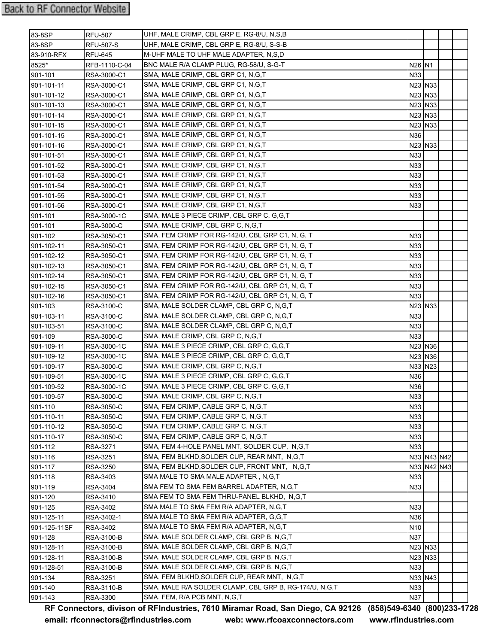| UHF, MALE CRIMP, CBL GRP E, RG-8/U, S-S-B<br>RFU-507-S<br>M-UHF MALE TO UHF MALE ADAPTER, N,S,D<br>83-910-RFX<br><b>RFU-645</b><br>BNC MALE R/A CLAMP PLUG, RG-58/U, S-G-T<br>N26 N1<br>RFB-1110-C-04<br>SMA, MALE CRIMP, CBL GRP C1, N, G, T<br>N33<br>RSA-3000-C1<br>SMA, MALE CRIMP, CBL GRP C1, N, G, T<br>RSA-3000-C1<br>N23 N33<br>SMA, MALE CRIMP, CBL GRP C1, N, G, T<br>N23 N33<br>RSA-3000-C1<br>SMA, MALE CRIMP, CBL GRP C1, N, G, T<br>N23 N33<br>901-101-13<br>RSA-3000-C1<br>SMA, MALE CRIMP, CBL GRP C1, N,G,T<br>N23 N33<br>901-101-14<br>RSA-3000-C1<br>SMA, MALE CRIMP, CBL GRP C1, N,G,T<br>901-101-15<br>RSA-3000-C1<br>N23 N33<br>SMA, MALE CRIMP, CBL GRP C1, N, G, T<br>901-101-15<br>RSA-3000-C1<br>N36<br>SMA, MALE CRIMP, CBL GRP C1, N,G,T<br>N23 N33<br>901-101-16<br>RSA-3000-C1<br>SMA, MALE CRIMP, CBL GRP C1, N,G,T<br>N33<br>901-101-51<br>RSA-3000-C1<br>SMA, MALE CRIMP, CBL GRP C1, N,G,T<br>N33<br>901-101-52<br>RSA-3000-C1<br>SMA, MALE CRIMP, CBL GRP C1, N, G, T<br>901-101-53<br>RSA-3000-C1<br>N33<br>SMA, MALE CRIMP, CBL GRP C1, N,G,T<br>N33<br>901-101-54<br>RSA-3000-C1<br>SMA, MALE CRIMP, CBL GRP C1, N, G, T<br>N33<br>901-101-55<br>RSA-3000-C1<br>SMA, MALE CRIMP, CBL GRP C1, N, G, T<br>901-101-56<br>RSA-3000-C1<br>N33<br>SMA, MALE 3 PIECE CRIMP, CBL GRP C, G, G, T<br>901-101<br>RSA-3000-1C<br>SMA, MALE CRIMP, CBL GRP C, N, G, T<br>901-101<br>RSA-3000-C<br>SMA, FEM CRIMP FOR RG-142/U, CBL GRP C1, N, G, T<br>N33<br>901-102<br>RSA-3050-C1<br>SMA, FEM CRIMP FOR RG-142/U, CBL GRP C1, N, G, T<br>901-102-11<br>N33<br>RSA-3050-C1<br>SMA, FEM CRIMP FOR RG-142/U, CBL GRP C1, N, G, T<br>901-102-12<br>N33<br>RSA-3050-C1<br>SMA, FEM CRIMP FOR RG-142/U, CBL GRP C1, N, G, T<br>N33<br>901-102-13<br>RSA-3050-C1<br>SMA, FEM CRIMP FOR RG-142/U, CBL GRP C1, N, G, T<br>N33<br>901-102-14<br>RSA-3050-C1<br>SMA, FEM CRIMP FOR RG-142/U, CBL GRP C1, N, G, T<br>901-102-15<br>N33<br>RSA-3050-C1<br>SMA, FEM CRIMP FOR RG-142/U, CBL GRP C1, N, G, T<br>901-102-16<br>RSA-3050-C1<br>N33<br>SMA, MALE SOLDER CLAMP, CBL GRP C, N, G, T<br>N23 N33<br>901-103<br>RSA-3100-C<br>SMA, MALE SOLDER CLAMP, CBL GRP C, N, G, T<br>901-103-11<br>N33<br>RSA-3100-C<br>SMA, MALE SOLDER CLAMP, CBL GRP C, N,G,T<br>901-103-51<br>RSA-3100-C<br>N33<br>SMA, MALE CRIMP, CBL GRP C, N, G, T<br>901-109<br>RSA-3000-C<br>N33<br>SMA, MALE 3 PIECE CRIMP, CBL GRP C, G,G,T<br>N23 N36<br>901-109-11<br>RSA-3000-1C<br>SMA, MALE 3 PIECE CRIMP, CBL GRP C, G,G,T<br>N23 N36<br>901-109-12<br>RSA-3000-1C<br>SMA, MALE CRIMP, CBL GRP C, N, G, T<br>N33 N23<br>901-109-17<br>RSA-3000-C<br>SMA, MALE 3 PIECE CRIMP, CBL GRP C, G, G, T<br>901-109-51<br>RSA-3000-1C<br>N36<br>SMA, MALE 3 PIECE CRIMP, CBL GRP C, G,G,T<br>RSA-3000-1C<br>N36<br>901-109-52<br>N33<br>SMA, MALE CRIMP, CBL GRP C, N, G, T<br>RSA-3000-C<br>901-109-57<br>SMA, FEM CRIMP, CABLE GRP C, N, G, T<br>N33<br>RSA-3050-C<br>SMA, FEM CRIMP, CABLE GRP C, N, G, T<br>N33<br>RSA-3050-C<br>SMA, FEM CRIMP, CABLE GRP C, N, G, T<br>RSA-3050-C<br>N33<br>SMA, FEM CRIMP, CABLE GRP C, N, G, T<br>N33<br>RSA-3050-C<br>SMA, FEM 4-HOLE PANEL MNT, SOLDER CUP, N,G,T<br>N33<br>RSA-3271<br>SMA, FEM BLKHD, SOLDER CUP, REAR MNT, N, G, T<br>N33 N43 N42<br>RSA-3251<br>SMA, FEM BLKHD, SOLDER CUP, FRONT MNT, N, G, T<br>N33 N42 N43<br>RSA-3250<br>SMA MALE TO SMA MALE ADAPTER, N,G,T<br>N33<br>901-118<br>RSA-3403<br>SMA FEM TO SMA FEM BARREL ADAPTER, N.G.T<br>N33<br>901-119<br>RSA-3404<br>SMA FEM TO SMA FEM THRU-PANEL BLKHD,  N,G,T<br>901-120<br>RSA-3410<br>SMA MALE TO SMA FEM R/A ADAPTER, N,G,T<br>901-125<br>N33<br>RSA-3402<br>SMA MALE TO SMA FEM R/A ADAPTER, G,G,T<br>N36<br>RSA-3402-1<br>SMA MALE TO SMA FEM R/A ADAPTER, N,G,T<br>901-125-11SF<br>RSA-3402<br>N <sub>10</sub><br>SMA, MALE SOLDER CLAMP, CBL GRP B, N, G, T<br><b>N37</b><br>901-128<br>RSA-3100-B<br>SMA, MALE SOLDER CLAMP, CBL GRP B, N, G, T<br>N23 N33<br>901-128-11<br>RSA-3100-B<br>SMA, MALE SOLDER CLAMP, CBL GRP B, N, G, T<br>N23 N33<br>RSA-3100-B<br>SMA, MALE SOLDER CLAMP, CBL GRP B, N,G,T<br><b>N33</b><br>RSA-3100-B<br>SMA, FEM BLKHD, SOLDER CUP, REAR MNT, N, G, T<br>N33 N43<br>901-134<br>RSA-3251<br>SMA, MALE R/A SOLDER CLAMP, CBL GRP B, RG-174/U, N,G,T<br>N33<br>RSA-3110-B | 83-8SP     | <b>RFU-507</b> | UHF, MALE CRIMP, CBL GRP E, RG-8/U, N,S,B |     |  |  |
|------------------------------------------------------------------------------------------------------------------------------------------------------------------------------------------------------------------------------------------------------------------------------------------------------------------------------------------------------------------------------------------------------------------------------------------------------------------------------------------------------------------------------------------------------------------------------------------------------------------------------------------------------------------------------------------------------------------------------------------------------------------------------------------------------------------------------------------------------------------------------------------------------------------------------------------------------------------------------------------------------------------------------------------------------------------------------------------------------------------------------------------------------------------------------------------------------------------------------------------------------------------------------------------------------------------------------------------------------------------------------------------------------------------------------------------------------------------------------------------------------------------------------------------------------------------------------------------------------------------------------------------------------------------------------------------------------------------------------------------------------------------------------------------------------------------------------------------------------------------------------------------------------------------------------------------------------------------------------------------------------------------------------------------------------------------------------------------------------------------------------------------------------------------------------------------------------------------------------------------------------------------------------------------------------------------------------------------------------------------------------------------------------------------------------------------------------------------------------------------------------------------------------------------------------------------------------------------------------------------------------------------------------------------------------------------------------------------------------------------------------------------------------------------------------------------------------------------------------------------------------------------------------------------------------------------------------------------------------------------------------------------------------------------------------------------------------------------------------------------------------------------------------------------------------------------------------------------------------------------------------------------------------------------------------------------------------------------------------------------------------------------------------------------------------------------------------------------------------------------------------------------------------------------------------------------------------------------------------------------------------------------------------------------------------------------------------------------------------------------------------------------------------------------------------------------------------------------------------------------------------------------------------------------------------------------------------------------------------------------------------------------------------------------------------------------------------------------------------------------------------------------------------------------------------------------------------------------------------------------------------------------------------------------------------------------------------|------------|----------------|-------------------------------------------|-----|--|--|
|                                                                                                                                                                                                                                                                                                                                                                                                                                                                                                                                                                                                                                                                                                                                                                                                                                                                                                                                                                                                                                                                                                                                                                                                                                                                                                                                                                                                                                                                                                                                                                                                                                                                                                                                                                                                                                                                                                                                                                                                                                                                                                                                                                                                                                                                                                                                                                                                                                                                                                                                                                                                                                                                                                                                                                                                                                                                                                                                                                                                                                                                                                                                                                                                                                                                                                                                                                                                                                                                                                                                                                                                                                                                                                                                                                                                                                                                                                                                                                                                                                                                                                                                                                                                                                                                                                                              | 83-8SP     |                |                                           |     |  |  |
|                                                                                                                                                                                                                                                                                                                                                                                                                                                                                                                                                                                                                                                                                                                                                                                                                                                                                                                                                                                                                                                                                                                                                                                                                                                                                                                                                                                                                                                                                                                                                                                                                                                                                                                                                                                                                                                                                                                                                                                                                                                                                                                                                                                                                                                                                                                                                                                                                                                                                                                                                                                                                                                                                                                                                                                                                                                                                                                                                                                                                                                                                                                                                                                                                                                                                                                                                                                                                                                                                                                                                                                                                                                                                                                                                                                                                                                                                                                                                                                                                                                                                                                                                                                                                                                                                                                              |            |                |                                           |     |  |  |
|                                                                                                                                                                                                                                                                                                                                                                                                                                                                                                                                                                                                                                                                                                                                                                                                                                                                                                                                                                                                                                                                                                                                                                                                                                                                                                                                                                                                                                                                                                                                                                                                                                                                                                                                                                                                                                                                                                                                                                                                                                                                                                                                                                                                                                                                                                                                                                                                                                                                                                                                                                                                                                                                                                                                                                                                                                                                                                                                                                                                                                                                                                                                                                                                                                                                                                                                                                                                                                                                                                                                                                                                                                                                                                                                                                                                                                                                                                                                                                                                                                                                                                                                                                                                                                                                                                                              | 8525*      |                |                                           |     |  |  |
|                                                                                                                                                                                                                                                                                                                                                                                                                                                                                                                                                                                                                                                                                                                                                                                                                                                                                                                                                                                                                                                                                                                                                                                                                                                                                                                                                                                                                                                                                                                                                                                                                                                                                                                                                                                                                                                                                                                                                                                                                                                                                                                                                                                                                                                                                                                                                                                                                                                                                                                                                                                                                                                                                                                                                                                                                                                                                                                                                                                                                                                                                                                                                                                                                                                                                                                                                                                                                                                                                                                                                                                                                                                                                                                                                                                                                                                                                                                                                                                                                                                                                                                                                                                                                                                                                                                              | 901-101    |                |                                           |     |  |  |
|                                                                                                                                                                                                                                                                                                                                                                                                                                                                                                                                                                                                                                                                                                                                                                                                                                                                                                                                                                                                                                                                                                                                                                                                                                                                                                                                                                                                                                                                                                                                                                                                                                                                                                                                                                                                                                                                                                                                                                                                                                                                                                                                                                                                                                                                                                                                                                                                                                                                                                                                                                                                                                                                                                                                                                                                                                                                                                                                                                                                                                                                                                                                                                                                                                                                                                                                                                                                                                                                                                                                                                                                                                                                                                                                                                                                                                                                                                                                                                                                                                                                                                                                                                                                                                                                                                                              | 901-101-11 |                |                                           |     |  |  |
|                                                                                                                                                                                                                                                                                                                                                                                                                                                                                                                                                                                                                                                                                                                                                                                                                                                                                                                                                                                                                                                                                                                                                                                                                                                                                                                                                                                                                                                                                                                                                                                                                                                                                                                                                                                                                                                                                                                                                                                                                                                                                                                                                                                                                                                                                                                                                                                                                                                                                                                                                                                                                                                                                                                                                                                                                                                                                                                                                                                                                                                                                                                                                                                                                                                                                                                                                                                                                                                                                                                                                                                                                                                                                                                                                                                                                                                                                                                                                                                                                                                                                                                                                                                                                                                                                                                              | 901-101-12 |                |                                           |     |  |  |
|                                                                                                                                                                                                                                                                                                                                                                                                                                                                                                                                                                                                                                                                                                                                                                                                                                                                                                                                                                                                                                                                                                                                                                                                                                                                                                                                                                                                                                                                                                                                                                                                                                                                                                                                                                                                                                                                                                                                                                                                                                                                                                                                                                                                                                                                                                                                                                                                                                                                                                                                                                                                                                                                                                                                                                                                                                                                                                                                                                                                                                                                                                                                                                                                                                                                                                                                                                                                                                                                                                                                                                                                                                                                                                                                                                                                                                                                                                                                                                                                                                                                                                                                                                                                                                                                                                                              |            |                |                                           |     |  |  |
|                                                                                                                                                                                                                                                                                                                                                                                                                                                                                                                                                                                                                                                                                                                                                                                                                                                                                                                                                                                                                                                                                                                                                                                                                                                                                                                                                                                                                                                                                                                                                                                                                                                                                                                                                                                                                                                                                                                                                                                                                                                                                                                                                                                                                                                                                                                                                                                                                                                                                                                                                                                                                                                                                                                                                                                                                                                                                                                                                                                                                                                                                                                                                                                                                                                                                                                                                                                                                                                                                                                                                                                                                                                                                                                                                                                                                                                                                                                                                                                                                                                                                                                                                                                                                                                                                                                              |            |                |                                           |     |  |  |
|                                                                                                                                                                                                                                                                                                                                                                                                                                                                                                                                                                                                                                                                                                                                                                                                                                                                                                                                                                                                                                                                                                                                                                                                                                                                                                                                                                                                                                                                                                                                                                                                                                                                                                                                                                                                                                                                                                                                                                                                                                                                                                                                                                                                                                                                                                                                                                                                                                                                                                                                                                                                                                                                                                                                                                                                                                                                                                                                                                                                                                                                                                                                                                                                                                                                                                                                                                                                                                                                                                                                                                                                                                                                                                                                                                                                                                                                                                                                                                                                                                                                                                                                                                                                                                                                                                                              |            |                |                                           |     |  |  |
|                                                                                                                                                                                                                                                                                                                                                                                                                                                                                                                                                                                                                                                                                                                                                                                                                                                                                                                                                                                                                                                                                                                                                                                                                                                                                                                                                                                                                                                                                                                                                                                                                                                                                                                                                                                                                                                                                                                                                                                                                                                                                                                                                                                                                                                                                                                                                                                                                                                                                                                                                                                                                                                                                                                                                                                                                                                                                                                                                                                                                                                                                                                                                                                                                                                                                                                                                                                                                                                                                                                                                                                                                                                                                                                                                                                                                                                                                                                                                                                                                                                                                                                                                                                                                                                                                                                              |            |                |                                           |     |  |  |
|                                                                                                                                                                                                                                                                                                                                                                                                                                                                                                                                                                                                                                                                                                                                                                                                                                                                                                                                                                                                                                                                                                                                                                                                                                                                                                                                                                                                                                                                                                                                                                                                                                                                                                                                                                                                                                                                                                                                                                                                                                                                                                                                                                                                                                                                                                                                                                                                                                                                                                                                                                                                                                                                                                                                                                                                                                                                                                                                                                                                                                                                                                                                                                                                                                                                                                                                                                                                                                                                                                                                                                                                                                                                                                                                                                                                                                                                                                                                                                                                                                                                                                                                                                                                                                                                                                                              |            |                |                                           |     |  |  |
|                                                                                                                                                                                                                                                                                                                                                                                                                                                                                                                                                                                                                                                                                                                                                                                                                                                                                                                                                                                                                                                                                                                                                                                                                                                                                                                                                                                                                                                                                                                                                                                                                                                                                                                                                                                                                                                                                                                                                                                                                                                                                                                                                                                                                                                                                                                                                                                                                                                                                                                                                                                                                                                                                                                                                                                                                                                                                                                                                                                                                                                                                                                                                                                                                                                                                                                                                                                                                                                                                                                                                                                                                                                                                                                                                                                                                                                                                                                                                                                                                                                                                                                                                                                                                                                                                                                              |            |                |                                           |     |  |  |
|                                                                                                                                                                                                                                                                                                                                                                                                                                                                                                                                                                                                                                                                                                                                                                                                                                                                                                                                                                                                                                                                                                                                                                                                                                                                                                                                                                                                                                                                                                                                                                                                                                                                                                                                                                                                                                                                                                                                                                                                                                                                                                                                                                                                                                                                                                                                                                                                                                                                                                                                                                                                                                                                                                                                                                                                                                                                                                                                                                                                                                                                                                                                                                                                                                                                                                                                                                                                                                                                                                                                                                                                                                                                                                                                                                                                                                                                                                                                                                                                                                                                                                                                                                                                                                                                                                                              |            |                |                                           |     |  |  |
|                                                                                                                                                                                                                                                                                                                                                                                                                                                                                                                                                                                                                                                                                                                                                                                                                                                                                                                                                                                                                                                                                                                                                                                                                                                                                                                                                                                                                                                                                                                                                                                                                                                                                                                                                                                                                                                                                                                                                                                                                                                                                                                                                                                                                                                                                                                                                                                                                                                                                                                                                                                                                                                                                                                                                                                                                                                                                                                                                                                                                                                                                                                                                                                                                                                                                                                                                                                                                                                                                                                                                                                                                                                                                                                                                                                                                                                                                                                                                                                                                                                                                                                                                                                                                                                                                                                              |            |                |                                           |     |  |  |
|                                                                                                                                                                                                                                                                                                                                                                                                                                                                                                                                                                                                                                                                                                                                                                                                                                                                                                                                                                                                                                                                                                                                                                                                                                                                                                                                                                                                                                                                                                                                                                                                                                                                                                                                                                                                                                                                                                                                                                                                                                                                                                                                                                                                                                                                                                                                                                                                                                                                                                                                                                                                                                                                                                                                                                                                                                                                                                                                                                                                                                                                                                                                                                                                                                                                                                                                                                                                                                                                                                                                                                                                                                                                                                                                                                                                                                                                                                                                                                                                                                                                                                                                                                                                                                                                                                                              |            |                |                                           |     |  |  |
|                                                                                                                                                                                                                                                                                                                                                                                                                                                                                                                                                                                                                                                                                                                                                                                                                                                                                                                                                                                                                                                                                                                                                                                                                                                                                                                                                                                                                                                                                                                                                                                                                                                                                                                                                                                                                                                                                                                                                                                                                                                                                                                                                                                                                                                                                                                                                                                                                                                                                                                                                                                                                                                                                                                                                                                                                                                                                                                                                                                                                                                                                                                                                                                                                                                                                                                                                                                                                                                                                                                                                                                                                                                                                                                                                                                                                                                                                                                                                                                                                                                                                                                                                                                                                                                                                                                              |            |                |                                           |     |  |  |
|                                                                                                                                                                                                                                                                                                                                                                                                                                                                                                                                                                                                                                                                                                                                                                                                                                                                                                                                                                                                                                                                                                                                                                                                                                                                                                                                                                                                                                                                                                                                                                                                                                                                                                                                                                                                                                                                                                                                                                                                                                                                                                                                                                                                                                                                                                                                                                                                                                                                                                                                                                                                                                                                                                                                                                                                                                                                                                                                                                                                                                                                                                                                                                                                                                                                                                                                                                                                                                                                                                                                                                                                                                                                                                                                                                                                                                                                                                                                                                                                                                                                                                                                                                                                                                                                                                                              |            |                |                                           |     |  |  |
|                                                                                                                                                                                                                                                                                                                                                                                                                                                                                                                                                                                                                                                                                                                                                                                                                                                                                                                                                                                                                                                                                                                                                                                                                                                                                                                                                                                                                                                                                                                                                                                                                                                                                                                                                                                                                                                                                                                                                                                                                                                                                                                                                                                                                                                                                                                                                                                                                                                                                                                                                                                                                                                                                                                                                                                                                                                                                                                                                                                                                                                                                                                                                                                                                                                                                                                                                                                                                                                                                                                                                                                                                                                                                                                                                                                                                                                                                                                                                                                                                                                                                                                                                                                                                                                                                                                              |            |                |                                           |     |  |  |
|                                                                                                                                                                                                                                                                                                                                                                                                                                                                                                                                                                                                                                                                                                                                                                                                                                                                                                                                                                                                                                                                                                                                                                                                                                                                                                                                                                                                                                                                                                                                                                                                                                                                                                                                                                                                                                                                                                                                                                                                                                                                                                                                                                                                                                                                                                                                                                                                                                                                                                                                                                                                                                                                                                                                                                                                                                                                                                                                                                                                                                                                                                                                                                                                                                                                                                                                                                                                                                                                                                                                                                                                                                                                                                                                                                                                                                                                                                                                                                                                                                                                                                                                                                                                                                                                                                                              |            |                |                                           |     |  |  |
|                                                                                                                                                                                                                                                                                                                                                                                                                                                                                                                                                                                                                                                                                                                                                                                                                                                                                                                                                                                                                                                                                                                                                                                                                                                                                                                                                                                                                                                                                                                                                                                                                                                                                                                                                                                                                                                                                                                                                                                                                                                                                                                                                                                                                                                                                                                                                                                                                                                                                                                                                                                                                                                                                                                                                                                                                                                                                                                                                                                                                                                                                                                                                                                                                                                                                                                                                                                                                                                                                                                                                                                                                                                                                                                                                                                                                                                                                                                                                                                                                                                                                                                                                                                                                                                                                                                              |            |                |                                           |     |  |  |
|                                                                                                                                                                                                                                                                                                                                                                                                                                                                                                                                                                                                                                                                                                                                                                                                                                                                                                                                                                                                                                                                                                                                                                                                                                                                                                                                                                                                                                                                                                                                                                                                                                                                                                                                                                                                                                                                                                                                                                                                                                                                                                                                                                                                                                                                                                                                                                                                                                                                                                                                                                                                                                                                                                                                                                                                                                                                                                                                                                                                                                                                                                                                                                                                                                                                                                                                                                                                                                                                                                                                                                                                                                                                                                                                                                                                                                                                                                                                                                                                                                                                                                                                                                                                                                                                                                                              |            |                |                                           |     |  |  |
|                                                                                                                                                                                                                                                                                                                                                                                                                                                                                                                                                                                                                                                                                                                                                                                                                                                                                                                                                                                                                                                                                                                                                                                                                                                                                                                                                                                                                                                                                                                                                                                                                                                                                                                                                                                                                                                                                                                                                                                                                                                                                                                                                                                                                                                                                                                                                                                                                                                                                                                                                                                                                                                                                                                                                                                                                                                                                                                                                                                                                                                                                                                                                                                                                                                                                                                                                                                                                                                                                                                                                                                                                                                                                                                                                                                                                                                                                                                                                                                                                                                                                                                                                                                                                                                                                                                              |            |                |                                           |     |  |  |
|                                                                                                                                                                                                                                                                                                                                                                                                                                                                                                                                                                                                                                                                                                                                                                                                                                                                                                                                                                                                                                                                                                                                                                                                                                                                                                                                                                                                                                                                                                                                                                                                                                                                                                                                                                                                                                                                                                                                                                                                                                                                                                                                                                                                                                                                                                                                                                                                                                                                                                                                                                                                                                                                                                                                                                                                                                                                                                                                                                                                                                                                                                                                                                                                                                                                                                                                                                                                                                                                                                                                                                                                                                                                                                                                                                                                                                                                                                                                                                                                                                                                                                                                                                                                                                                                                                                              |            |                |                                           |     |  |  |
|                                                                                                                                                                                                                                                                                                                                                                                                                                                                                                                                                                                                                                                                                                                                                                                                                                                                                                                                                                                                                                                                                                                                                                                                                                                                                                                                                                                                                                                                                                                                                                                                                                                                                                                                                                                                                                                                                                                                                                                                                                                                                                                                                                                                                                                                                                                                                                                                                                                                                                                                                                                                                                                                                                                                                                                                                                                                                                                                                                                                                                                                                                                                                                                                                                                                                                                                                                                                                                                                                                                                                                                                                                                                                                                                                                                                                                                                                                                                                                                                                                                                                                                                                                                                                                                                                                                              |            |                |                                           |     |  |  |
|                                                                                                                                                                                                                                                                                                                                                                                                                                                                                                                                                                                                                                                                                                                                                                                                                                                                                                                                                                                                                                                                                                                                                                                                                                                                                                                                                                                                                                                                                                                                                                                                                                                                                                                                                                                                                                                                                                                                                                                                                                                                                                                                                                                                                                                                                                                                                                                                                                                                                                                                                                                                                                                                                                                                                                                                                                                                                                                                                                                                                                                                                                                                                                                                                                                                                                                                                                                                                                                                                                                                                                                                                                                                                                                                                                                                                                                                                                                                                                                                                                                                                                                                                                                                                                                                                                                              |            |                |                                           |     |  |  |
|                                                                                                                                                                                                                                                                                                                                                                                                                                                                                                                                                                                                                                                                                                                                                                                                                                                                                                                                                                                                                                                                                                                                                                                                                                                                                                                                                                                                                                                                                                                                                                                                                                                                                                                                                                                                                                                                                                                                                                                                                                                                                                                                                                                                                                                                                                                                                                                                                                                                                                                                                                                                                                                                                                                                                                                                                                                                                                                                                                                                                                                                                                                                                                                                                                                                                                                                                                                                                                                                                                                                                                                                                                                                                                                                                                                                                                                                                                                                                                                                                                                                                                                                                                                                                                                                                                                              |            |                |                                           |     |  |  |
|                                                                                                                                                                                                                                                                                                                                                                                                                                                                                                                                                                                                                                                                                                                                                                                                                                                                                                                                                                                                                                                                                                                                                                                                                                                                                                                                                                                                                                                                                                                                                                                                                                                                                                                                                                                                                                                                                                                                                                                                                                                                                                                                                                                                                                                                                                                                                                                                                                                                                                                                                                                                                                                                                                                                                                                                                                                                                                                                                                                                                                                                                                                                                                                                                                                                                                                                                                                                                                                                                                                                                                                                                                                                                                                                                                                                                                                                                                                                                                                                                                                                                                                                                                                                                                                                                                                              |            |                |                                           |     |  |  |
|                                                                                                                                                                                                                                                                                                                                                                                                                                                                                                                                                                                                                                                                                                                                                                                                                                                                                                                                                                                                                                                                                                                                                                                                                                                                                                                                                                                                                                                                                                                                                                                                                                                                                                                                                                                                                                                                                                                                                                                                                                                                                                                                                                                                                                                                                                                                                                                                                                                                                                                                                                                                                                                                                                                                                                                                                                                                                                                                                                                                                                                                                                                                                                                                                                                                                                                                                                                                                                                                                                                                                                                                                                                                                                                                                                                                                                                                                                                                                                                                                                                                                                                                                                                                                                                                                                                              |            |                |                                           |     |  |  |
|                                                                                                                                                                                                                                                                                                                                                                                                                                                                                                                                                                                                                                                                                                                                                                                                                                                                                                                                                                                                                                                                                                                                                                                                                                                                                                                                                                                                                                                                                                                                                                                                                                                                                                                                                                                                                                                                                                                                                                                                                                                                                                                                                                                                                                                                                                                                                                                                                                                                                                                                                                                                                                                                                                                                                                                                                                                                                                                                                                                                                                                                                                                                                                                                                                                                                                                                                                                                                                                                                                                                                                                                                                                                                                                                                                                                                                                                                                                                                                                                                                                                                                                                                                                                                                                                                                                              |            |                |                                           |     |  |  |
|                                                                                                                                                                                                                                                                                                                                                                                                                                                                                                                                                                                                                                                                                                                                                                                                                                                                                                                                                                                                                                                                                                                                                                                                                                                                                                                                                                                                                                                                                                                                                                                                                                                                                                                                                                                                                                                                                                                                                                                                                                                                                                                                                                                                                                                                                                                                                                                                                                                                                                                                                                                                                                                                                                                                                                                                                                                                                                                                                                                                                                                                                                                                                                                                                                                                                                                                                                                                                                                                                                                                                                                                                                                                                                                                                                                                                                                                                                                                                                                                                                                                                                                                                                                                                                                                                                                              |            |                |                                           |     |  |  |
|                                                                                                                                                                                                                                                                                                                                                                                                                                                                                                                                                                                                                                                                                                                                                                                                                                                                                                                                                                                                                                                                                                                                                                                                                                                                                                                                                                                                                                                                                                                                                                                                                                                                                                                                                                                                                                                                                                                                                                                                                                                                                                                                                                                                                                                                                                                                                                                                                                                                                                                                                                                                                                                                                                                                                                                                                                                                                                                                                                                                                                                                                                                                                                                                                                                                                                                                                                                                                                                                                                                                                                                                                                                                                                                                                                                                                                                                                                                                                                                                                                                                                                                                                                                                                                                                                                                              |            |                |                                           |     |  |  |
|                                                                                                                                                                                                                                                                                                                                                                                                                                                                                                                                                                                                                                                                                                                                                                                                                                                                                                                                                                                                                                                                                                                                                                                                                                                                                                                                                                                                                                                                                                                                                                                                                                                                                                                                                                                                                                                                                                                                                                                                                                                                                                                                                                                                                                                                                                                                                                                                                                                                                                                                                                                                                                                                                                                                                                                                                                                                                                                                                                                                                                                                                                                                                                                                                                                                                                                                                                                                                                                                                                                                                                                                                                                                                                                                                                                                                                                                                                                                                                                                                                                                                                                                                                                                                                                                                                                              |            |                |                                           |     |  |  |
|                                                                                                                                                                                                                                                                                                                                                                                                                                                                                                                                                                                                                                                                                                                                                                                                                                                                                                                                                                                                                                                                                                                                                                                                                                                                                                                                                                                                                                                                                                                                                                                                                                                                                                                                                                                                                                                                                                                                                                                                                                                                                                                                                                                                                                                                                                                                                                                                                                                                                                                                                                                                                                                                                                                                                                                                                                                                                                                                                                                                                                                                                                                                                                                                                                                                                                                                                                                                                                                                                                                                                                                                                                                                                                                                                                                                                                                                                                                                                                                                                                                                                                                                                                                                                                                                                                                              |            |                |                                           |     |  |  |
|                                                                                                                                                                                                                                                                                                                                                                                                                                                                                                                                                                                                                                                                                                                                                                                                                                                                                                                                                                                                                                                                                                                                                                                                                                                                                                                                                                                                                                                                                                                                                                                                                                                                                                                                                                                                                                                                                                                                                                                                                                                                                                                                                                                                                                                                                                                                                                                                                                                                                                                                                                                                                                                                                                                                                                                                                                                                                                                                                                                                                                                                                                                                                                                                                                                                                                                                                                                                                                                                                                                                                                                                                                                                                                                                                                                                                                                                                                                                                                                                                                                                                                                                                                                                                                                                                                                              |            |                |                                           |     |  |  |
|                                                                                                                                                                                                                                                                                                                                                                                                                                                                                                                                                                                                                                                                                                                                                                                                                                                                                                                                                                                                                                                                                                                                                                                                                                                                                                                                                                                                                                                                                                                                                                                                                                                                                                                                                                                                                                                                                                                                                                                                                                                                                                                                                                                                                                                                                                                                                                                                                                                                                                                                                                                                                                                                                                                                                                                                                                                                                                                                                                                                                                                                                                                                                                                                                                                                                                                                                                                                                                                                                                                                                                                                                                                                                                                                                                                                                                                                                                                                                                                                                                                                                                                                                                                                                                                                                                                              |            |                |                                           |     |  |  |
|                                                                                                                                                                                                                                                                                                                                                                                                                                                                                                                                                                                                                                                                                                                                                                                                                                                                                                                                                                                                                                                                                                                                                                                                                                                                                                                                                                                                                                                                                                                                                                                                                                                                                                                                                                                                                                                                                                                                                                                                                                                                                                                                                                                                                                                                                                                                                                                                                                                                                                                                                                                                                                                                                                                                                                                                                                                                                                                                                                                                                                                                                                                                                                                                                                                                                                                                                                                                                                                                                                                                                                                                                                                                                                                                                                                                                                                                                                                                                                                                                                                                                                                                                                                                                                                                                                                              |            |                |                                           |     |  |  |
|                                                                                                                                                                                                                                                                                                                                                                                                                                                                                                                                                                                                                                                                                                                                                                                                                                                                                                                                                                                                                                                                                                                                                                                                                                                                                                                                                                                                                                                                                                                                                                                                                                                                                                                                                                                                                                                                                                                                                                                                                                                                                                                                                                                                                                                                                                                                                                                                                                                                                                                                                                                                                                                                                                                                                                                                                                                                                                                                                                                                                                                                                                                                                                                                                                                                                                                                                                                                                                                                                                                                                                                                                                                                                                                                                                                                                                                                                                                                                                                                                                                                                                                                                                                                                                                                                                                              |            |                |                                           |     |  |  |
|                                                                                                                                                                                                                                                                                                                                                                                                                                                                                                                                                                                                                                                                                                                                                                                                                                                                                                                                                                                                                                                                                                                                                                                                                                                                                                                                                                                                                                                                                                                                                                                                                                                                                                                                                                                                                                                                                                                                                                                                                                                                                                                                                                                                                                                                                                                                                                                                                                                                                                                                                                                                                                                                                                                                                                                                                                                                                                                                                                                                                                                                                                                                                                                                                                                                                                                                                                                                                                                                                                                                                                                                                                                                                                                                                                                                                                                                                                                                                                                                                                                                                                                                                                                                                                                                                                                              | 901-110    |                |                                           |     |  |  |
|                                                                                                                                                                                                                                                                                                                                                                                                                                                                                                                                                                                                                                                                                                                                                                                                                                                                                                                                                                                                                                                                                                                                                                                                                                                                                                                                                                                                                                                                                                                                                                                                                                                                                                                                                                                                                                                                                                                                                                                                                                                                                                                                                                                                                                                                                                                                                                                                                                                                                                                                                                                                                                                                                                                                                                                                                                                                                                                                                                                                                                                                                                                                                                                                                                                                                                                                                                                                                                                                                                                                                                                                                                                                                                                                                                                                                                                                                                                                                                                                                                                                                                                                                                                                                                                                                                                              | 901-110-11 |                |                                           |     |  |  |
|                                                                                                                                                                                                                                                                                                                                                                                                                                                                                                                                                                                                                                                                                                                                                                                                                                                                                                                                                                                                                                                                                                                                                                                                                                                                                                                                                                                                                                                                                                                                                                                                                                                                                                                                                                                                                                                                                                                                                                                                                                                                                                                                                                                                                                                                                                                                                                                                                                                                                                                                                                                                                                                                                                                                                                                                                                                                                                                                                                                                                                                                                                                                                                                                                                                                                                                                                                                                                                                                                                                                                                                                                                                                                                                                                                                                                                                                                                                                                                                                                                                                                                                                                                                                                                                                                                                              | 901-110-12 |                |                                           |     |  |  |
|                                                                                                                                                                                                                                                                                                                                                                                                                                                                                                                                                                                                                                                                                                                                                                                                                                                                                                                                                                                                                                                                                                                                                                                                                                                                                                                                                                                                                                                                                                                                                                                                                                                                                                                                                                                                                                                                                                                                                                                                                                                                                                                                                                                                                                                                                                                                                                                                                                                                                                                                                                                                                                                                                                                                                                                                                                                                                                                                                                                                                                                                                                                                                                                                                                                                                                                                                                                                                                                                                                                                                                                                                                                                                                                                                                                                                                                                                                                                                                                                                                                                                                                                                                                                                                                                                                                              | 901-110-17 |                |                                           |     |  |  |
|                                                                                                                                                                                                                                                                                                                                                                                                                                                                                                                                                                                                                                                                                                                                                                                                                                                                                                                                                                                                                                                                                                                                                                                                                                                                                                                                                                                                                                                                                                                                                                                                                                                                                                                                                                                                                                                                                                                                                                                                                                                                                                                                                                                                                                                                                                                                                                                                                                                                                                                                                                                                                                                                                                                                                                                                                                                                                                                                                                                                                                                                                                                                                                                                                                                                                                                                                                                                                                                                                                                                                                                                                                                                                                                                                                                                                                                                                                                                                                                                                                                                                                                                                                                                                                                                                                                              | 901-112    |                |                                           |     |  |  |
|                                                                                                                                                                                                                                                                                                                                                                                                                                                                                                                                                                                                                                                                                                                                                                                                                                                                                                                                                                                                                                                                                                                                                                                                                                                                                                                                                                                                                                                                                                                                                                                                                                                                                                                                                                                                                                                                                                                                                                                                                                                                                                                                                                                                                                                                                                                                                                                                                                                                                                                                                                                                                                                                                                                                                                                                                                                                                                                                                                                                                                                                                                                                                                                                                                                                                                                                                                                                                                                                                                                                                                                                                                                                                                                                                                                                                                                                                                                                                                                                                                                                                                                                                                                                                                                                                                                              | 901-116    |                |                                           |     |  |  |
|                                                                                                                                                                                                                                                                                                                                                                                                                                                                                                                                                                                                                                                                                                                                                                                                                                                                                                                                                                                                                                                                                                                                                                                                                                                                                                                                                                                                                                                                                                                                                                                                                                                                                                                                                                                                                                                                                                                                                                                                                                                                                                                                                                                                                                                                                                                                                                                                                                                                                                                                                                                                                                                                                                                                                                                                                                                                                                                                                                                                                                                                                                                                                                                                                                                                                                                                                                                                                                                                                                                                                                                                                                                                                                                                                                                                                                                                                                                                                                                                                                                                                                                                                                                                                                                                                                                              | 901-117    |                |                                           |     |  |  |
|                                                                                                                                                                                                                                                                                                                                                                                                                                                                                                                                                                                                                                                                                                                                                                                                                                                                                                                                                                                                                                                                                                                                                                                                                                                                                                                                                                                                                                                                                                                                                                                                                                                                                                                                                                                                                                                                                                                                                                                                                                                                                                                                                                                                                                                                                                                                                                                                                                                                                                                                                                                                                                                                                                                                                                                                                                                                                                                                                                                                                                                                                                                                                                                                                                                                                                                                                                                                                                                                                                                                                                                                                                                                                                                                                                                                                                                                                                                                                                                                                                                                                                                                                                                                                                                                                                                              |            |                |                                           |     |  |  |
|                                                                                                                                                                                                                                                                                                                                                                                                                                                                                                                                                                                                                                                                                                                                                                                                                                                                                                                                                                                                                                                                                                                                                                                                                                                                                                                                                                                                                                                                                                                                                                                                                                                                                                                                                                                                                                                                                                                                                                                                                                                                                                                                                                                                                                                                                                                                                                                                                                                                                                                                                                                                                                                                                                                                                                                                                                                                                                                                                                                                                                                                                                                                                                                                                                                                                                                                                                                                                                                                                                                                                                                                                                                                                                                                                                                                                                                                                                                                                                                                                                                                                                                                                                                                                                                                                                                              |            |                |                                           |     |  |  |
|                                                                                                                                                                                                                                                                                                                                                                                                                                                                                                                                                                                                                                                                                                                                                                                                                                                                                                                                                                                                                                                                                                                                                                                                                                                                                                                                                                                                                                                                                                                                                                                                                                                                                                                                                                                                                                                                                                                                                                                                                                                                                                                                                                                                                                                                                                                                                                                                                                                                                                                                                                                                                                                                                                                                                                                                                                                                                                                                                                                                                                                                                                                                                                                                                                                                                                                                                                                                                                                                                                                                                                                                                                                                                                                                                                                                                                                                                                                                                                                                                                                                                                                                                                                                                                                                                                                              |            |                |                                           |     |  |  |
|                                                                                                                                                                                                                                                                                                                                                                                                                                                                                                                                                                                                                                                                                                                                                                                                                                                                                                                                                                                                                                                                                                                                                                                                                                                                                                                                                                                                                                                                                                                                                                                                                                                                                                                                                                                                                                                                                                                                                                                                                                                                                                                                                                                                                                                                                                                                                                                                                                                                                                                                                                                                                                                                                                                                                                                                                                                                                                                                                                                                                                                                                                                                                                                                                                                                                                                                                                                                                                                                                                                                                                                                                                                                                                                                                                                                                                                                                                                                                                                                                                                                                                                                                                                                                                                                                                                              |            |                |                                           |     |  |  |
|                                                                                                                                                                                                                                                                                                                                                                                                                                                                                                                                                                                                                                                                                                                                                                                                                                                                                                                                                                                                                                                                                                                                                                                                                                                                                                                                                                                                                                                                                                                                                                                                                                                                                                                                                                                                                                                                                                                                                                                                                                                                                                                                                                                                                                                                                                                                                                                                                                                                                                                                                                                                                                                                                                                                                                                                                                                                                                                                                                                                                                                                                                                                                                                                                                                                                                                                                                                                                                                                                                                                                                                                                                                                                                                                                                                                                                                                                                                                                                                                                                                                                                                                                                                                                                                                                                                              | 901-125-11 |                |                                           |     |  |  |
|                                                                                                                                                                                                                                                                                                                                                                                                                                                                                                                                                                                                                                                                                                                                                                                                                                                                                                                                                                                                                                                                                                                                                                                                                                                                                                                                                                                                                                                                                                                                                                                                                                                                                                                                                                                                                                                                                                                                                                                                                                                                                                                                                                                                                                                                                                                                                                                                                                                                                                                                                                                                                                                                                                                                                                                                                                                                                                                                                                                                                                                                                                                                                                                                                                                                                                                                                                                                                                                                                                                                                                                                                                                                                                                                                                                                                                                                                                                                                                                                                                                                                                                                                                                                                                                                                                                              |            |                |                                           |     |  |  |
|                                                                                                                                                                                                                                                                                                                                                                                                                                                                                                                                                                                                                                                                                                                                                                                                                                                                                                                                                                                                                                                                                                                                                                                                                                                                                                                                                                                                                                                                                                                                                                                                                                                                                                                                                                                                                                                                                                                                                                                                                                                                                                                                                                                                                                                                                                                                                                                                                                                                                                                                                                                                                                                                                                                                                                                                                                                                                                                                                                                                                                                                                                                                                                                                                                                                                                                                                                                                                                                                                                                                                                                                                                                                                                                                                                                                                                                                                                                                                                                                                                                                                                                                                                                                                                                                                                                              |            |                |                                           |     |  |  |
|                                                                                                                                                                                                                                                                                                                                                                                                                                                                                                                                                                                                                                                                                                                                                                                                                                                                                                                                                                                                                                                                                                                                                                                                                                                                                                                                                                                                                                                                                                                                                                                                                                                                                                                                                                                                                                                                                                                                                                                                                                                                                                                                                                                                                                                                                                                                                                                                                                                                                                                                                                                                                                                                                                                                                                                                                                                                                                                                                                                                                                                                                                                                                                                                                                                                                                                                                                                                                                                                                                                                                                                                                                                                                                                                                                                                                                                                                                                                                                                                                                                                                                                                                                                                                                                                                                                              |            |                |                                           |     |  |  |
|                                                                                                                                                                                                                                                                                                                                                                                                                                                                                                                                                                                                                                                                                                                                                                                                                                                                                                                                                                                                                                                                                                                                                                                                                                                                                                                                                                                                                                                                                                                                                                                                                                                                                                                                                                                                                                                                                                                                                                                                                                                                                                                                                                                                                                                                                                                                                                                                                                                                                                                                                                                                                                                                                                                                                                                                                                                                                                                                                                                                                                                                                                                                                                                                                                                                                                                                                                                                                                                                                                                                                                                                                                                                                                                                                                                                                                                                                                                                                                                                                                                                                                                                                                                                                                                                                                                              | 901-128-11 |                |                                           |     |  |  |
|                                                                                                                                                                                                                                                                                                                                                                                                                                                                                                                                                                                                                                                                                                                                                                                                                                                                                                                                                                                                                                                                                                                                                                                                                                                                                                                                                                                                                                                                                                                                                                                                                                                                                                                                                                                                                                                                                                                                                                                                                                                                                                                                                                                                                                                                                                                                                                                                                                                                                                                                                                                                                                                                                                                                                                                                                                                                                                                                                                                                                                                                                                                                                                                                                                                                                                                                                                                                                                                                                                                                                                                                                                                                                                                                                                                                                                                                                                                                                                                                                                                                                                                                                                                                                                                                                                                              | 901-128-51 |                |                                           |     |  |  |
|                                                                                                                                                                                                                                                                                                                                                                                                                                                                                                                                                                                                                                                                                                                                                                                                                                                                                                                                                                                                                                                                                                                                                                                                                                                                                                                                                                                                                                                                                                                                                                                                                                                                                                                                                                                                                                                                                                                                                                                                                                                                                                                                                                                                                                                                                                                                                                                                                                                                                                                                                                                                                                                                                                                                                                                                                                                                                                                                                                                                                                                                                                                                                                                                                                                                                                                                                                                                                                                                                                                                                                                                                                                                                                                                                                                                                                                                                                                                                                                                                                                                                                                                                                                                                                                                                                                              |            |                |                                           |     |  |  |
|                                                                                                                                                                                                                                                                                                                                                                                                                                                                                                                                                                                                                                                                                                                                                                                                                                                                                                                                                                                                                                                                                                                                                                                                                                                                                                                                                                                                                                                                                                                                                                                                                                                                                                                                                                                                                                                                                                                                                                                                                                                                                                                                                                                                                                                                                                                                                                                                                                                                                                                                                                                                                                                                                                                                                                                                                                                                                                                                                                                                                                                                                                                                                                                                                                                                                                                                                                                                                                                                                                                                                                                                                                                                                                                                                                                                                                                                                                                                                                                                                                                                                                                                                                                                                                                                                                                              | 901-140    |                |                                           |     |  |  |
|                                                                                                                                                                                                                                                                                                                                                                                                                                                                                                                                                                                                                                                                                                                                                                                                                                                                                                                                                                                                                                                                                                                                                                                                                                                                                                                                                                                                                                                                                                                                                                                                                                                                                                                                                                                                                                                                                                                                                                                                                                                                                                                                                                                                                                                                                                                                                                                                                                                                                                                                                                                                                                                                                                                                                                                                                                                                                                                                                                                                                                                                                                                                                                                                                                                                                                                                                                                                                                                                                                                                                                                                                                                                                                                                                                                                                                                                                                                                                                                                                                                                                                                                                                                                                                                                                                                              | 901-143    | RSA-3300       | SMA, FEM, R/A PCB MNT, N,G,T              | N37 |  |  |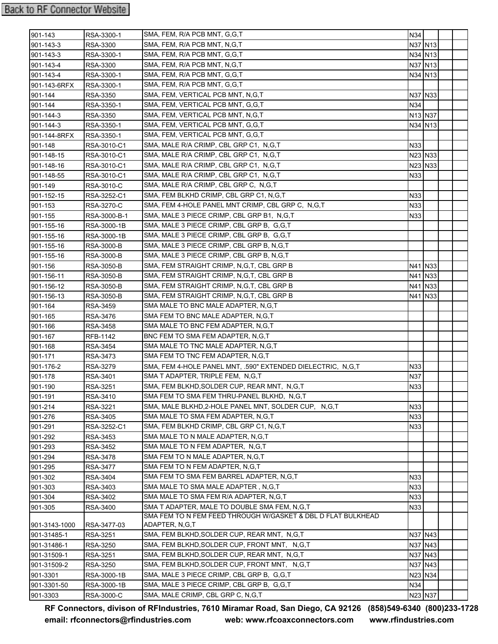| 901-143                      | RSA-3300-1              | SMA, FEM, R/A PCB MNT, G,G,T                                    | N34     |                                 |  |
|------------------------------|-------------------------|-----------------------------------------------------------------|---------|---------------------------------|--|
| 901-143-3                    | <b>RSA-3300</b>         | SMA, FEM, R/A PCB MNT, N,G,T                                    |         | N37 N13                         |  |
| 901-143-3                    | RSA-3300-1              | SMA, FEM, R/A PCB MNT, G,G,T                                    |         | N34 N13                         |  |
| 901-143-4                    | RSA-3300                | SMA, FEM, R/A PCB MNT, N,G,T                                    |         | N37 N13                         |  |
| 901-143-4                    | RSA-3300-1              | SMA, FEM, R/A PCB MNT, G,G,T                                    |         | N34 N13                         |  |
| 901-143-6RFX                 | RSA-3300-1              | SMA, FEM, R/A PCB MNT, G,G,T                                    |         |                                 |  |
| 901-144                      | RSA-3350                | SMA, FEM, VERTICAL PCB MNT, N,G,T                               | N37 N33 |                                 |  |
| 901-144                      | RSA-3350-1              | SMA, FEM, VERTICAL PCB MNT, G,G,T                               | N34     |                                 |  |
| 901-144-3                    | RSA-3350                | SMA, FEM, VERTICAL PCB MNT, N,G,T                               |         | N <sub>13</sub> N <sub>37</sub> |  |
| 901-144-3                    | RSA-3350-1              | SMA, FEM, VERTICAL PCB MNT, G.G.T                               |         | N34 N13                         |  |
| 901-144-8RFX                 | RSA-3350-1              | SMA, FEM, VERTICAL PCB MNT, G,G,T                               |         |                                 |  |
| 901-148                      | RSA-3010-C1             | SMA, MALE R/A CRIMP, CBL GRP C1, N,G,T                          | N33     |                                 |  |
| 901-148-15                   | RSA-3010-C1             | SMA, MALE R/A CRIMP, CBL GRP C1, N,G,T                          | N23 N33 |                                 |  |
| 901-148-16                   | RSA-3010-C1             | SMA, MALE R/A CRIMP, CBL GRP C1, N,G,T                          | N23 N33 |                                 |  |
| 901-148-55                   | RSA-3010-C1             | SMA, MALE R/A CRIMP, CBL GRP C1, N,G,T                          | N33     |                                 |  |
| 901-149                      | RSA-3010-C              | SMA, MALE R/A CRIMP, CBL GRP C, N, G, T                         |         |                                 |  |
| 901-152-15                   | RSA-3252-C1             | SMA, FEM BLKHD CRIMP, CBL GRP C1, N,G,T                         | N33     |                                 |  |
| 901-153                      | RSA-3270-C              | SMA, FEM 4-HOLE PANEL MNT CRIMP, CBL GRP C, N, G, T             | N33     |                                 |  |
| 901-155                      | RSA-3000-B-1            | SMA, MALE 3 PIECE CRIMP, CBL GRP B1, N,G,T                      | N33     |                                 |  |
| 901-155-16                   | RSA-3000-1B             | SMA, MALE 3 PIECE CRIMP, CBL GRP B, G,G,T                       |         |                                 |  |
| 901-155-16                   | RSA-3000-1B             | SMA, MALE 3 PIECE CRIMP, CBL GRP B, G,G,T                       |         |                                 |  |
| 901-155-16                   | <b>RSA-3000-B</b>       | SMA, MALE 3 PIECE CRIMP, CBL GRP B, N,G,T                       |         |                                 |  |
| 901-155-16                   | <b>RSA-3000-B</b>       | SMA, MALE 3 PIECE CRIMP, CBL GRP B, N, G, T                     |         |                                 |  |
| 901-156                      | <b>RSA-3050-B</b>       | SMA, FEM STRAIGHT CRIMP, N,G,T, CBL GRP B                       |         | N41 N33                         |  |
| 901-156-11                   | RSA-3050-B              | SMA, FEM STRAIGHT CRIMP, N,G,T, CBL GRP B                       |         | N41 N33                         |  |
| 901-156-12                   | RSA-3050-B              | SMA, FEM STRAIGHT CRIMP, N,G,T, CBL GRP B                       |         | N41 N33                         |  |
| 901-156-13                   | RSA-3050-B              | SMA, FEM STRAIGHT CRIMP, N,G,T, CBL GRP B                       |         | N41 N33                         |  |
| 901-164                      | RSA-3459                | SMA MALE TO BNC MALE ADAPTER, N,G,T                             |         |                                 |  |
| 901-165                      | RSA-3476                | SMA FEM TO BNC MALE ADAPTER, N,G,T                              |         |                                 |  |
| 901-166                      | <b>RSA-3458</b>         | SMA MALE TO BNC FEM ADAPTER, N,G,T                              |         |                                 |  |
| 901-167                      | RFB-1142                | BNC FEM TO SMA FEM ADAPTER, N,G,T                               |         |                                 |  |
| 901-168                      | <b>RSA-3454</b>         | SMA MALE TO TNC MALE ADAPTER, N,G,T                             |         |                                 |  |
| 901-171                      | RSA-3473                | SMA FEM TO TNC FEM ADAPTER, N,G,T                               |         |                                 |  |
| 901-176-2                    | RSA-3279                | SMA, FEM 4-HOLE PANEL MNT, .590" EXTENDED DIELECTRIC, N,G,T     | N33     |                                 |  |
| 901-178                      | RSA-3401                | SMA T ADAPTER, TRIPLE FEM, N.G.T                                | N37     |                                 |  |
| 901-190                      | RSA-3251                | SMA, FEM BLKHD, SOLDER CUP, REAR MNT, N, G, T                   | N33     |                                 |  |
| $901 - 191$                  | RSA-3410                | SMA FEM TO SMA FEM THRU-PANEL BLKHD, N,G,T                      |         |                                 |  |
| 901-214                      | RSA-3221                | SMA, MALE BLKHD, 2-HOLE PANEL MNT, SOLDER CUP, N, G, T          | N33     |                                 |  |
| 901-276                      | RSA-3405                | SMA MALE TO SMA FEM ADAPTER, N,G,T                              | N33     |                                 |  |
| 901-291                      | RSA-3252-C1             | SMA, FEM BLKHD CRIMP, CBL GRP C1, N,G,T                         | N33     |                                 |  |
| 901-292                      | RSA-3453                | SMA MALE TO N MALE ADAPTER, N, G, T                             |         |                                 |  |
| 901-293                      | RSA-3452                | SMA MALE TO N FEM ADAPTER,N,G,T                                 |         |                                 |  |
| 901-294                      | RSA-3478                | SMA FEM TO N MALE ADAPTER, N,G,T                                |         |                                 |  |
| 901-295                      | RSA-3477                | SMA FEM TO N FEM ADAPTER, N,G,T                                 |         |                                 |  |
| 901-302                      | RSA-3404                | SMA FEM TO SMA FEM BARREL ADAPTER, N,G,T                        | N33     |                                 |  |
| 901-303                      | RSA-3403                | SMA MALE TO SMA MALE ADAPTER, N,G,T                             | N33     |                                 |  |
| 901-304                      | RSA-3402                | SMA MALE TO SMA FEM R/A ADAPTER, N,G,T                          | N33     |                                 |  |
| 901-305                      | RSA-3400                | SMA T ADAPTER, MALE TO DOUBLE SMA FEM, N,G,T                    | N33     |                                 |  |
|                              |                         | SMA FEM TO N FEM FEED THROUGH W/GASKET & DBL D FLAT BULKHEAD    |         |                                 |  |
| 901-3143-1000<br>901-31485-1 | RSA-3477-03<br>RSA-3251 | ADAPTER, N,G,T<br>SMA, FEM BLKHD, SOLDER CUP, REAR MNT, N, G, T |         | N37 N43                         |  |
| 901-31486-1                  | RSA-3250                | SMA, FEM BLKHD, SOLDER CUP, FRONT MNT, N, G, T                  |         | N37 N43                         |  |
| 901-31509-1                  | <b>RSA-3251</b>         | SMA, FEM BLKHD, SOLDER CUP, REAR MNT, N, G, T                   |         | N37 N43                         |  |
| 901-31509-2                  | <b>RSA-3250</b>         | SMA, FEM BLKHD, SOLDER CUP, FRONT MNT, N, G, T                  | N37 N43 |                                 |  |
| 901-3301                     | RSA-3000-1B             | SMA, MALE 3 PIECE CRIMP, CBL GRP B, G,G,T                       | N23 N34 |                                 |  |
| 901-3301-50                  | RSA-3000-1B             | SMA, MALE 3 PIECE CRIMP, CBL GRP B, G,G,T                       | N34     |                                 |  |
| 901-3303                     | RSA-3000-C              | SMA, MALE CRIMP, CBL GRP C, N, G, T                             | N23 N37 |                                 |  |
|                              |                         |                                                                 |         |                                 |  |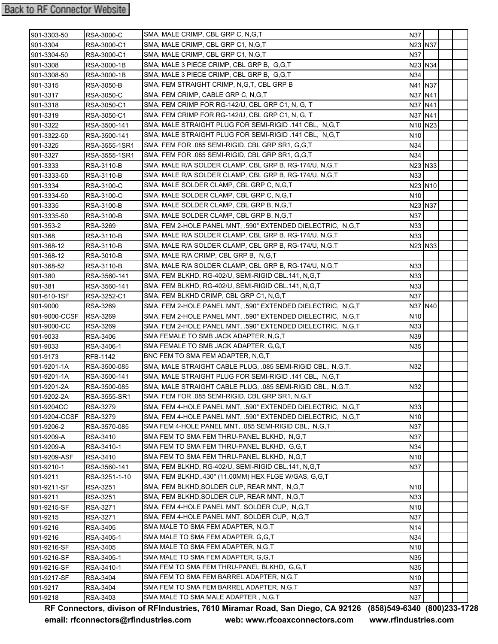| 901-3303-50   | <b>RSA-3000-C</b> | SMA, MALE CRIMP, CBL GRP C, N, G, T                         | <b>N37</b>      |           |  |
|---------------|-------------------|-------------------------------------------------------------|-----------------|-----------|--|
| 901-3304      | RSA-3000-C1       | SMA, MALE CRIMP, CBL GRP C1, N,G,T                          | N23 N37         |           |  |
| 901-3304-50   | RSA-3000-C1       | SMA, MALE CRIMP, CBL GRP C1, N,G,T                          | N37             |           |  |
| 901-3308      | RSA-3000-1B       | SMA, MALE 3 PIECE CRIMP, CBL GRP B, G,G,T                   | N23 N34         |           |  |
| 901-3308-50   | RSA-3000-1B       | SMA, MALE 3 PIECE CRIMP, CBL GRP B, G,G,T                   | N34             |           |  |
| 901-3315      | RSA-3050-B        | SMA, FEM STRAIGHT CRIMP, N,G,T, CBL GRP B                   | N41 N37         |           |  |
| 901-3317      | RSA-3050-C        | SMA, FEM CRIMP, CABLE GRP C, N, G, T                        |                 | N37   N41 |  |
| 901-3318      | RSA-3050-C1       | SMA, FEM CRIMP FOR RG-142/U, CBL GRP C1, N, G, T            | N37 N41         |           |  |
| 901-3319      | RSA-3050-C1       | SMA, FEM CRIMP FOR RG-142/U, CBL GRP C1, N, G, T            | N37   N41       |           |  |
| 901-3322      | RSA-3500-141      | SMA, MALE STRAIGHT PLUG FOR SEMI-RIGID .141 CBL, N,G,T      | N10 N23         |           |  |
| 901-3322-50   | RSA-3500-141      | SMA, MALE STRAIGHT PLUG FOR SEMI-RIGID .141 CBL, N,G,T      | N10             |           |  |
| 901-3325      | RSA-3555-1SR1     | SMA, FEM FOR .085 SEMI-RIGID, CBL GRP SR1, G.G.T            | N34             |           |  |
| 901-3327      | RSA-3555-1SR1     | SMA, FEM FOR .085 SEMI-RIGID, CBL GRP SR1, G,G,T            | N34             |           |  |
| 901-3333      | RSA-3110-B        | SMA, MALE R/A SOLDER CLAMP, CBL GRP B, RG-174/U, N,G,T      | N23 N33         |           |  |
| 901-3333-50   | RSA-3110-B        | SMA, MALE R/A SOLDER CLAMP, CBL GRP B, RG-174/U, N,G,T      | N33             |           |  |
| 901-3334      | RSA-3100-C        | SMA, MALE SOLDER CLAMP, CBL GRP C, N,G,T                    |                 | N23 N10   |  |
| 901-3334-50   | RSA-3100-C        | SMA, MALE SOLDER CLAMP, CBL GRP C, N,G,T                    | N10             |           |  |
| 901-3335      | RSA-3100-B        | SMA, MALE SOLDER CLAMP, CBL GRP B, N,G,T                    | N23 N37         |           |  |
| 901-3335-50   | RSA-3100-B        | SMA, MALE SOLDER CLAMP, CBL GRP B, N,G,T                    | N37             |           |  |
| 901-353-2     | RSA-3269          | SMA, FEM 2-HOLE PANEL MNT, .590" EXTENDED DIELECTRIC, N,G,T | N33             |           |  |
| 901-368       | <b>RSA-3110-B</b> | SMA, MALE R/A SOLDER CLAMP, CBL GRP B, RG-174/U, N,G,T      | N33             |           |  |
| 901-368-12    | RSA-3110-B        | SMA, MALE R/A SOLDER CLAMP, CBL GRP B, RG-174/U, N,G,T      | N23 N33         |           |  |
| 901-368-12    | RSA-3010-B        | SMA, MALE R/A CRIMP, CBL GRP B, N,G,T                       |                 |           |  |
| 901-368-52    | RSA-3110-B        | SMA, MALE R/A SOLDER CLAMP, CBL GRP B, RG-174/U, N,G,T      | N33             |           |  |
| 901-380       | RSA-3560-141      | SMA, FEM BLKHD, RG-402/U, SEMI-RIGID CBL.141, N,G,T         | N33             |           |  |
| 901-381       | RSA-3560-141      | SMA, FEM BLKHD, RG-402/U, SEMI-RIGID CBL.141, N,G,T         | N33             |           |  |
| 901-610-1SF   | RSA-3252-C1       | SMA, FEM BLKHD CRIMP, CBL GRP C1, N,G,T                     | N37             |           |  |
| 901-9000      | RSA-3269          | SMA, FEM 2-HOLE PANEL MNT, .590" EXTENDED DIELECTRIC, N,G,T | N37 N40         |           |  |
| 901-9000-CCSF | <b>RSA-3269</b>   | SMA, FEM 2-HOLE PANEL MNT, .590" EXTENDED DIELECTRIC, N,G,T | N10             |           |  |
| 901-9000-CC   | RSA-3269          | SMA, FEM 2-HOLE PANEL MNT, .590" EXTENDED DIELECTRIC, N,G,T | N33             |           |  |
| 901-9033      | RSA-3406          | SMA FEMALE TO SMB JACK ADAPTER, N,G,T                       | N39             |           |  |
| 901-9033      | RSA-3406-1        | SMA FEMALE TO SMB JACK ADAPTER, G,G,T                       | N35             |           |  |
| 901-9173      | RFB-1142          | BNC FEM TO SMA FEM ADAPTER, N.G.T                           |                 |           |  |
| 901-9201-1A   | RSA-3500-085      | SMA, MALE STRAIGHT CABLE PLUG, .085 SEMI-RIGID CBL,. N.G.T. | N32             |           |  |
| 901-9201-1A   | RSA-3500-141      | SMA, MALE STRAIGHT PLUG FOR SEMI-RIGID .141 CBL, N,G,T      |                 |           |  |
| 901-9201-2A   | RSA-3500-085      | SMA, MALE STRAIGHT CABLE PLUG, .085 SEMI-RIGID CBL,. N.G.T. | N32             |           |  |
| 901-9202-2A   | RSA-3555-SR1      | SMA, FEM FOR .085 SEMI-RIGID, CBL GRP SR1, N,G,T            |                 |           |  |
| 901-9204CC    | <b>RSA-3279</b>   | SMA, FEM 4-HOLE PANEL MNT, .590" EXTENDED DIELECTRIC, N,G,T | N33             |           |  |
| 901-9204-CCSF | RSA-3279          | SMA, FEM 4-HOLE PANEL MNT, .590" EXTENDED DIELECTRIC, N,G,T | N10             |           |  |
| 901-9206-2    | RSA-3570-085      | SMA FEM 4-HOLE PANEL MNT, .085 SEMI-RIGID CBL, N,G,T        | N37             |           |  |
| 901-9209-A    | RSA-3410          | SMA FEM TO SMA FEM THRU-PANEL BLKHD, N,G,T                  | N37             |           |  |
| 901-9209-A    | RSA-3410-1        | SMA FEM TO SMA FEM THRU-PANEL BLKHD, G,G,T                  | N34             |           |  |
| 901-9209-ASF  | RSA-3410          | SMA FEM TO SMA FEM THRU-PANEL BLKHD, N,G,T                  | N <sub>10</sub> |           |  |
| 901-9210-1    | RSA-3560-141      | SMA, FEM BLKHD, RG-402/U, SEMI-RIGID CBL.141, N,G,T         | N37             |           |  |
| 901-9211      | RSA-3251-1-10     | SMA, FEM BLKHD, 430" (11.00MM) HEX FLGE W/GAS, G,G,T        |                 |           |  |
| 901-9211-SF   | RSA-3251          | SMA, FEM BLKHD, SOLDER CUP, REAR MNT, N.G.T                 | N10             |           |  |
| 901-9211      | RSA-3251          | SMA, FEM BLKHD, SOLDER CUP, REAR MNT, N, G, T               | N33             |           |  |
| 901-9215-SF   | RSA-3271          | SMA, FEM 4-HOLE PANEL MNT, SOLDER CUP, N,G,T                | N10             |           |  |
| 901-9215      | RSA-3271          | SMA, FEM 4-HOLE PANEL MNT, SOLDER CUP, N,G,T                | N37             |           |  |
| 901-9216      | RSA-3405          | SMA MALE TO SMA FEM ADAPTER, N,G,T                          | N14             |           |  |
| 901-9216      | RSA-3405-1        | SMA MALE TO SMA FEM ADAPTER, G,G,T                          | N34             |           |  |
| 901-9216-SF   | <b>RSA-3405</b>   | SMA MALE TO SMA FEM ADAPTER, N,G,T                          | N10             |           |  |
| 901-9216-SF   | RSA-3405-1        | SMA MALE TO SMA FEM ADAPTER, G,G,T                          | N35             |           |  |
| 901-9216-SF   | RSA-3410-1        | SMA FEM TO SMA FEM THRU-PANEL BLKHD, G,G,T                  | N35             |           |  |
| 901-9217-SF   | RSA-3404          | SMA FEM TO SMA FEM BARREL ADAPTER, N,G,T                    | N10             |           |  |
| 901-9217      | RSA-3404          | SMA FEM TO SMA FEM BARREL ADAPTER, N,G,T                    | N37             |           |  |
| 901-9218      | RSA-3403          | SMA MALE TO SMA MALE ADAPTER, N,G,T                         | N37             |           |  |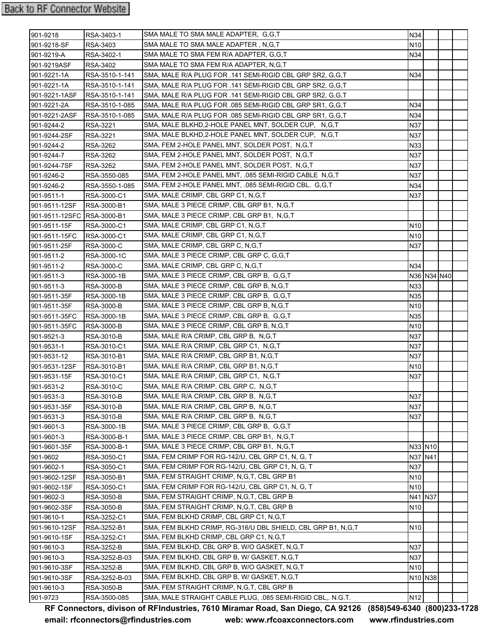| 901-9218                   | RSA-3403-1        | SMA MALE TO SMA MALE ADAPTER, G.G.T.                         | N34             |                                 |  |
|----------------------------|-------------------|--------------------------------------------------------------|-----------------|---------------------------------|--|
| 901-9218-SF                | RSA-3403          | SMA MALE TO SMA MALE ADAPTER, N,G,T                          | N10             |                                 |  |
| 901-9219-A                 | RSA-3402-1        | SMA MALE TO SMA FEM R/A ADAPTER, G,G,T                       | N34             |                                 |  |
| 901-9219ASF                | RSA-3402          | SMA MALE TO SMA FEM R/A ADAPTER, N,G,T                       |                 |                                 |  |
| 901-9221-1A                | RSA-3510-1-141    | SMA, MALE R/A PLUG FOR .141 SEMI-RIGID CBL GRP SR2, G,G,T    | N34             |                                 |  |
| 901-9221-1A                | RSA-3510-1-141    | SMA, MALE R/A PLUG FOR .141 SEMI-RIGID CBL GRP SR2, G,G,T    |                 |                                 |  |
| 901-9221-1ASF              | RSA-3510-1-141    | SMA, MALE R/A PLUG FOR .141 SEMI-RIGID CBL GRP SR2, G,G,T    |                 |                                 |  |
| 901-9221-2A                | RSA-3510-1-085    | SMA, MALE R/A PLUG FOR .085 SEMI-RIGID CBL GRP SR1, G,G,T    | N34             |                                 |  |
| 901-9221-2ASF              | RSA-3510-1-085    | SMA, MALE R/A PLUG FOR .085 SEMI-RIGID CBL GRP SR1, G,G,T    | N34             |                                 |  |
| 901-9244-2                 | RSA-3221          | SMA, MALE BLKHD, 2-HOLE PANEL MNT, SOLDER CUP, N, G, T       | N37             |                                 |  |
| 901-9244-2SF               | RSA-3221          | SMA, MALE BLKHD, 2-HOLE PANEL MNT, SOLDER CUP, N, G, T       | N37             |                                 |  |
| 901-9244-2                 | RSA-3262          | SMA, FEM 2-HOLE PANEL MNT, SOLDER POST, N,G,T                | N33             |                                 |  |
| 901-9244-7                 | RSA-3262          | SMA, FEM 2-HOLE PANEL MNT, SOLDER POST, N,G,T                | N37             |                                 |  |
| 901-9244-7SF               | RSA-3262          | SMA, FEM 2-HOLE PANEL MNT, SOLDER POST, N,G,T                | N37             |                                 |  |
| 901-9246-2                 | RSA-3550-085      | SMA, FEM 2-HOLE PANEL MNT, .085 SEMI-RIGID CABLE N,G,T       | N37             |                                 |  |
| 901-9246-2                 | RSA-3550-1-085    | SMA, FEM 2-HOLE PANEL MNT, .085 SEMI-RIGID CBL. G,G,T        | N34             |                                 |  |
| 901-9511-1                 | RSA-3000-C1       | SMA, MALE CRIMP, CBL GRP C1, N, G, T                         | N37             |                                 |  |
| 901-9511-12SF              | RSA-3000-B1       | SMA, MALE 3 PIECE CRIMP, CBL GRP B1, N,G,T                   |                 |                                 |  |
| 901-9511-12SFC RSA-3000-B1 |                   | SMA, MALE 3 PIECE CRIMP, CBL GRP B1, N,G,T                   |                 |                                 |  |
| 901-9511-15F               | RSA-3000-C1       | SMA, MALE CRIMP, CBL GRP C1, N, G, T                         | N10             |                                 |  |
| 901-9511-15FC              | RSA-3000-C1       | SMA, MALE CRIMP, CBL GRP C1, N,G,T                           | N10             |                                 |  |
| 901-9511-25F               | <b>RSA-3000-C</b> | SMA, MALE CRIMP, CBL GRP C, N, G, T                          | N37             |                                 |  |
| 901-9511-2                 | RSA-3000-1C       | SMA, MALE 3 PIECE CRIMP, CBL GRP C, G,G,T                    |                 |                                 |  |
| 901-9511-2                 | RSA-3000-C        | SMA, MALE CRIMP, CBL GRP C, N,G,T                            | N34             |                                 |  |
| 901-9511-3                 | RSA-3000-1B       | SMA, MALE 3 PIECE CRIMP, CBL GRP B, G,G,T                    |                 | N36 N34 N40                     |  |
| 901-9511-3                 | <b>RSA-3000-B</b> | SMA, MALE 3 PIECE CRIMP, CBL GRP B, N, G, T                  | N33             |                                 |  |
| 901-9511-35F               | RSA-3000-1B       | SMA, MALE 3 PIECE CRIMP, CBL GRP B, G,G,T                    | N35             |                                 |  |
| 901-9511-35F               | <b>RSA-3000-B</b> | SMA, MALE 3 PIECE CRIMP, CBL GRP B, N, G, T                  | N10             |                                 |  |
| 901-9511-35FC              | RSA-3000-1B       | SMA, MALE 3 PIECE CRIMP, CBL GRP B, G,G,T                    | N35             |                                 |  |
| 901-9511-35FC              | RSA-3000-B        | SMA, MALE 3 PIECE CRIMP, CBL GRP B, N, G, T                  | N <sub>10</sub> |                                 |  |
| 901-9521-3                 | RSA-3010-B        | SMA, MALE R/A CRIMP, CBL GRP B, N,G,T                        | N37             |                                 |  |
| 901-9531-1                 | RSA-3010-C1       | SMA, MALE R/A CRIMP, CBL GRP C1, N,G,T                       | N37             |                                 |  |
| 901-9531-12                | RSA-3010-B1       | SMA, MALE R/A CRIMP, CBL GRP B1, N,G,T                       | N37             |                                 |  |
| 901-9531-12SF              | RSA-3010-B1       | SMA, MALE R/A CRIMP, CBL GRP B1, N,G,T                       | N <sub>10</sub> |                                 |  |
| 901-9531-15F               | RSA-3010-C1       | SMA, MALE R/A CRIMP, CBL GRP C1, N,G,T                       | N37             |                                 |  |
| 901-9531-2                 | RSA-3010-C        | SMA, MALE R/A CRIMP, CBL GRP C,  N,G,T                       |                 |                                 |  |
| 901-9531-3                 | RSA-3010-B        | SMA, MALE R/A CRIMP, CBL GRP B, N,G,T                        | N37             |                                 |  |
| 901-9531-35F               | RSA-3010-B        | SMA, MALE R/A CRIMP, CBL GRP B, N,G,T                        | N37             |                                 |  |
| 901-9531-3                 | RSA-3010-B        | SMA, MALE R/A CRIMP, CBL GRP B, N,G,T                        | N37             |                                 |  |
| 901-9601-3                 | RSA-3000-1B       | SMA, MALE 3 PIECE CRIMP, CBL GRP B, G,G,T                    |                 |                                 |  |
| 901-9601-3                 | RSA-3000-B-1      | SMA, MALE 3 PIECE CRIMP, CBL GRP B1, N,G,T                   |                 |                                 |  |
| 901-9601-35F               | RSA-3000-B-1      | SMA, MALE 3 PIECE CRIMP, CBL GRP B1, N,G,T                   |                 | N33 N10                         |  |
| 901-9602                   | RSA-3050-C1       | SMA, FEM CRIMP FOR RG-142/U, CBL GRP C1, N, G, T             | N37 N41         |                                 |  |
| 901-9602-1                 | RSA-3050-C1       | SMA, FEM CRIMP FOR RG-142/U, CBL GRP C1, N, G, T             | N37             |                                 |  |
| 901-9602-12SF              | RSA-3050-B1       | SMA, FEM STRAIGHT CRIMP, N, G, T, CBL GRP B1                 | N10             |                                 |  |
| 901-9602-1SF               | RSA-3050-C1       | SMA, FEM CRIMP FOR RG-142/U, CBL GRP C1, N, G, T             | N <sub>10</sub> |                                 |  |
| 901-9602-3                 | RSA-3050-B        | SMA, FEM STRAIGHT CRIMP, N,G,T, CBL GRP B                    | N41 N37         |                                 |  |
| 901-9602-3SF               | RSA-3050-B        | SMA, FEM STRAIGHT CRIMP, N,G,T, CBL GRP B                    | N10             |                                 |  |
| 901-9610-1                 | RSA-3252-C1       | SMA, FEM BLKHD CRIMP, CBL GRP C1, N,G,T                      |                 |                                 |  |
| 901-9610-12SF              | RSA-3252-B1       | SMA, FEM BLKHD CRIMP, RG-316/U DBL SHIELD, CBL GRP B1, N,G,T | N <sub>10</sub> |                                 |  |
| 901-9610-1SF               | RSA-3252-C1       | SMA, FEM BLKHD CRIMP, CBL GRP C1, N,G,T                      |                 |                                 |  |
| 901-9610-3                 | RSA-3252-B        | SMA, FEM BLKHD, CBL GRP B, W/O GASKET, N,G,T                 | N37             |                                 |  |
| 901-9610-3                 | RSA-3252-B-03     | SMA, FEM BLKHD, CBL GRP B, W/ GASKET, N,G,T                  | N37             |                                 |  |
| 901-9610-3SF               | RSA-3252-B        | SMA, FEM BLKHD, CBL GRP B, W/O GASKET, N,G,T                 | N10             |                                 |  |
| 901-9610-3SF               | RSA-3252-B-03     | SMA, FEM BLKHD, CBL GRP B, W/ GASKET, N,G,T                  |                 | N <sub>10</sub> N <sub>38</sub> |  |
| 901-9610-3                 | RSA-3050-B        | SMA, FEM STRAIGHT CRIMP, N,G,T, CBL GRP B                    |                 |                                 |  |
| 901-9723                   | RSA-3500-085      | SMA, MALE STRAIGHT CABLE PLUG, .085 SEMI-RIGID CBL,. N.G.T.  | N12             |                                 |  |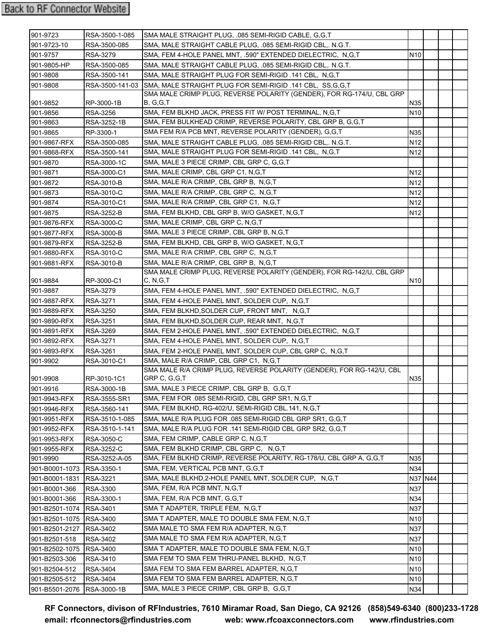| 901-9723                                  | RSA-3500-1-085              | SMA MALE STRAIGHT PLUG, .085 SEMI-RIGID CABLE, G.G.T                                                      |                                    |  |  |
|-------------------------------------------|-----------------------------|-----------------------------------------------------------------------------------------------------------|------------------------------------|--|--|
| 901-9723-10                               | RSA-3500-085                | SMA, MALE STRAIGHT CABLE PLUG, .085 SEMI-RIGID CBL,. N.G.T.                                               |                                    |  |  |
| 901-9757                                  | <b>RSA-3279</b>             | SMA, FEM 4-HOLE PANEL MNT, .590" EXTENDED DIELECTRIC, N,G,T                                               | N <sub>10</sub>                    |  |  |
| 901-9805-HP                               | RSA-3500-085                | SMA, MALE STRAIGHT CABLE PLUG, .085 SEMI-RIGID CBL,. N.G.T.                                               |                                    |  |  |
| 901-9808                                  | RSA-3500-141                | SMA, MALE STRAIGHT PLUG FOR SEMI-RIGID .141 CBL, N,G,T                                                    |                                    |  |  |
| 901-9808                                  |                             | RSA-3500-141-03 SMA, MALE STRAIGHT PLUG FOR SEMI-RIGID .141 CBL, SS.G.G.T                                 |                                    |  |  |
|                                           |                             | SMA MALE CRIMP PLUG, REVERSE POLARITY (GENDER), FOR RG-174/U, CBL GRP                                     |                                    |  |  |
| 901-9852                                  | RP-3000-1B                  | B, G, G, T                                                                                                | N35                                |  |  |
| 901-9856                                  | <b>RSA-3256</b>             | SMA, FEM BLKHD JACK, PRESS FIT W/ POST TERMINAL, N,G,T                                                    | N <sub>10</sub>                    |  |  |
| 901-9863                                  | RSA-3252-1B                 | SMA, FEM BULKHEAD CRIMP, REVERSE POLARITY, CBL GRP B, G,G,T                                               |                                    |  |  |
| 901-9865                                  | RP-3300-1                   | SMA FEM R/A PCB MNT, REVERSE POLARITY (GENDER), G,G,T                                                     | N35                                |  |  |
| 901-9867-RFX                              | RSA-3500-085                | SMA, MALE STRAIGHT CABLE PLUG, .085 SEMI-RIGID CBL,. N.G.T.                                               | N <sub>12</sub>                    |  |  |
| 901-9868-RFX                              | RSA-3500-141                | SMA, MALE STRAIGHT PLUG FOR SEMI-RIGID .141 CBL, N,G,T                                                    | N <sub>12</sub>                    |  |  |
| 901-9870                                  | RSA-3000-1C                 | SMA, MALE 3 PIECE CRIMP, CBL GRP C, G,G,T                                                                 |                                    |  |  |
| 901-9871                                  | RSA-3000-C1                 | SMA, MALE CRIMP, CBL GRP C1, N, G, T                                                                      | N <sub>12</sub>                    |  |  |
| 901-9872                                  | <b>RSA-3010-B</b>           | SMA, MALE R/A CRIMP, CBL GRP B, N,G,T                                                                     | N <sub>12</sub>                    |  |  |
| 901-9873                                  | RSA-3010-C                  | SMA, MALE R/A CRIMP, CBL GRP C, N,G,T                                                                     | N <sub>12</sub>                    |  |  |
| 901-9874                                  | RSA-3010-C1                 | SMA, MALE R/A CRIMP, CBL GRP C1, N,G,T                                                                    | N <sub>12</sub>                    |  |  |
| 901-9875                                  | RSA-3252-B                  | SMA, FEM BLKHD, CBL GRP B, W/O GASKET, N,G,T                                                              | N <sub>12</sub>                    |  |  |
| 901-9876-RFX                              | <b>RSA-3000-C</b>           | SMA, MALE CRIMP, CBL GRP C, N, G, T                                                                       |                                    |  |  |
| 901-9877-RFX                              | <b>RSA-3000-B</b>           | SMA, MALE 3 PIECE CRIMP, CBL GRP B, N, G, T                                                               |                                    |  |  |
| 901-9879-RFX                              | <b>RSA-3252-B</b>           | SMA, FEM BLKHD, CBL GRP B, W/O GASKET, N,G,T                                                              |                                    |  |  |
| 901-9880-RFX                              | <b>RSA-3010-C</b>           | SMA, MALE R/A CRIMP, CBL GRP C, N,G,T                                                                     |                                    |  |  |
| 901-9881-RFX                              | <b>RSA-3010-B</b>           | SMA, MALE R/A CRIMP, CBL GRP B. N.G.T                                                                     |                                    |  |  |
|                                           |                             | SMA MALE CRIMP PLUG, REVERSE POLARITY (GENDER), FOR RG-142/U, CBL GRP                                     |                                    |  |  |
| 901-9884                                  | RP-3000-C1                  | C, N,G,T                                                                                                  | N <sub>10</sub>                    |  |  |
| 901-9887                                  | <b>RSA-3279</b>             | SMA, FEM 4-HOLE PANEL MNT, .590" EXTENDED DIELECTRIC, N,G,T                                               |                                    |  |  |
| 901-9887-RFX                              | <b>RSA-3271</b>             | SMA, FEM 4-HOLE PANEL MNT, SOLDER CUP, N,G,T                                                              |                                    |  |  |
| 901-9889-RFX                              | <b>RSA-3250</b>             | SMA, FEM BLKHD, SOLDER CUP, FRONT MNT, N, G, T                                                            |                                    |  |  |
| 901-9890-RFX                              | <b>RSA-3251</b>             | SMA, FEM BLKHD, SOLDER CUP, REAR MNT, N, G, T                                                             |                                    |  |  |
| 901-9891-RFX                              | <b>RSA-3269</b>             | SMA, FEM 2-HOLE PANEL MNT, .590" EXTENDED DIELECTRIC, N,G,T                                               |                                    |  |  |
| 901-9892-RFX                              | <b>RSA-3271</b>             | SMA, FEM 4-HOLE PANEL MNT, SOLDER CUP, N,G,T                                                              |                                    |  |  |
| 901-9893-RFX                              | RSA-3261                    | SMA, FEM 2-HOLE PANEL MNT, SOLDER CUP, CBL GRP C, N,G,T                                                   |                                    |  |  |
| 901-9902                                  | RSA-3010-C1                 | SMA, MALE R/A CRIMP, CBL GRP C1, N,G,T                                                                    |                                    |  |  |
|                                           |                             | SMA MALE R/A CRIMP PLUG, REVERSE POLARITY (GENDER), FOR RG-142/U, CBL                                     |                                    |  |  |
| 901-9908                                  | RP-3010-1C1                 | GRP C, G, G, T<br>SMA, MALE 3 PIECE CRIMP, CBL GRP B, G,G,T                                               | N35                                |  |  |
| 901-9916                                  | RSA-3000-1B                 |                                                                                                           |                                    |  |  |
| 901-9943-RFX                              | RSA-3555-SR1                | SMA, FEM FOR .085 SEMI-RIGID, CBL GRP SR1, N, G, T<br>SMA, FEM BLKHD, RG-402/U, SEMI-RIGID CBL.141, N.G.T |                                    |  |  |
| 901-9946-RFX                              | RSA-3560-141                |                                                                                                           |                                    |  |  |
| 901-9951-RFX                              | RSA-3510-1-085              | SMA, MALE R/A PLUG FOR .085 SEMI-RIGID CBL GRP SR1, G,G,T                                                 |                                    |  |  |
| 901-9952-RFX                              | RSA-3510-1-141              | SMA, MALE R/A PLUG FOR .141 SEMI-RIGID CBL GRP SR2, G,G,T<br>SMA, FEM CRIMP, CABLE GRP C, N, G, T         |                                    |  |  |
| 901-9953-RFX                              | RSA-3050-C                  | SMA, FEM BLKHD CRIMP, CBL GRP C, N,G,T                                                                    |                                    |  |  |
| 901-9955-RFX<br>901-9990                  | <b>RSA-3252-C</b>           | SMA, FEM BLKHD CRIMP, REVERSE POLARITY, RG-178/U, CBL GRP A, G,G,T                                        | N35                                |  |  |
| 901-B0001-1073                            | RSA-3252-A-05               | SMA, FEM, VERTICAL PCB MNT, G,G,T                                                                         | N34                                |  |  |
| 901-B0001-1831                            | RSA-3350-1                  | SMA, MALE BLKHD, 2-HOLE PANEL MNT, SOLDER CUP, N, G, T                                                    | N37 N44                            |  |  |
|                                           | RSA-3221<br><b>RSA-3300</b> | SMA, FEM, R/A PCB MNT, N,G,T                                                                              |                                    |  |  |
| 901-B0001-366                             | RSA-3300-1                  | SMA, FEM, R/A PCB MNT, G,G,T                                                                              | N37<br>N34                         |  |  |
| 901-B0001-366                             |                             | SMA T ADAPTER, TRIPLE FEM, N,G,T                                                                          | N37                                |  |  |
| 901-B2501-1074<br>901-B2501-1075 RSA-3400 | RSA-3401                    | SMA T ADAPTER, MALE TO DOUBLE SMA FEM, N,G,T                                                              | N <sub>10</sub>                    |  |  |
|                                           |                             | SMA MALE TO SMA FEM R/A ADAPTER, N,G,T                                                                    | N37                                |  |  |
| 901-B2501-2127                            | <b>RSA-3402</b>             | SMA MALE TO SMA FEM R/A ADAPTER, N,G,T                                                                    |                                    |  |  |
| 901-B2501-518                             | RSA-3402                    | SMA T ADAPTER, MALE TO DOUBLE SMA FEM, N,G,T                                                              | N37                                |  |  |
| 901-B2502-1075                            | <b>RSA-3400</b>             | SMA FEM TO SMA FEM THRU-PANEL BLKHD, N,G,T                                                                | N <sub>10</sub>                    |  |  |
| 901-B2503-306                             | RSA-3410                    | SMA FEM TO SMA FEM BARREL ADAPTER, N,G,T                                                                  | N <sub>10</sub><br>N <sub>10</sub> |  |  |
| 901-B2504-512                             | RSA-3404<br>RSA-3404        | SMA FEM TO SMA FEM BARREL ADAPTER, N,G,T                                                                  | N10                                |  |  |
| 901-B2505-512                             |                             | SMA, MALE 3 PIECE CRIMP, CBL GRP B, G,G,T                                                                 |                                    |  |  |
| 901-B5501-2076                            | RSA-3000-1B                 |                                                                                                           | N34                                |  |  |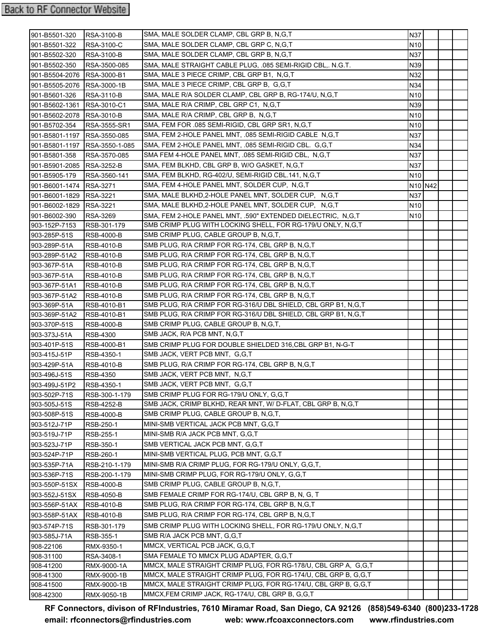| 901-B5501-320                 | <b>RSA-3100-B</b>   | SMA, MALE SOLDER CLAMP, CBL GRP B, N,G,T                       | N37                             |  |  |
|-------------------------------|---------------------|----------------------------------------------------------------|---------------------------------|--|--|
| 901-B5501-322                 | <b>RSA-3100-C</b>   | SMA, MALE SOLDER CLAMP, CBL GRP C, N, G, T                     | N <sub>10</sub>                 |  |  |
| 901-B5502-320                 | <b>RSA-3100-B</b>   | SMA, MALE SOLDER CLAMP, CBL GRP B, N, G, T                     | N37                             |  |  |
| 901-B5502-350                 | RSA-3500-085        | SMA, MALE STRAIGHT CABLE PLUG, .085 SEMI-RIGID CBL,. N.G.T.    | N39                             |  |  |
| 901-B5504-2076 RSA-3000-B1    |                     | SMA, MALE 3 PIECE CRIMP, CBL GRP B1, N,G,T                     | N32                             |  |  |
| 901-B5505-2076 RSA-3000-1B    |                     | SMA, MALE 3 PIECE CRIMP, CBL GRP B, G,G,T                      | N34                             |  |  |
| 901-B5601-326                 | RSA-3110-B          | SMA, MALE R/A SOLDER CLAMP, CBL GRP B, RG-174/U, N,G,T         | N <sub>10</sub>                 |  |  |
| 901-B5602-1361 RSA-3010-C1    |                     | SMA, MALE R/A CRIMP, CBL GRP C1, N,G,T                         | N39                             |  |  |
| 901-B5602-2078 RSA-3010-B     |                     | SMA, MALE R/A CRIMP, CBL GRP B, N,G,T                          | N <sub>10</sub>                 |  |  |
| 901-B5702-354                 | <b>RSA-3555-SR1</b> | SMA, FEM FOR .085 SEMI-RIGID, CBL GRP SR1, N, G, T             | N <sub>10</sub>                 |  |  |
| 901-B5801-1197 RSA-3550-085   |                     | SMA, FEM 2-HOLE PANEL MNT, 085 SEMI-RIGID CABLE N, G, T        | N37                             |  |  |
| 901-B5801-1197 RSA-3550-1-085 |                     | SMA, FEM 2-HOLE PANEL MNT, .085 SEMI-RIGID CBL. G,G,T          | N34                             |  |  |
| 901-B5801-358                 | RSA-3570-085        | SMA FEM 4-HOLE PANEL MNT, .085 SEMI-RIGID CBL, N,G,T           | N37                             |  |  |
| 901-B5901-2085 RSA-3252-B     |                     | SMA, FEM BLKHD, CBL GRP B, W/O GASKET, N,G,T                   | N37                             |  |  |
| 901-B5905-179                 | RSA-3560-141        | SMA, FEM BLKHD, RG-402/U, SEMI-RIGID CBL.141, N,G,T            | N10                             |  |  |
| 901-B6001-1474 RSA-3271       |                     | SMA, FEM 4-HOLE PANEL MNT, SOLDER CUP, N,G,T                   | N <sub>10</sub> N <sub>42</sub> |  |  |
| 901-B6001-1829 RSA-3221       |                     | SMA, MALE BLKHD,2-HOLE PANEL MNT, SOLDER CUP, N,G,T            | N37                             |  |  |
| 901-B6002-1829 RSA-3221       |                     | SMA, MALE BLKHD,2-HOLE PANEL MNT, SOLDER CUP, N,G,T            | N <sub>10</sub>                 |  |  |
| 901-B6002-390                 | <b>RSA-3269</b>     | SMA, FEM 2-HOLE PANEL MNT, .590" EXTENDED DIELECTRIC, N.G.T    | N10                             |  |  |
| 903-152P-7153                 | RSB-301-179         | SMB CRIMP PLUG WITH LOCKING SHELL, FOR RG-179/U ONLY, N,G,T    |                                 |  |  |
| 903-285P-51S                  | <b>RSB-4000-B</b>   | SMB CRIMP PLUG, CABLE GROUP B, N, G, T,                        |                                 |  |  |
| 903-289P-51A                  | <b>RSB-4010-B</b>   | SMB PLUG, R/A CRIMP FOR RG-174, CBL GRP B, N,G,T               |                                 |  |  |
| 903-289P-51A2                 | <b>RSB-4010-B</b>   | SMB PLUG, R/A CRIMP FOR RG-174, CBL GRP B, N, G, T             |                                 |  |  |
| 903-367P-51A                  | <b>RSB-4010-B</b>   | SMB PLUG, R/A CRIMP FOR RG-174, CBL GRP B, N, G, T             |                                 |  |  |
| 903-367P-51A                  | <b>RSB-4010-B</b>   | SMB PLUG, R/A CRIMP FOR RG-174, CBL GRP B, N, G, T             |                                 |  |  |
| 903-367P-51A1                 | <b>RSB-4010-B</b>   | SMB PLUG, R/A CRIMP FOR RG-174, CBL GRP B, N,G,T               |                                 |  |  |
| 903-367P-51A2                 | <b>RSB-4010-B</b>   | SMB PLUG, R/A CRIMP FOR RG-174, CBL GRP B, N, G, T             |                                 |  |  |
| 903-369P-51A                  | RSB-4010-B1         | SMB PLUG, R/A CRIMP FOR RG-316/U DBL SHIELD, CBL GRP B1, N,G,T |                                 |  |  |
| 903-369P-51A2                 | RSB-4010-B1         | SMB PLUG, R/A CRIMP FOR RG-316/U DBL SHIELD, CBL GRP B1, N,G,T |                                 |  |  |
| 903-370P-51S                  | <b>RSB-4000-B</b>   | SMB CRIMP PLUG, CABLE GROUP B, N, G, T,                        |                                 |  |  |
| 903-373J-51A                  | <b>RSB-4300</b>     | SMB JACK, R/A PCB MNT, N, G, T                                 |                                 |  |  |
| 903-401P-51S                  | RSB-4000-B1         | SMB CRIMP PLUG FOR DOUBLE SHIELDED 316, CBL GRP B1, N-G-T      |                                 |  |  |
| 903-415J-51P                  | RSB-4350-1          | SMB JACK, VERT PCB MNT, G,G,T                                  |                                 |  |  |
| 903-429P-51A                  | <b>RSB-4010-B</b>   | SMB PLUG, R/A CRIMP FOR RG-174, CBL GRP B, N, G, T             |                                 |  |  |
| 903-496J-51S                  | <b>RSB-4350</b>     | SMB JACK, VERT PCB MNT, N.G.T                                  |                                 |  |  |
| 903-499J-51P2                 | RSB-4350-1          | SMB JACK, VERT PCB MNT, G.G.T                                  |                                 |  |  |
| 903-502P-71S                  | RSB-300-1-179       | SMB CRIMP PLUG FOR RG-179/U ONLY, G,G,T                        |                                 |  |  |
| 903-505J-51S                  | <b>RSB-4252-B</b>   | SMB JACK, CRIMP BLKHD, REAR MNT, W/D-FLAT, CBL GRP B, N,G,T    |                                 |  |  |
| 903-508P-51S                  | RSB-4000-B          | SMB CRIMP PLUG, CABLE GROUP B, N, G, T,                        |                                 |  |  |
| 903-512J-71P                  | RSB-250-1           | MINI-SMB VERTICAL JACK PCB MNT, G,G,T                          |                                 |  |  |
| 903-519J-71P                  | RSB-255-1           | MINI-SMB R/A JACK PCB MNT, G.G.T                               |                                 |  |  |
| 903-523J-71P                  | RSB-350-1           | SMB VERTICAL JACK PCB MNT, G,G,T                               |                                 |  |  |
| 903-524P-71P                  | RSB-260-1           | MINI-SMB VERTICAL PLUG, PCB MNT, G,G,T                         |                                 |  |  |
| 903-535P-71A                  | RSB-210-1-179       | MINI-SMB R/A CRIMP PLUG, FOR RG-179/U ONLY, G,G,T,             |                                 |  |  |
| 903-536P-71S                  | RSB-200-1-179       | MINI-SMB CRIMP PLUG, FOR RG-179/U ONLY, G,G,T                  |                                 |  |  |
| 903-550P-51SX                 | RSB-4000-B          | SMB CRIMP PLUG, CABLE GROUP B, N, G, T,                        |                                 |  |  |
| 903-552J-51SX                 | <b>RSB-4050-B</b>   | SMB FEMALE CRIMP FOR RG-174/U, CBL GRP B, N, G, T              |                                 |  |  |
| 903-556P-51AX                 | <b>RSB-4010-B</b>   | SMB PLUG, R/A CRIMP FOR RG-174, CBL GRP B, N,G,T               |                                 |  |  |
| 903-558P-51AX                 | RSB-4010-B          | SMB PLUG, R/A CRIMP FOR RG-174, CBL GRP B, N,G,T               |                                 |  |  |
| 903-574P-71S                  | RSB-301-179         | SMB CRIMP PLUG WITH LOCKING SHELL, FOR RG-179/U ONLY, N,G,T    |                                 |  |  |
| 903-585J-71A                  | RSB-355-1           | SMB R/A JACK PCB MNT, G,G,T                                    |                                 |  |  |
| 908-22106                     | RMX-9350-1          | MMCX, VERTICAL PCB JACK, G,G,T                                 |                                 |  |  |
| 908-31100                     | RSA-3408-1          | SMA FEMALE TO MMCX PLUG ADAPTER, G.G.T                         |                                 |  |  |
| 908-41200                     | RMX-9000-1A         | MMCX, MALE STRAIGHT CRIMP PLUG, FOR RG-178/U, CBL GRP A, G,G,T |                                 |  |  |
| 908-41300                     | RMX-9000-1B         | MMCX, MALE STRAIGHT CRIMP PLUG, FOR RG-174/U, CBL GRP B, G,G,T |                                 |  |  |
| 908-41500                     | RMX-9000-1B         | MMCX, MALE STRAIGHT CRIMP PLUG, FOR RG-174/U, CBL GRP B, G,G,T |                                 |  |  |
| 908-42300                     | RMX-9050-1B         | MMCX, FEM CRIMP JACK, RG-174/U, CBL GRP B, G, G, T             |                                 |  |  |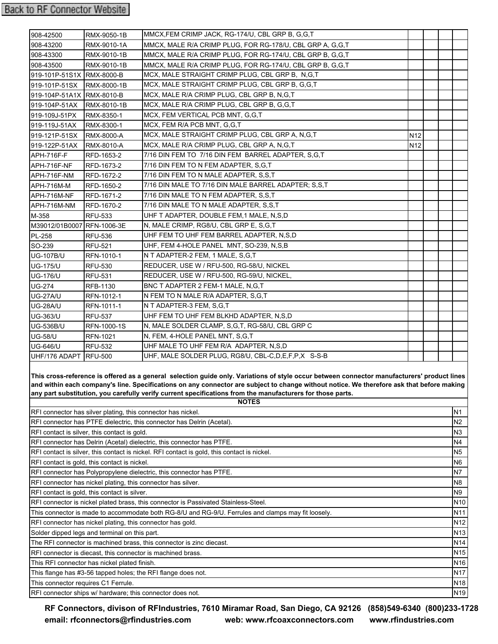| 908-42500                                                                                                                                                                                                                                                                                                                                                                                                              | RMX-9050-1B                                                | MMCX, FEM CRIMP JACK, RG-174/U, CBL GRP B, G,G,T                     |                 |  |  |                 |  |
|------------------------------------------------------------------------------------------------------------------------------------------------------------------------------------------------------------------------------------------------------------------------------------------------------------------------------------------------------------------------------------------------------------------------|------------------------------------------------------------|----------------------------------------------------------------------|-----------------|--|--|-----------------|--|
| 908-43200                                                                                                                                                                                                                                                                                                                                                                                                              | RMX-9010-1A                                                | MMCX, MALE R/A CRIMP PLUG, FOR RG-178/U, CBL GRP A, G,G,T            |                 |  |  |                 |  |
| 908-43300                                                                                                                                                                                                                                                                                                                                                                                                              | RMX-9010-1B                                                | MMCX, MALE R/A CRIMP PLUG, FOR RG-174/U, CBL GRP B, G,G,T            |                 |  |  |                 |  |
| 908-43500                                                                                                                                                                                                                                                                                                                                                                                                              | RMX-9010-1B                                                | MMCX, MALE R/A CRIMP PLUG, FOR RG-174/U, CBL GRP B, G,G,T            |                 |  |  |                 |  |
| 919-101P-51S1X RMX-8000-B                                                                                                                                                                                                                                                                                                                                                                                              |                                                            | MCX, MALE STRAIGHT CRIMP PLUG, CBL GRP B, N, G, T                    |                 |  |  |                 |  |
| 919-101P-51SX                                                                                                                                                                                                                                                                                                                                                                                                          | RMX-8000-1B                                                | MCX, MALE STRAIGHT CRIMP PLUG, CBL GRP B, G,G,T                      |                 |  |  |                 |  |
| 919-104P-51A1X RMX-8010-B                                                                                                                                                                                                                                                                                                                                                                                              |                                                            | MCX, MALE R/A CRIMP PLUG, CBL GRP B, N,G,T                           |                 |  |  |                 |  |
| 919-104P-51AX RMX-8010-1B                                                                                                                                                                                                                                                                                                                                                                                              |                                                            | MCX, MALE R/A CRIMP PLUG, CBL GRP B, G,G,T                           |                 |  |  |                 |  |
| 919-109J-51PX                                                                                                                                                                                                                                                                                                                                                                                                          | RMX-8350-1                                                 | MCX, FEM VERTICAL PCB MNT, G,G,T                                     |                 |  |  |                 |  |
| 919-119J-51AX                                                                                                                                                                                                                                                                                                                                                                                                          | RMX-8300-1                                                 | MCX, FEM R/A PCB MNT, G,G,T                                          |                 |  |  |                 |  |
| 919-121P-51SX                                                                                                                                                                                                                                                                                                                                                                                                          | RMX-8000-A                                                 | MCX, MALE STRAIGHT CRIMP PLUG, CBL GRP A, N, G, T                    | N <sub>12</sub> |  |  |                 |  |
| 919-122P-51AX                                                                                                                                                                                                                                                                                                                                                                                                          | <b>RMX-8010-A</b>                                          | MCX, MALE R/A CRIMP PLUG, CBL GRP A, N, G, T                         | N <sub>12</sub> |  |  |                 |  |
| APH-716F-F                                                                                                                                                                                                                                                                                                                                                                                                             | RFD-1653-2                                                 | 7/16 DIN FEM TO 7/16 DIN FEM BARREL ADAPTER, S,G,T                   |                 |  |  |                 |  |
| APH-716F-NF                                                                                                                                                                                                                                                                                                                                                                                                            | RFD-1673-2                                                 | 7/16 DIN FEM TO N FEM ADAPTER, S,G,T                                 |                 |  |  |                 |  |
| APH-716F-NM                                                                                                                                                                                                                                                                                                                                                                                                            | RFD-1672-2                                                 | 7/16 DIN FEM TO N MALE ADAPTER, S,S,T                                |                 |  |  |                 |  |
| APH-716M-M                                                                                                                                                                                                                                                                                                                                                                                                             | RFD-1650-2                                                 | 7/16 DIN MALE TO 7/16 DIN MALE BARREL ADAPTER; S,S,T                 |                 |  |  |                 |  |
| APH-716M-NF                                                                                                                                                                                                                                                                                                                                                                                                            | RFD-1671-2                                                 | 7/16 DIN MALE TO N FEM ADAPTER, S,S,T                                |                 |  |  |                 |  |
| APH-716M-NM                                                                                                                                                                                                                                                                                                                                                                                                            | RFD-1670-2                                                 | 7/16 DIN MALE TO N MALE ADAPTER, S,S,T                               |                 |  |  |                 |  |
| M-358                                                                                                                                                                                                                                                                                                                                                                                                                  | <b>RFU-533</b>                                             | UHF T ADAPTER, DOUBLE FEM, 1 MALE, N, S, D                           |                 |  |  |                 |  |
| M39012/01B0007 RFN-1006-3E                                                                                                                                                                                                                                                                                                                                                                                             |                                                            | N, MALE CRIMP, RG8/U, CBL GRP E, S,G,T                               |                 |  |  |                 |  |
| PL-258                                                                                                                                                                                                                                                                                                                                                                                                                 | <b>RFU-536</b>                                             | UHF FEM TO UHF FEM BARREL ADAPTER, N,S,D                             |                 |  |  |                 |  |
| SO-239                                                                                                                                                                                                                                                                                                                                                                                                                 | <b>RFU-521</b>                                             | UHF, FEM 4-HOLE PANEL MNT, SO-239, N,S,B                             |                 |  |  |                 |  |
| <b>UG-107B/U</b>                                                                                                                                                                                                                                                                                                                                                                                                       | RFN-1010-1                                                 | N T ADAPTER-2 FEM, 1 MALE, S, G, T                                   |                 |  |  |                 |  |
| UG-175/U                                                                                                                                                                                                                                                                                                                                                                                                               | <b>RFU-530</b>                                             | REDUCER, USE W / RFU-500, RG-58/U, NICKEL                            |                 |  |  |                 |  |
| <b>UG-176/U</b>                                                                                                                                                                                                                                                                                                                                                                                                        | <b>RFU-531</b>                                             | REDUCER, USE W / RFU-500, RG-59/U, NICKEL,                           |                 |  |  |                 |  |
| <b>UG-274</b>                                                                                                                                                                                                                                                                                                                                                                                                          | RFB-1130                                                   | BNC T ADAPTER 2 FEM-1 MALE, N, G, T                                  |                 |  |  |                 |  |
| UG-27A/U                                                                                                                                                                                                                                                                                                                                                                                                               | RFN-1012-1                                                 | N FEM TO N MALE R/A ADAPTER, S,G,T                                   |                 |  |  |                 |  |
| UG-28A/U                                                                                                                                                                                                                                                                                                                                                                                                               | RFN-1011-1                                                 | N T ADAPTER-3 FEM, S,G,T                                             |                 |  |  |                 |  |
| <b>UG-363/U</b>                                                                                                                                                                                                                                                                                                                                                                                                        | <b>RFU-537</b>                                             | UHF FEM TO UHF FEM BLKHD ADAPTER, N,S,D                              |                 |  |  |                 |  |
| <b>UG-536B/U</b>                                                                                                                                                                                                                                                                                                                                                                                                       | RFN-1000-1S                                                | N, MALE SOLDER CLAMP, S, G, T, RG-58/U, CBL GRP C                    |                 |  |  |                 |  |
| <b>UG-58/U</b>                                                                                                                                                                                                                                                                                                                                                                                                         | <b>RFN-1021</b>                                            | N, FEM, 4-HOLE PANEL MNT, S,G,T                                      |                 |  |  |                 |  |
| <b>UG-646/U</b>                                                                                                                                                                                                                                                                                                                                                                                                        | <b>RFU-532</b>                                             | UHF MALE TO UHF FEM R/A ADAPTER, N,S,D                               |                 |  |  |                 |  |
| UHF/176 ADAPT RFU-500                                                                                                                                                                                                                                                                                                                                                                                                  |                                                            | UHF, MALE SOLDER PLUG, RG8/U, CBL-C, D, E, F, P, X S-S-B             |                 |  |  |                 |  |
| This cross-reference is offered as a general selection guide only. Variations of style occur between connector manufacturers' product lines<br>and within each company's line. Specifications on any connector are subject to change without notice. We therefore ask that before making<br>any part substitution, you carefully verify current specifications from the manufacturers for those parts.<br><b>NOTES</b> |                                                            |                                                                      |                 |  |  |                 |  |
|                                                                                                                                                                                                                                                                                                                                                                                                                        |                                                            | RFI connector has silver plating, this connector has nickel.         |                 |  |  | N1              |  |
| N <sub>2</sub><br>RFI connector has PTFE dielectric, this connector has Delrin (Acetal).                                                                                                                                                                                                                                                                                                                               |                                                            |                                                                      |                 |  |  |                 |  |
| RFI contact is silver, this contact is gold.                                                                                                                                                                                                                                                                                                                                                                           |                                                            |                                                                      |                 |  |  | N3              |  |
| RFI connector has Delrin (Acetal) dielectric, this connector has PTFE.                                                                                                                                                                                                                                                                                                                                                 |                                                            |                                                                      |                 |  |  | N4              |  |
| RFI contact is silver, this contact is nickel. RFI contact is gold, this contact is nickel.                                                                                                                                                                                                                                                                                                                            |                                                            |                                                                      |                 |  |  | N <sub>5</sub>  |  |
| RFI contact is gold, this contact is nickel.                                                                                                                                                                                                                                                                                                                                                                           |                                                            |                                                                      |                 |  |  | N <sub>6</sub>  |  |
| RFI connector has Polypropylene dielectric, this connector has PTFE.                                                                                                                                                                                                                                                                                                                                                   |                                                            |                                                                      |                 |  |  | N7              |  |
| RFI connector has nickel plating, this connector has silver.                                                                                                                                                                                                                                                                                                                                                           |                                                            |                                                                      |                 |  |  | N <sub>8</sub>  |  |
| RFI contact is gold, this contact is silver.                                                                                                                                                                                                                                                                                                                                                                           |                                                            |                                                                      |                 |  |  | N <sub>9</sub>  |  |
| RFI connector is nickel plated brass, this connector is Passivated Stainless-Steel.                                                                                                                                                                                                                                                                                                                                    |                                                            |                                                                      |                 |  |  | N <sub>10</sub> |  |
| This connector is made to accommodate both RG-8/U and RG-9/U. Ferrules and clamps may fit loosely.                                                                                                                                                                                                                                                                                                                     |                                                            |                                                                      |                 |  |  | N11             |  |
|                                                                                                                                                                                                                                                                                                                                                                                                                        | RFI connector has nickel plating, this connector has gold. |                                                                      |                 |  |  | N <sub>12</sub> |  |
|                                                                                                                                                                                                                                                                                                                                                                                                                        | Solder dipped legs and terminal on this part.              |                                                                      |                 |  |  | N <sub>13</sub> |  |
|                                                                                                                                                                                                                                                                                                                                                                                                                        |                                                            | The RFI connector is machined brass, this connector is zinc diecast. |                 |  |  | N <sub>14</sub> |  |

RFI connector is diecast, this connector is machined brass.

This RFI connector has nickel plated finish.

This flange has #3-56 tapped holes; the RFI flange does not.

This connector requires C1 Ferrule.

RFI connector ships w/ hardware; this connector does not.

**RF Connectors, divison of RFIndustries, 7610 Miramar Road, San Diego, CA 92126 (858)549-6340 (800)233-1728 [email: rfconnectors@rfindustries.com](mailto:rfconnectors@rfindustries.com) [web: www.rfcoaxconnectors.com](http://www.rfcoaxconnectors.com/index.html) [www.rfindustries.com](http://www.rfindustries.com/)**

N15 N16 N17 N18 N19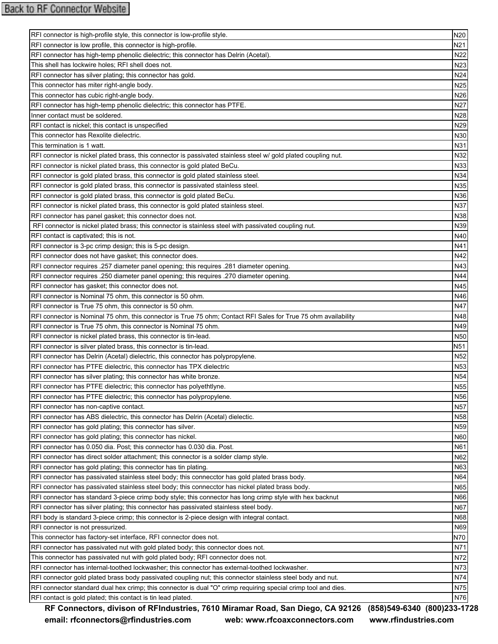| RFI connector is high-profile style, this connector is low-profile style.                                       | N20             |
|-----------------------------------------------------------------------------------------------------------------|-----------------|
| RFI connector is low profile, this connector is high-profile.                                                   | N21             |
| RFI connector has high-temp phenolic dielectric; this connector has Delrin (Acetal).                            | N22             |
| This shell has lockwire holes; RFI shell does not.                                                              | N <sub>23</sub> |
| RFI connector has silver plating; this connector has gold.                                                      | N24             |
| This connector has miter right-angle body.                                                                      | N <sub>25</sub> |
| This connector has cubic right-angle body.                                                                      | N26             |
| RFI connector has high-temp phenolic dielectric; this connector has PTFE.                                       | N <sub>27</sub> |
| Inner contact must be soldered.                                                                                 | N <sub>28</sub> |
| RFI contact is nickel; this contact is unspecified                                                              | N29             |
| This connector has Rexolite dielectric.                                                                         | N30             |
| This termination is 1 watt.                                                                                     | N31             |
| RFI connector is nickel plated brass, this connector is passivated stainless steel w/ gold plated coupling nut. | N32             |
| RFI connector is nickel plated brass, this connector is gold plated BeCu.                                       | N33             |
| RFI connector is gold plated brass, this connector is gold plated stainless steel.                              | N34             |
| RFI connector is gold plated brass, this connector is passivated stainless steel.                               | N35             |
| RFI connector is gold plated brass, this connector is gold plated BeCu.                                         | N36             |
| RFI connector is nickel plated brass, this connector is gold plated stainless steel.                            | N37             |
| RFI connector has panel gasket; this connector does not.                                                        | N38             |
| RFI connector is nickel plated brass; this connector is stainless steel with passivated coupling nut.           | N39             |
| RFI contact is captivated; this is not.                                                                         | N40             |
| RFI connector is 3-pc crimp design; this is 5-pc design.                                                        | N41             |
| RFI connector does not have gasket; this connector does.                                                        | N42             |
| RFI connector requires .257 diameter panel opening; this requires .281 diameter opening.                        | N43             |
| RFI connector requires .250 diameter panel opening; this requires .270 diameter opening.                        | N44             |
| RFI connector has gasket; this connector does not.                                                              | N45             |
| RFI connector is Nominal 75 ohm, this connector is 50 ohm.                                                      | N46             |
| RFI connector is True 75 ohm, this connector is 50 ohm.                                                         | N47             |
| RFI connector is Nominal 75 ohm, this connector is True 75 ohm; Contact RFI Sales for True 75 ohm availability  | N48             |
| RFI connector is True 75 ohm, this connector is Nominal 75 ohm.                                                 | N49             |
| RFI connector is nickel plated brass, this connector is tin-lead.                                               | N <sub>50</sub> |
|                                                                                                                 | N <sub>51</sub> |
| RFI connector is silver plated brass, this connector is tin-lead.                                               | N <sub>52</sub> |
| RFI connector has Delrin (Acetal) dielectric, this connector has polypropylene.                                 |                 |
| RFI connector has PTFE dielectric, this connector has TPX dielectric                                            | N <sub>53</sub> |
| RFI connector has silver plating; this connector has white bronze.                                              | N <sub>54</sub> |
| RFI connector has PTFE dielectric; this connector has polyethtlyne.                                             | N <sub>55</sub> |
| RFI connector has PTFE dielectric; this connector has polypropylene.                                            | N56             |
| RFI connector has non-captive contact.                                                                          | <b>N57</b>      |
| RFI connector has ABS dielectric, this connector has Delrin (Acetal) dielectic.                                 | N58             |
| RFI connector has gold plating; this connector has silver.                                                      | N <sub>59</sub> |
| RFI connector has gold plating; this connector has nickel.                                                      | N60             |
| RFI connector has 0.050 dia. Post; this connector has 0.030 dia. Post.                                          | N61             |
| RFI connector has direct solder attachment; this connector is a solder clamp style.                             | N62             |
| RFI connector has gold plating; this connector has tin plating.                                                 | N63             |
| RFI connector has passivated stainless steel body; this connecctor has gold plated brass body.                  | N64             |
| RFI connector has passivated stainless steel body; this connecctor has nickel plated brass body.                | N65             |
| RFI connector has standard 3-piece crimp body style; this connector has long crimp style with hex backnut       | N66             |
| RFI connector has silver plating; this connector has passivated stainless steel body.                           | N67             |
| RFI body is standard 3-piece crimp; this connector is 2-piece design with integral contact.                     | N68             |
| RFI connector is not pressurized.                                                                               | N69             |
| This connector has factory-set interface, RFI connector does not.                                               | N70             |
| RFI connector has passivated nut with gold plated body; this connector does not.                                | N71             |
| This connector has passivated nut with gold plated body; RFI connector does not.                                | N72             |
| RFI connector has internal-toothed lockwasher; this connector has external-toothed lockwasher.                  | N73             |
| RFI connector gold plated brass body passivated coupling nut; this connector stainless steel body and nut.      | N74             |
| RFI connector standard dual hex crimp; this connector is dual "O" crimp requiring special crimp tool and dies.  | N75             |
| RFI contact is gold plated; this contact is tin lead plated.                                                    | N76             |